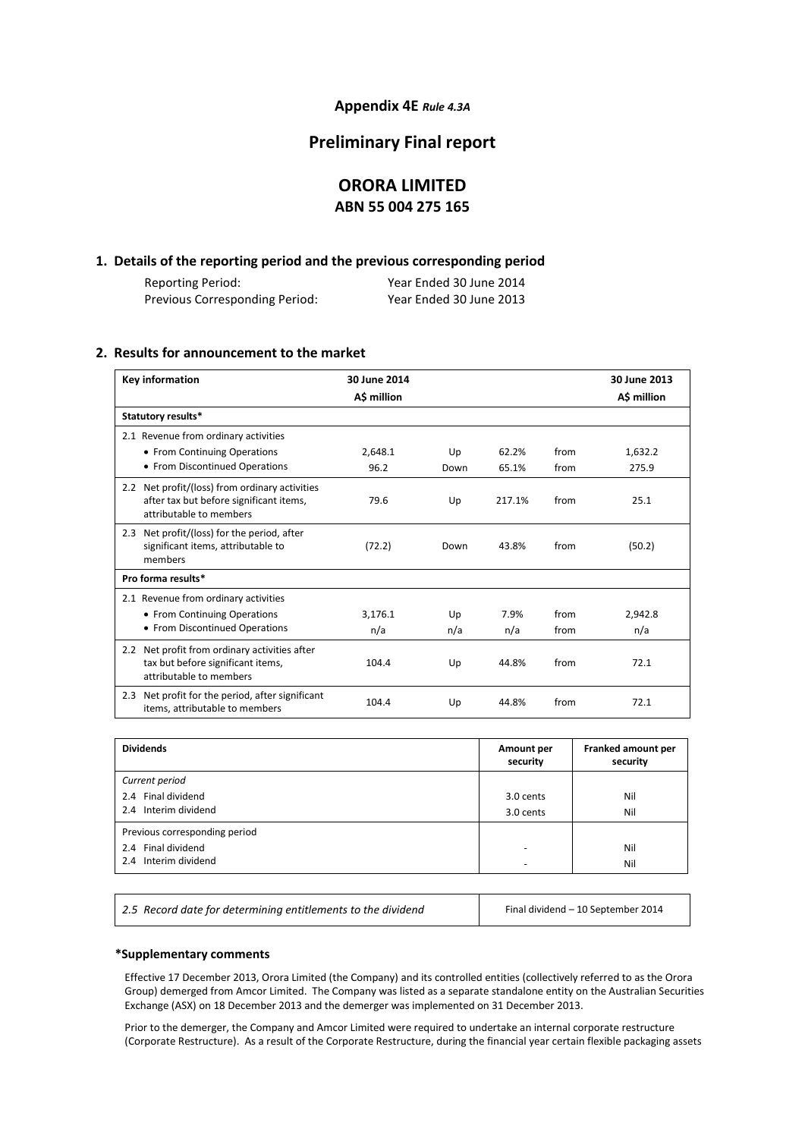#### **Appendix 4E** *Rule 4.3A*

### **Preliminary Final report**

### **ORORA LIMITED ABN 55 004 275 165**

#### **1. Details of the reporting period and the previous corresponding period**

| Reporting Period:              | Year Ended 30 June 2014 |
|--------------------------------|-------------------------|
| Previous Corresponding Period: | Year Ended 30 June 2013 |

#### **2. Results for announcement to the market**

| <b>Key information</b>                                                                                                            | 30 June 2014<br>A\$ million |      |        |      | 30 June 2013<br>A\$ million |
|-----------------------------------------------------------------------------------------------------------------------------------|-----------------------------|------|--------|------|-----------------------------|
| Statutory results*                                                                                                                |                             |      |        |      |                             |
| 2.1 Revenue from ordinary activities                                                                                              |                             |      |        |      |                             |
| • From Continuing Operations                                                                                                      | 2,648.1                     | Up   | 62.2%  | from | 1,632.2                     |
| • From Discontinued Operations                                                                                                    | 96.2                        | Down | 65.1%  | from | 275.9                       |
| Net profit/(loss) from ordinary activities<br>$2.2^{\circ}$<br>after tax but before significant items,<br>attributable to members | 79.6                        | Up   | 217.1% | from | 25.1                        |
| Net profit/(loss) for the period, after<br>2.3<br>significant items, attributable to<br>members                                   | (72.2)                      | Down | 43.8%  | from | (50.2)                      |
| Pro forma results*                                                                                                                |                             |      |        |      |                             |
| 2.1 Revenue from ordinary activities                                                                                              |                             |      |        |      |                             |
| • From Continuing Operations                                                                                                      | 3.176.1                     | Up   | 7.9%   | from | 2.942.8                     |
| • From Discontinued Operations                                                                                                    | n/a                         | n/a  | n/a    | from | n/a                         |
| Net profit from ordinary activities after<br>$2.2^{\circ}$<br>tax but before significant items,<br>attributable to members        | 104.4                       | Up   | 44.8%  | from | 72.1                        |
| Net profit for the period, after significant<br>2.3<br>items, attributable to members                                             | 104.4                       | Up   | 44.8%  | from | 72.1                        |

| <b>Dividends</b>                                                            | Amount per<br>security | Franked amount per<br>security |
|-----------------------------------------------------------------------------|------------------------|--------------------------------|
| Current period<br>2.4 Final dividend<br>2.4 Interim dividend                | 3.0 cents<br>3.0 cents | Nil<br>Nil                     |
| Previous corresponding period<br>2.4 Final dividend<br>2.4 Interim dividend | ٠<br>-                 | Nil<br>Nil                     |

2.5 Record date for determining entitlements to the dividend Final dividend – 10 September 2014

#### **\*Supplementary comments**

Effective 17 December 2013, Orora Limited (the Company) and its controlled entities (collectively referred to as the Orora Group) demerged from Amcor Limited. The Company was listed as a separate standalone entity on the Australian Securities Exchange (ASX) on 18 December 2013 and the demerger was implemented on 31 December 2013.

Prior to the demerger, the Company and Amcor Limited were required to undertake an internal corporate restructure (Corporate Restructure). As a result of the Corporate Restructure, during the financial year certain flexible packaging assets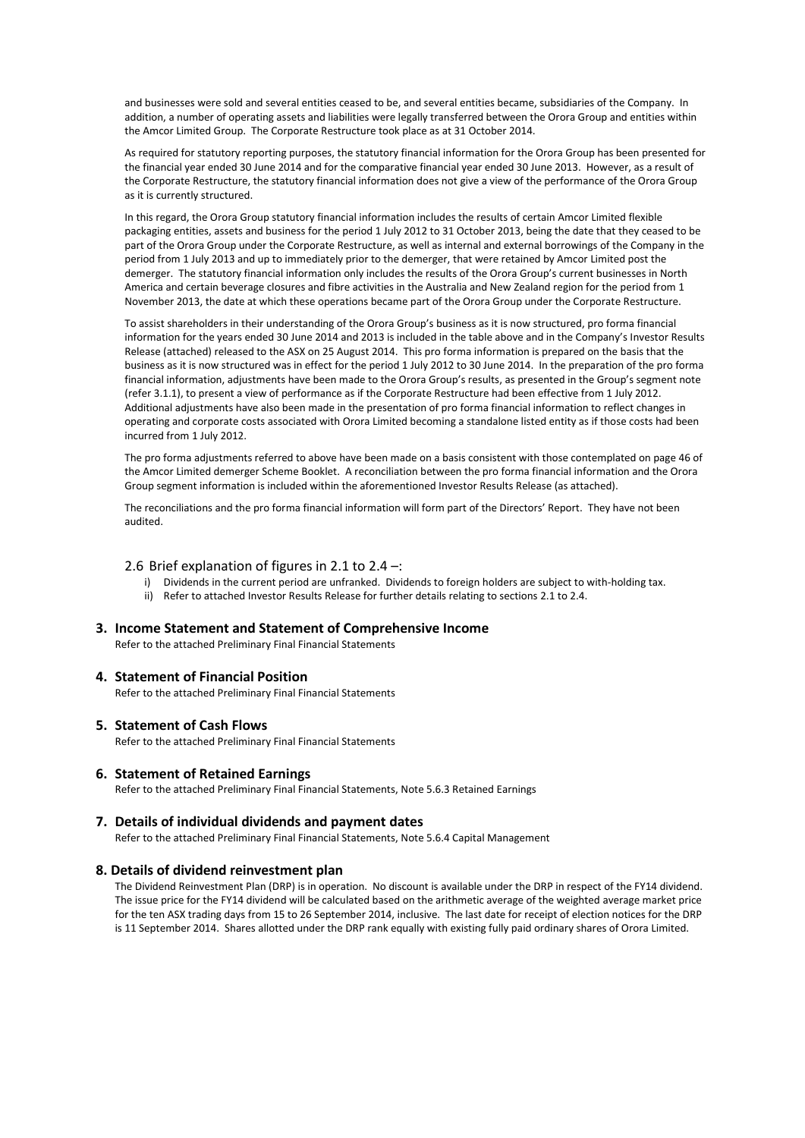and businesses were sold and several entities ceased to be, and several entities became, subsidiaries of the Company. In addition, a number of operating assets and liabilities were legally transferred between the Orora Group and entities within the Amcor Limited Group. The Corporate Restructure took place as at 31 October 2014.

As required for statutory reporting purposes, the statutory financial information for the Orora Group has been presented for the financial year ended 30 June 2014 and for the comparative financial year ended 30 June 2013. However, as a result of the Corporate Restructure, the statutory financial information does not give a view of the performance of the Orora Group as it is currently structured.

In this regard, the Orora Group statutory financial information includes the results of certain Amcor Limited flexible packaging entities, assets and business for the period 1 July 2012 to 31 October 2013, being the date that they ceased to be part of the Orora Group under the Corporate Restructure, as well as internal and external borrowings of the Company in the period from 1 July 2013 and up to immediately prior to the demerger, that were retained by Amcor Limited post the demerger. The statutory financial information only includes the results of the Orora Group's current businesses in North America and certain beverage closures and fibre activities in the Australia and New Zealand region for the period from 1 November 2013, the date at which these operations became part of the Orora Group under the Corporate Restructure.

To assist shareholders in their understanding of the Orora Group's business as it is now structured, pro forma financial information for the years ended 30 June 2014 and 2013 is included in the table above and in the Company's Investor Results Release (attached) released to the ASX on 25 August 2014. This pro forma information is prepared on the basis that the business as it is now structured was in effect for the period 1 July 2012 to 30 June 2014. In the preparation of the pro forma financial information, adjustments have been made to the Orora Group's results, as presented in the Group's segment note (refer 3.1.1), to present a view of performance as if the Corporate Restructure had been effective from 1 July 2012. Additional adjustments have also been made in the presentation of pro forma financial information to reflect changes in operating and corporate costs associated with Orora Limited becoming a standalone listed entity as if those costs had been incurred from 1 July 2012.

The pro forma adjustments referred to above have been made on a basis consistent with those contemplated on page 46 of the Amcor Limited demerger Scheme Booklet. A reconciliation between the pro forma financial information and the Orora Group segment information is included within the aforementioned Investor Results Release (as attached).

The reconciliations and the pro forma financial information will form part of the Directors' Report. They have not been audited.

#### 2.6 Brief explanation of figures in 2.1 to 2.4 –:

- i) Dividends in the current period are unfranked. Dividends to foreign holders are subject to with-holding tax.
- ii) Refer to attached Investor Results Release for further details relating to sections 2.1 to 2.4.

#### **3. Income Statement and Statement of Comprehensive Income**

Refer to the attached Preliminary Final Financial Statements

#### **4. Statement of Financial Position**

Refer to the attached Preliminary Final Financial Statements

#### **5. Statement of Cash Flows**

Refer to the attached Preliminary Final Financial Statements

#### **6. Statement of Retained Earnings**

Refer to the attached Preliminary Final Financial Statements, Note 5.6.3 Retained Earnings

#### **7. Details of individual dividends and payment dates**

Refer to the attached Preliminary Final Financial Statements, Note 5.6.4 Capital Management

#### **8. Details of dividend reinvestment plan**

The Dividend Reinvestment Plan (DRP) is in operation. No discount is available under the DRP in respect of the FY14 dividend. The issue price for the FY14 dividend will be calculated based on the arithmetic average of the weighted average market price for the ten ASX trading days from 15 to 26 September 2014, inclusive. The last date for receipt of election notices for the DRP is 11 September 2014. Shares allotted under the DRP rank equally with existing fully paid ordinary shares of Orora Limited.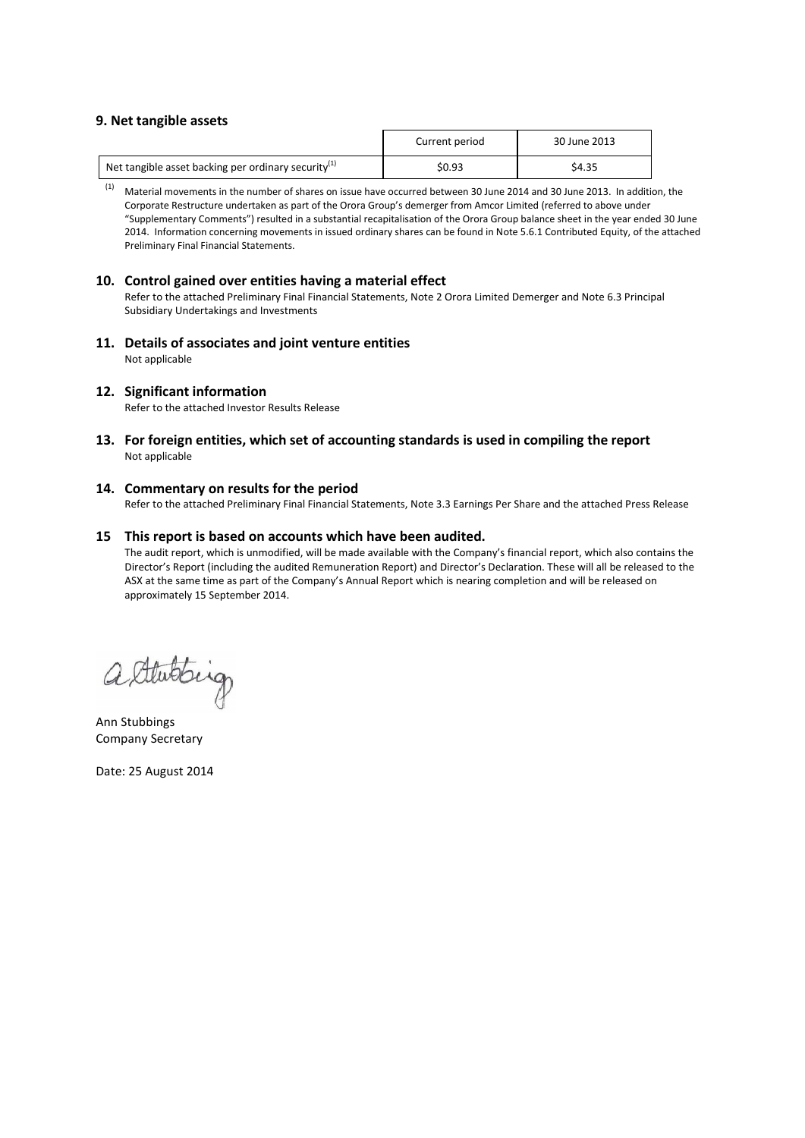#### **9. Net tangible assets**

|                                                        | Current period | 30 June 2013 |
|--------------------------------------------------------|----------------|--------------|
| Net tangible asset backing per ordinary security $(1)$ | \$0.93         | \$4.35       |

(1) Material movements in the number of shares on issue have occurred between 30 June 2014 and 30 June 2013. In addition, the Corporate Restructure undertaken as part of the Orora Group's demerger from Amcor Limited (referred to above under "Supplementary Comments") resulted in a substantial recapitalisation of the Orora Group balance sheet in the year ended 30 June 2014. Information concerning movements in issued ordinary shares can be found in Note 5.6.1 Contributed Equity, of the attached Preliminary Final Financial Statements.

#### **10. Control gained over entities having a material effect**

Refer to the attached Preliminary Final Financial Statements, Note 2 Orora Limited Demerger and Note 6.3 Principal Subsidiary Undertakings and Investments

**11. Details of associates and joint venture entities**  Not applicable

#### **12. Significant information**

Refer to the attached Investor Results Release

**13. For foreign entities, which set of accounting standards is used in compiling the report** Not applicable

#### **14. Commentary on results for the period**

Refer to the attached Preliminary Final Financial Statements, Note 3.3 Earnings Per Share and the attached Press Release

#### **15 This report is based on accounts which have been audited.**

The audit report, which is unmodified, will be made available with the Company's financial report, which also contains the Director's Report (including the audited Remuneration Report) and Director's Declaration. These will all be released to the ASX at the same time as part of the Company's Annual Report which is nearing completion and will be released on approximately 15 September 2014.

altabling

Ann Stubbings Company Secretary

Date: 25 August 2014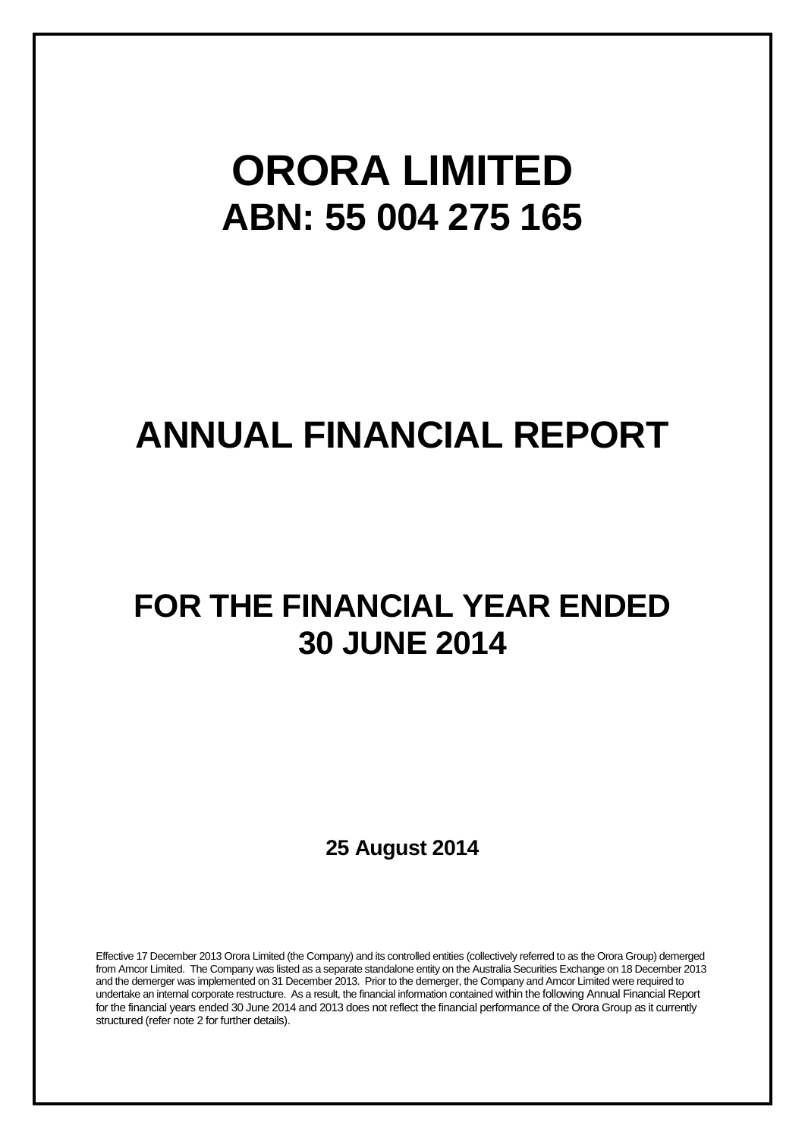# **ORORA LIMITED ABN: 55 004 275 165**

# **ANNUAL FINANCIAL REPORT**

# **FOR THE FINANCIAL YEAR ENDED 30 JUNE 2014**

**25 August 2014**

Effective 17 December 2013 Orora Limited (the Company) and its controlled entities (collectively referred to as the Orora Group) demerged from Amcor Limited. The Company was listed as a separate standalone entity on the Australia Securities Exchange on 18 December 2013 and the demerger was implemented on 31 December 2013. Prior to the demerger, the Company and Amcor Limited were required to undertake an internal corporate restructure. As a result, the financial information contained within the following Annual Financial Report for the financial years ended 30 June 2014 and 2013 does not reflect the financial performance of the Orora Group as it currently structured (refer note 2 for further details).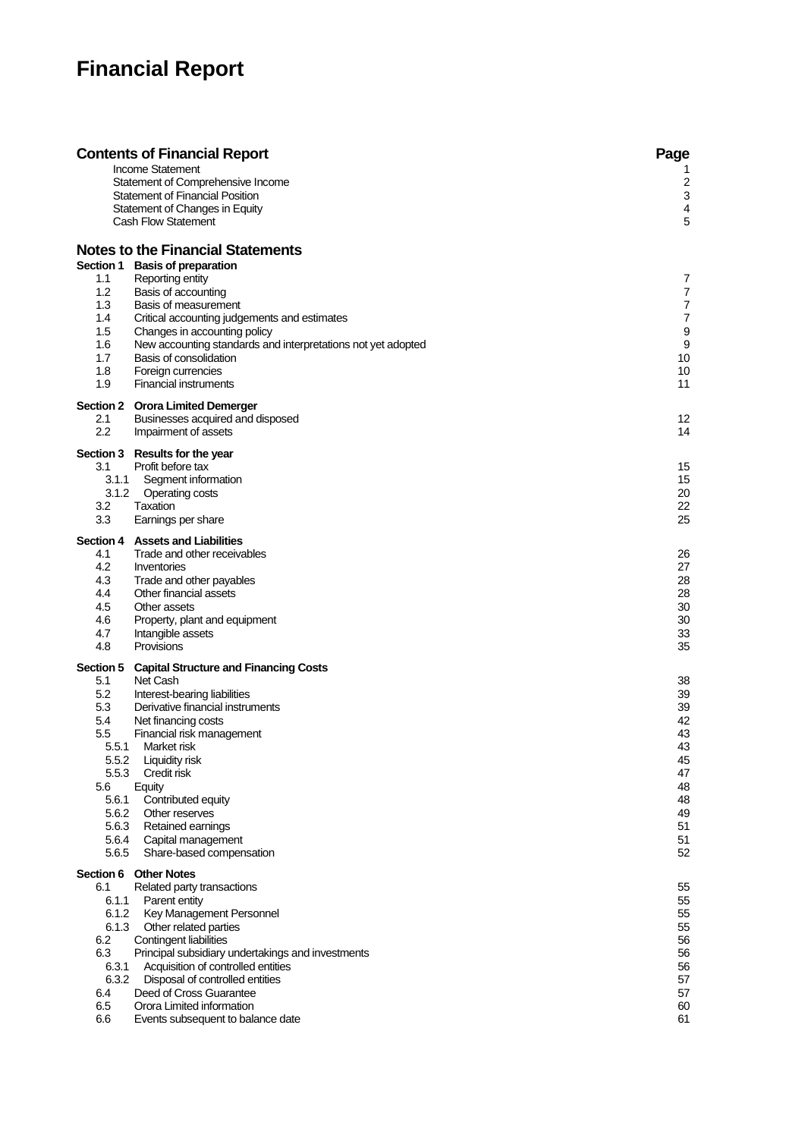## **Financial Report**

|                                                                                                                                 | <b>Contents of Financial Report</b><br><b>Income Statement</b><br>Statement of Comprehensive Income<br><b>Statement of Financial Position</b><br>Statement of Changes in Equity<br><b>Cash Flow Statement</b>                                                                                                                                                                 | Page<br>1<br>$\overline{c}$<br>$\ensuremath{\mathsf{3}}$<br>4<br>5                                                  |
|---------------------------------------------------------------------------------------------------------------------------------|-------------------------------------------------------------------------------------------------------------------------------------------------------------------------------------------------------------------------------------------------------------------------------------------------------------------------------------------------------------------------------|---------------------------------------------------------------------------------------------------------------------|
| 1.1<br>1.2<br>1.3<br>1.4<br>$1.5\,$<br>1.6<br>1.7<br>1.8<br>1.9                                                                 | <b>Notes to the Financial Statements</b><br>Section 1 Basis of preparation<br>Reporting entity<br>Basis of accounting<br>Basis of measurement<br>Critical accounting judgements and estimates<br>Changes in accounting policy<br>New accounting standards and interpretations not yet adopted<br>Basis of consolidation<br>Foreign currencies<br><b>Financial instruments</b> | 7<br>$\overline{7}$<br>$\boldsymbol{7}$<br>$\overline{7}$<br>$\boldsymbol{9}$<br>$\boldsymbol{9}$<br>10<br>10<br>11 |
| 2.1<br>2.2                                                                                                                      | <b>Section 2 Orora Limited Demerger</b><br>Businesses acquired and disposed<br>Impairment of assets                                                                                                                                                                                                                                                                           | 12<br>14                                                                                                            |
| 3.1<br>3.1.1<br>3.1.2<br>3.2<br>3.3                                                                                             | Section 3 Results for the year<br>Profit before tax<br>Segment information<br>Operating costs<br>Taxation<br>Earnings per share                                                                                                                                                                                                                                               | 15<br>15<br>20<br>22<br>25                                                                                          |
| 4.1<br>4.2<br>4.3<br>4.4<br>4.5<br>4.6<br>4.7<br>4.8                                                                            | Section 4 Assets and Liabilities<br>Trade and other receivables<br>Inventories<br>Trade and other payables<br>Other financial assets<br>Other assets<br>Property, plant and equipment<br>Intangible assets<br>Provisions                                                                                                                                                      | 26<br>27<br>28<br>28<br>30<br>30<br>33<br>35                                                                        |
| Section 5<br>5.1<br>5.2<br>5.3<br>5.4<br>$5.5\,$<br>5.5.1<br>5.5.2<br>5.5.3<br>5.6<br>5.6.1<br>5.6.2<br>5.6.3<br>5.6.4<br>5.6.5 | <b>Capital Structure and Financing Costs</b><br>Net Cash<br>Interest-bearing liabilities<br>Derivative financial instruments<br>Net financing costs<br>Financial risk management<br>Market risk<br><b>Liquidity risk</b><br>Credit risk<br>Equity<br>Contributed equity<br>Other reserves<br>Retained earnings<br>Capital management<br>Share-based compensation              | 38<br>39<br>39<br>42<br>43<br>43<br>45<br>47<br>48<br>48<br>49<br>51<br>51<br>52                                    |
| Section 6<br>6.1<br>6.1.1<br>6.1.2<br>6.1.3<br>6.2<br>6.3<br>6.3.1<br>6.3.2<br>6.4<br>6.5<br>6.6                                | <b>Other Notes</b><br>Related party transactions<br>Parent entity<br>Key Management Personnel<br>Other related parties<br>Contingent liabilities<br>Principal subsidiary undertakings and investments<br>Acquisition of controlled entities<br>Disposal of controlled entities<br>Deed of Cross Guarantee<br>Orora Limited information<br>Events subsequent to balance date   | 55<br>55<br>55<br>55<br>56<br>56<br>56<br>57<br>57<br>60<br>61                                                      |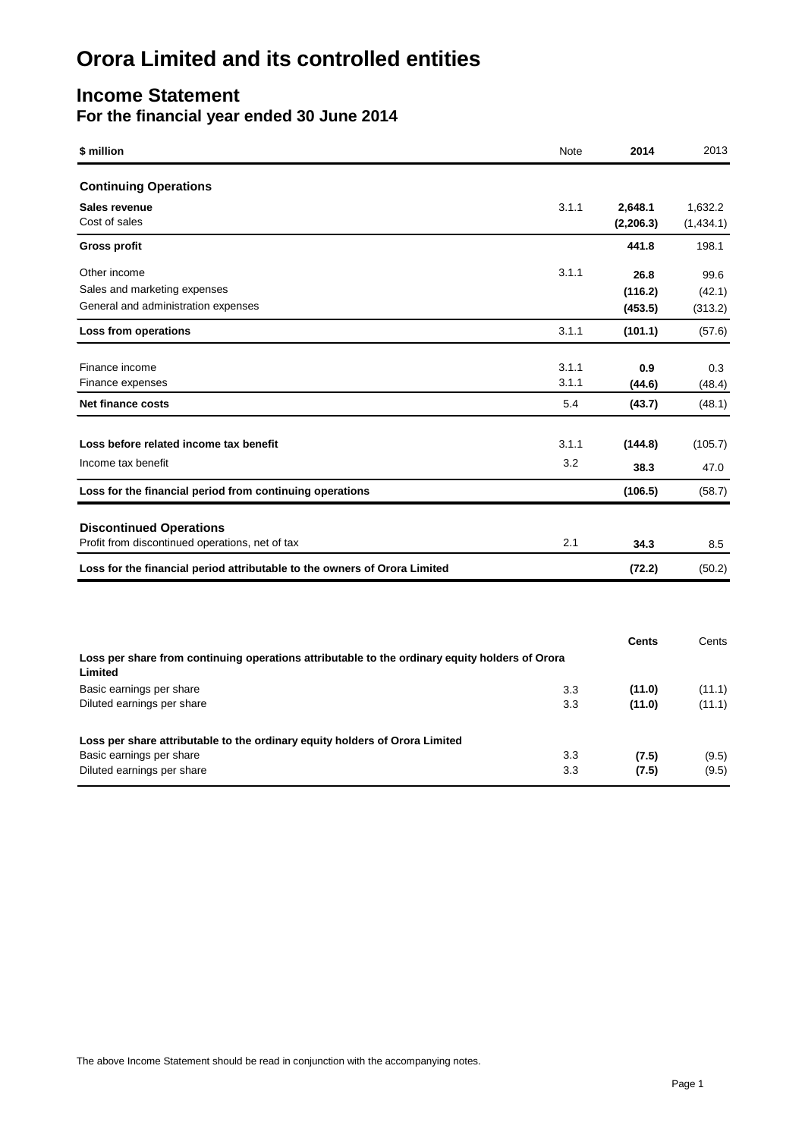### **Income Statement For the financial year ended 30 June 2014**

| \$ million                     | Note  | 2014                  | 2013                 |
|--------------------------------|-------|-----------------------|----------------------|
| <b>Continuing Operations</b>   |       |                       |                      |
| Sales revenue<br>Cost of sales | 3.1.1 | 2,648.1<br>(2, 206.3) | 1,632.2<br>(1,434.1) |
| <b>Gross profit</b>            |       | 441.8                 | 198.1                |

| Other income                                                                                              | 3.1.1 | 26.8         | 99.6    |
|-----------------------------------------------------------------------------------------------------------|-------|--------------|---------|
| Sales and marketing expenses                                                                              |       | (116.2)      | (42.1)  |
| General and administration expenses                                                                       |       | (453.5)      | (313.2) |
| Loss from operations                                                                                      | 3.1.1 | (101.1)      | (57.6)  |
| Finance income                                                                                            | 3.1.1 | 0.9          | 0.3     |
| Finance expenses                                                                                          | 3.1.1 | (44.6)       | (48.4)  |
| Net finance costs                                                                                         | 5.4   | (43.7)       | (48.1)  |
| Loss before related income tax benefit                                                                    | 3.1.1 | (144.8)      | (105.7) |
| Income tax benefit                                                                                        | 3.2   | 38.3         | 47.0    |
| Loss for the financial period from continuing operations                                                  |       | (106.5)      | (58.7)  |
| <b>Discontinued Operations</b>                                                                            |       |              |         |
| Profit from discontinued operations, net of tax                                                           | 2.1   | 34.3         | 8.5     |
| Loss for the financial period attributable to the owners of Orora Limited                                 |       | (72.2)       | (50.2)  |
|                                                                                                           |       |              |         |
|                                                                                                           |       | <b>Cents</b> | Cents   |
| Loss per share from continuing operations attributable to the ordinary equity holders of Orora<br>Limited |       |              |         |
| Basic earnings per share                                                                                  | 3.3   | (11.0)       | (11.1)  |
| Diluted earnings per share                                                                                | 3.3   | (11.0)       | (11.1)  |
| Loss per share attributable to the ordinary equity holders of Orora Limited                               |       |              |         |

Basic earnings per share **3.3** (7.5) (9.5) Diluted earnings per share 3.3 (7.5) (9.5)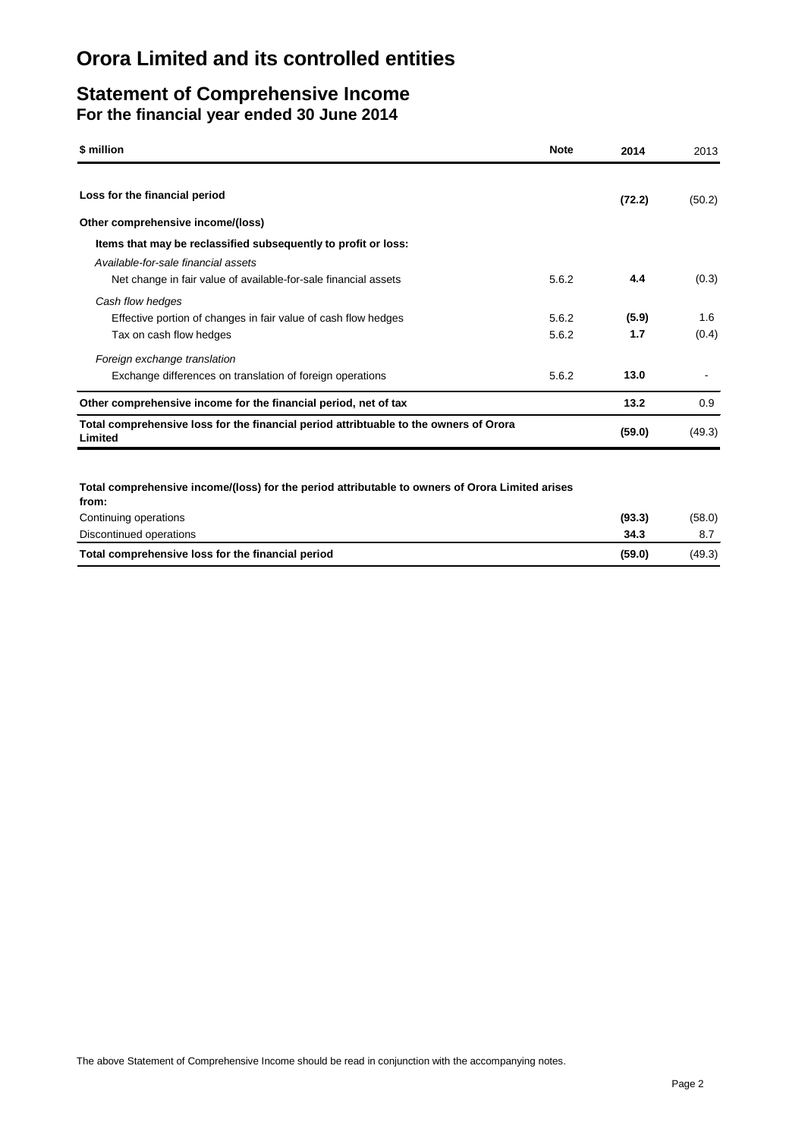### **Statement of Comprehensive Income For the financial year ended 30 June 2014**

| \$ million                                                                                       | <b>Note</b> | 2014   | 2013   |
|--------------------------------------------------------------------------------------------------|-------------|--------|--------|
| Loss for the financial period                                                                    |             | (72.2) | (50.2) |
| Other comprehensive income/(loss)                                                                |             |        |        |
| Items that may be reclassified subsequently to profit or loss:                                   |             |        |        |
| Available-for-sale financial assets                                                              |             |        |        |
| Net change in fair value of available-for-sale financial assets                                  | 5.6.2       | 4.4    | (0.3)  |
| Cash flow hedges                                                                                 |             |        |        |
| Effective portion of changes in fair value of cash flow hedges                                   | 5.6.2       | (5.9)  | 1.6    |
| Tax on cash flow hedges                                                                          | 5.6.2       | 1.7    | (0.4)  |
| Foreign exchange translation                                                                     |             |        |        |
| Exchange differences on translation of foreign operations                                        | 5.6.2       | 13.0   |        |
| Other comprehensive income for the financial period, net of tax                                  |             | 13.2   | 0.9    |
| Total comprehensive loss for the financial period attribtuable to the owners of Orora<br>Limited |             | (59.0) | (49.3) |

**Total comprehensive income/(loss) for the period attributable to owners of Orora Limited arises** 

| Total comprehensive loss for the financial period | (59.0) | (49.3) |
|---------------------------------------------------|--------|--------|
| Discontinued operations                           | 34.3   |        |
| Continuing operations                             | (93.3) | (58.0) |
| from:                                             |        |        |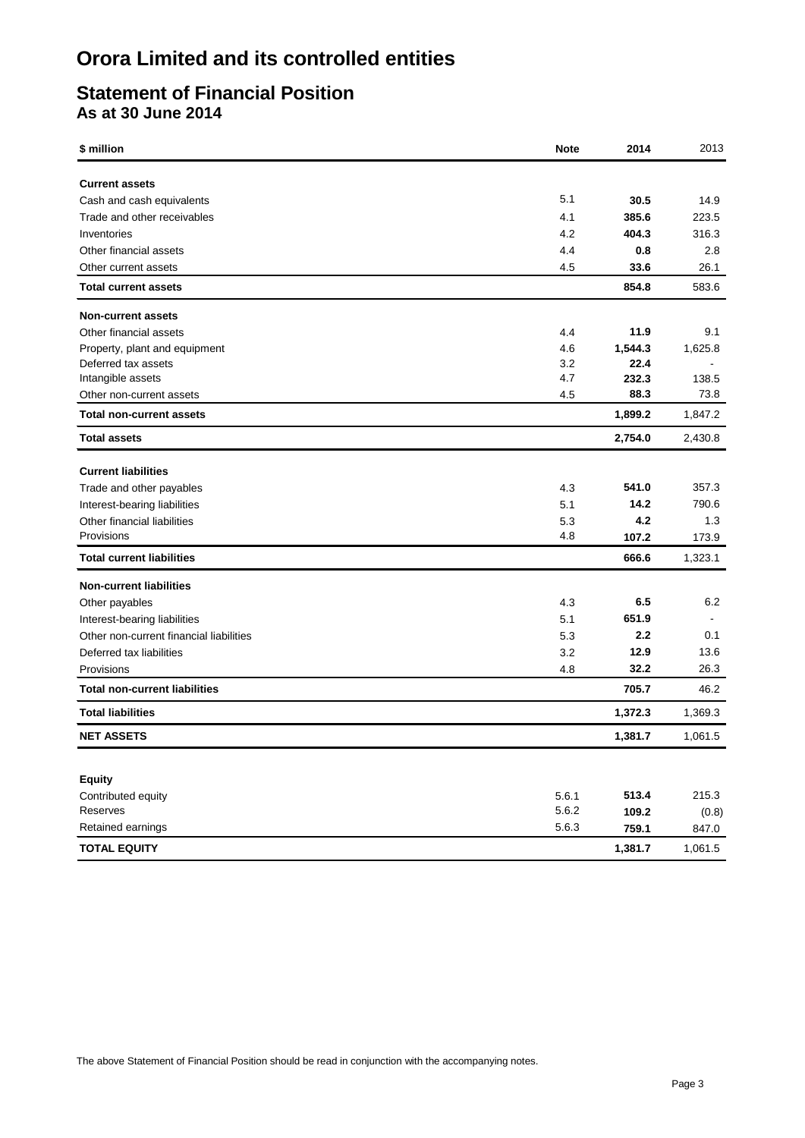### **Statement of Financial Position As at 30 June 2014**

| \$ million                              | <b>Note</b>    | 2014    | 2013           |
|-----------------------------------------|----------------|---------|----------------|
| <b>Current assets</b>                   |                |         |                |
| Cash and cash equivalents               | 5.1            | 30.5    | 14.9           |
| Trade and other receivables             | 4.1            | 385.6   | 223.5          |
| Inventories                             | 4.2            | 404.3   | 316.3          |
| Other financial assets                  | 4.4            | 0.8     | 2.8            |
| Other current assets                    | 4.5            | 33.6    | 26.1           |
| <b>Total current assets</b>             |                | 854.8   | 583.6          |
| Non-current assets                      |                |         |                |
| Other financial assets                  | 4.4            | 11.9    | 9.1            |
| Property, plant and equipment           | 4.6            | 1,544.3 | 1,625.8        |
| Deferred tax assets                     | 3.2            | 22.4    |                |
| Intangible assets                       | 4.7            | 232.3   | 138.5          |
| Other non-current assets                | 4.5            | 88.3    | 73.8           |
| <b>Total non-current assets</b>         |                | 1,899.2 | 1,847.2        |
| <b>Total assets</b>                     |                | 2,754.0 | 2,430.8        |
| <b>Current liabilities</b>              |                |         |                |
| Trade and other payables                | 4.3            | 541.0   | 357.3          |
| Interest-bearing liabilities            | 5.1            | 14.2    | 790.6          |
| Other financial liabilities             | 5.3            | 4.2     | 1.3            |
| Provisions                              | 4.8            | 107.2   | 173.9          |
| <b>Total current liabilities</b>        |                | 666.6   | 1,323.1        |
| <b>Non-current liabilities</b>          |                |         |                |
| Other payables                          | 4.3            | 6.5     | 6.2            |
| Interest-bearing liabilities            | 5.1            | 651.9   | $\blacksquare$ |
| Other non-current financial liabilities | 5.3            | 2.2     | 0.1            |
| Deferred tax liabilities                | 3.2            | 12.9    | 13.6           |
| Provisions                              | 4.8            | 32.2    | 26.3           |
| <b>Total non-current liabilities</b>    |                | 705.7   | 46.2           |
| <b>Total liabilities</b>                |                | 1,372.3 | 1,369.3        |
| <b>NET ASSETS</b>                       |                | 1,381.7 | 1,061.5        |
|                                         |                |         |                |
| <b>Equity</b>                           |                |         |                |
| Contributed equity<br>Reserves          | 5.6.1<br>5.6.2 | 513.4   | 215.3          |
| Retained earnings                       | 5.6.3          | 109.2   | (0.8)          |
|                                         |                | 759.1   | 847.0          |
| <b>TOTAL EQUITY</b>                     |                | 1,381.7 | 1,061.5        |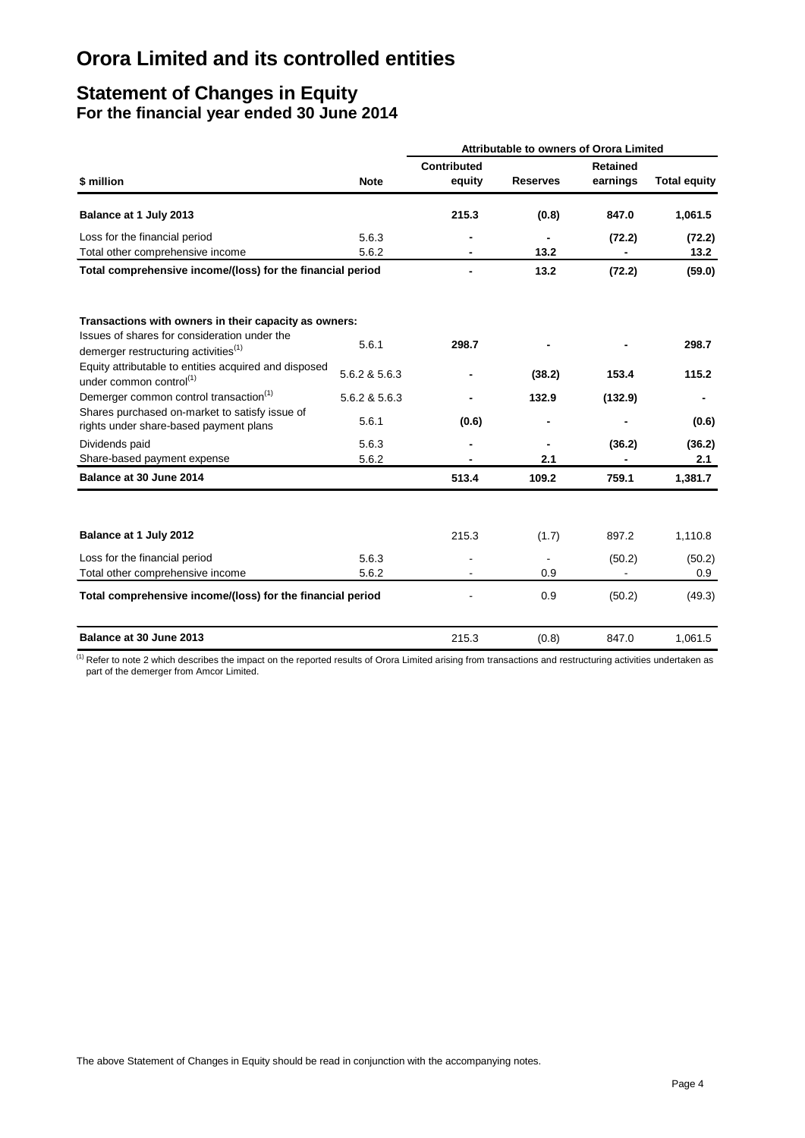### **Statement of Changes in Equity For the financial year ended 30 June 2014**

|                                                                                                  |                |                              | <b>Attributable to owners of Orora Limited</b> |                             |                     |  |
|--------------------------------------------------------------------------------------------------|----------------|------------------------------|------------------------------------------------|-----------------------------|---------------------|--|
| \$ million                                                                                       | <b>Note</b>    | <b>Contributed</b><br>equity | <b>Reserves</b>                                | <b>Retained</b><br>earnings | <b>Total equity</b> |  |
|                                                                                                  |                |                              |                                                |                             |                     |  |
| Balance at 1 July 2013                                                                           |                | 215.3                        | (0.8)                                          | 847.0                       | 1,061.5             |  |
| Loss for the financial period                                                                    | 5.6.3          |                              |                                                | (72.2)                      | (72.2)              |  |
| Total other comprehensive income                                                                 | 5.6.2          |                              | 13.2                                           |                             | 13.2                |  |
| Total comprehensive income/(loss) for the financial period                                       |                |                              | 13.2                                           | (72.2)                      | (59.0)              |  |
| Transactions with owners in their capacity as owners:                                            |                |                              |                                                |                             |                     |  |
| Issues of shares for consideration under the<br>demerger restructuring activities <sup>(1)</sup> | 5.6.1          | 298.7                        |                                                |                             | 298.7               |  |
| Equity attributable to entities acquired and disposed<br>under common control <sup>(1)</sup>     | 5.6.2 & 5.6.3  |                              | (38.2)                                         | 153.4                       | 115.2               |  |
| Demerger common control transaction <sup>(1)</sup>                                               | 5.6.2 & 5.6.3  |                              | 132.9                                          | (132.9)                     |                     |  |
| Shares purchased on-market to satisfy issue of<br>rights under share-based payment plans         | 5.6.1          | (0.6)                        |                                                |                             | (0.6)               |  |
| Dividends paid                                                                                   | 5.6.3          |                              |                                                | (36.2)                      | (36.2)              |  |
| Share-based payment expense                                                                      | 5.6.2          |                              | 2.1                                            |                             | 2.1                 |  |
| Balance at 30 June 2014                                                                          |                | 513.4                        | 109.2                                          | 759.1                       | 1,381.7             |  |
| Balance at 1 July 2012                                                                           |                | 215.3                        | (1.7)                                          | 897.2                       | 1,110.8             |  |
|                                                                                                  |                |                              |                                                |                             |                     |  |
| Loss for the financial period<br>Total other comprehensive income                                | 5.6.3<br>5.6.2 |                              | 0.9                                            | (50.2)                      | (50.2)<br>0.9       |  |
| Total comprehensive income/(loss) for the financial period                                       |                |                              | 0.9                                            | (50.2)                      | (49.3)              |  |
| Balance at 30 June 2013                                                                          |                | 215.3                        | (0.8)                                          | 847.0                       | 1,061.5             |  |

<sup>(1)</sup> Refer to note 2 which describes the impact on the reported results of Orora Limited arising from transactions and restructuring activities undertaken as part of the demerger from Amcor Limited.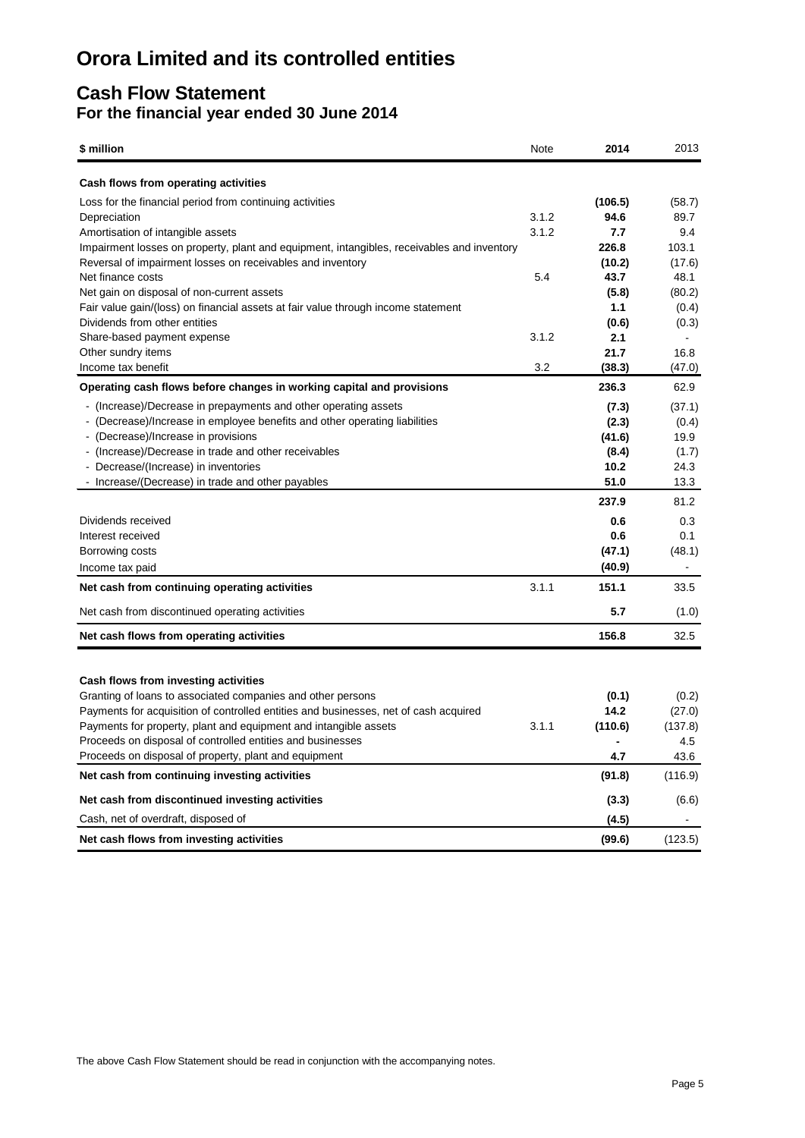### **Cash Flow Statement For the financial year ended 30 June 2014**

| \$ million                                                                                 | Note  | 2014    | 2013           |
|--------------------------------------------------------------------------------------------|-------|---------|----------------|
| Cash flows from operating activities                                                       |       |         |                |
| Loss for the financial period from continuing activities                                   |       | (106.5) | (58.7)         |
| Depreciation                                                                               | 3.1.2 | 94.6    | 89.7           |
| Amortisation of intangible assets                                                          | 3.1.2 | 7.7     | 9.4            |
| Impairment losses on property, plant and equipment, intangibles, receivables and inventory |       | 226.8   | 103.1          |
| Reversal of impairment losses on receivables and inventory                                 |       | (10.2)  | (17.6)         |
| Net finance costs                                                                          | 5.4   | 43.7    | 48.1           |
| Net gain on disposal of non-current assets                                                 |       | (5.8)   | (80.2)         |
| Fair value gain/(loss) on financial assets at fair value through income statement          |       | 1.1     | (0.4)          |
| Dividends from other entities                                                              |       | (0.6)   | (0.3)          |
| Share-based payment expense                                                                | 3.1.2 | 2.1     |                |
| Other sundry items                                                                         |       | 21.7    | 16.8           |
| Income tax benefit                                                                         | 3.2   | (38.3)  | (47.0)         |
| Operating cash flows before changes in working capital and provisions                      |       | 236.3   | 62.9           |
| - (Increase)/Decrease in prepayments and other operating assets                            |       | (7.3)   | (37.1)         |
| - (Decrease)/Increase in employee benefits and other operating liabilities                 |       | (2.3)   | (0.4)          |
| - (Decrease)/Increase in provisions                                                        |       | (41.6)  | 19.9           |
| - (Increase)/Decrease in trade and other receivables                                       |       | (8.4)   | (1.7)          |
| - Decrease/(Increase) in inventories                                                       |       | 10.2    | 24.3           |
| - Increase/(Decrease) in trade and other payables                                          |       | 51.0    | 13.3           |
|                                                                                            |       | 237.9   | 81.2           |
| Dividends received                                                                         |       | 0.6     | 0.3            |
| Interest received                                                                          |       | 0.6     | 0.1            |
| Borrowing costs                                                                            |       | (47.1)  | (48.1)         |
| Income tax paid                                                                            |       | (40.9)  | $\blacksquare$ |
| Net cash from continuing operating activities                                              | 3.1.1 | 151.1   | 33.5           |
| Net cash from discontinued operating activities                                            |       | 5.7     | (1.0)          |
| Net cash flows from operating activities                                                   |       | 156.8   | 32.5           |
|                                                                                            |       |         |                |
| Cash flows from investing activities                                                       |       |         |                |
| Granting of loans to associated companies and other persons                                |       | (0.1)   | (0.2)          |
| Payments for acquisition of controlled entities and businesses, net of cash acquired       |       | 14.2    | (27.0)         |
| Payments for property, plant and equipment and intangible assets                           | 3.1.1 | (110.6) | (137.8)        |
| Proceeds on disposal of controlled entities and businesses                                 |       |         | 4.5            |
| Proceeds on disposal of property, plant and equipment                                      |       | 4.7     | 43.6           |
| Net cash from continuing investing activities                                              |       | (91.8)  | (116.9)        |
| Net cash from discontinued investing activities                                            |       | (3.3)   | (6.6)          |
| Cash, net of overdraft, disposed of                                                        |       | (4.5)   |                |
| Net cash flows from investing activities                                                   |       | (99.6)  | (123.5)        |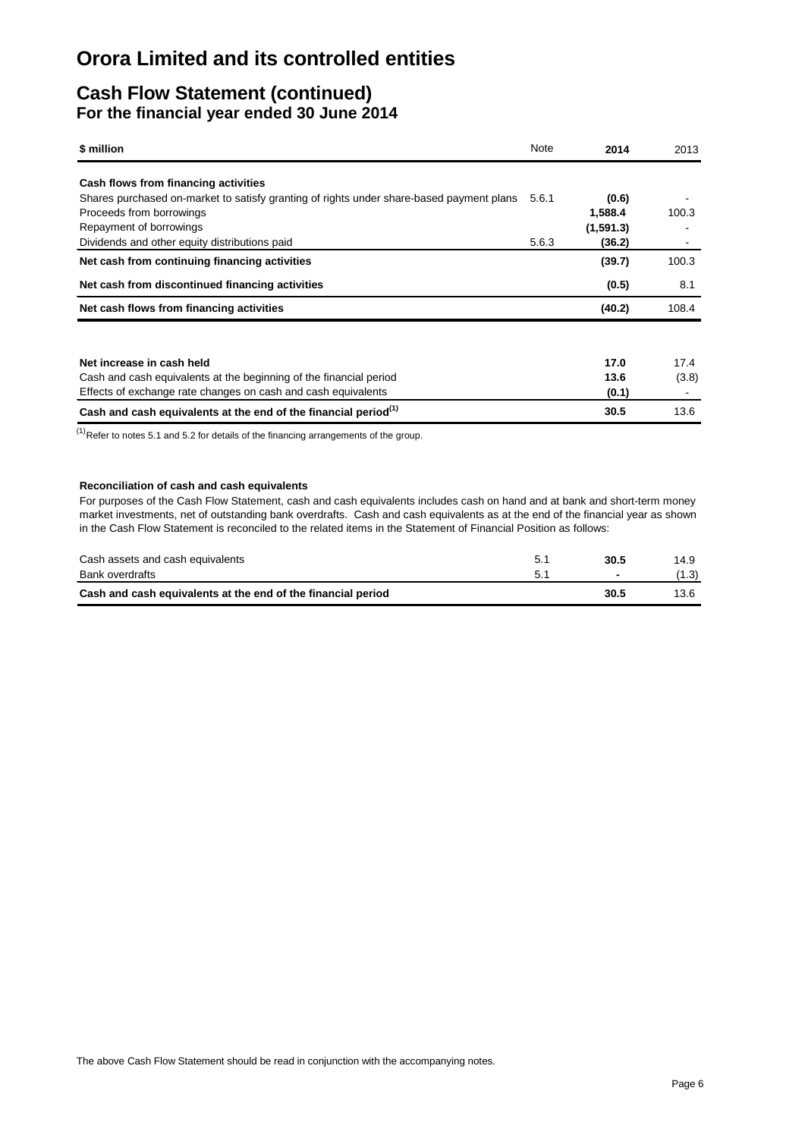### **Cash Flow Statement (continued) For the financial year ended 30 June 2014**

| \$ million                                                                               | Note  | 2014      | 2013  |
|------------------------------------------------------------------------------------------|-------|-----------|-------|
| Cash flows from financing activities                                                     |       |           |       |
| Shares purchased on-market to satisfy granting of rights under share-based payment plans | 5.6.1 | (0.6)     |       |
| Proceeds from borrowings                                                                 |       | 1,588.4   | 100.3 |
| Repayment of borrowings                                                                  |       | (1,591.3) |       |
| Dividends and other equity distributions paid                                            | 5.6.3 | (36.2)    |       |
| Net cash from continuing financing activities                                            |       | (39.7)    | 100.3 |
| Net cash from discontinued financing activities                                          |       | (0.5)     | 8.1   |
| Net cash flows from financing activities                                                 |       | (40.2)    | 108.4 |
|                                                                                          |       |           |       |
| Net increase in cash held                                                                |       | 17.0      | 17.4  |
| Cash and cash equivalents at the beginning of the financial period                       |       | 13.6      | (3.8) |
| Effects of exchange rate changes on cash and cash equivalents                            |       | (0.1)     |       |
| Cash and cash equivalents at the end of the financial period <sup>(1)</sup>              |       | 30.5      | 13.6  |

 $<sup>(1)</sup>$ Refer to notes 5.1 and 5.2 for details of the financing arrangements of the group.</sup>

#### **Reconciliation of cash and cash equivalents**

For purposes of the Cash Flow Statement, cash and cash equivalents includes cash on hand and at bank and short-term money market investments, net of outstanding bank overdrafts. Cash and cash equivalents as at the end of the financial year as shown in the Cash Flow Statement is reconciled to the related items in the Statement of Financial Position as follows:

| Cash assets and cash equivalents                             | 30.5 | 14.9  |
|--------------------------------------------------------------|------|-------|
| Bank overdrafts                                              |      | (1.3) |
| Cash and cash equivalents at the end of the financial period | 30.5 | 13.6  |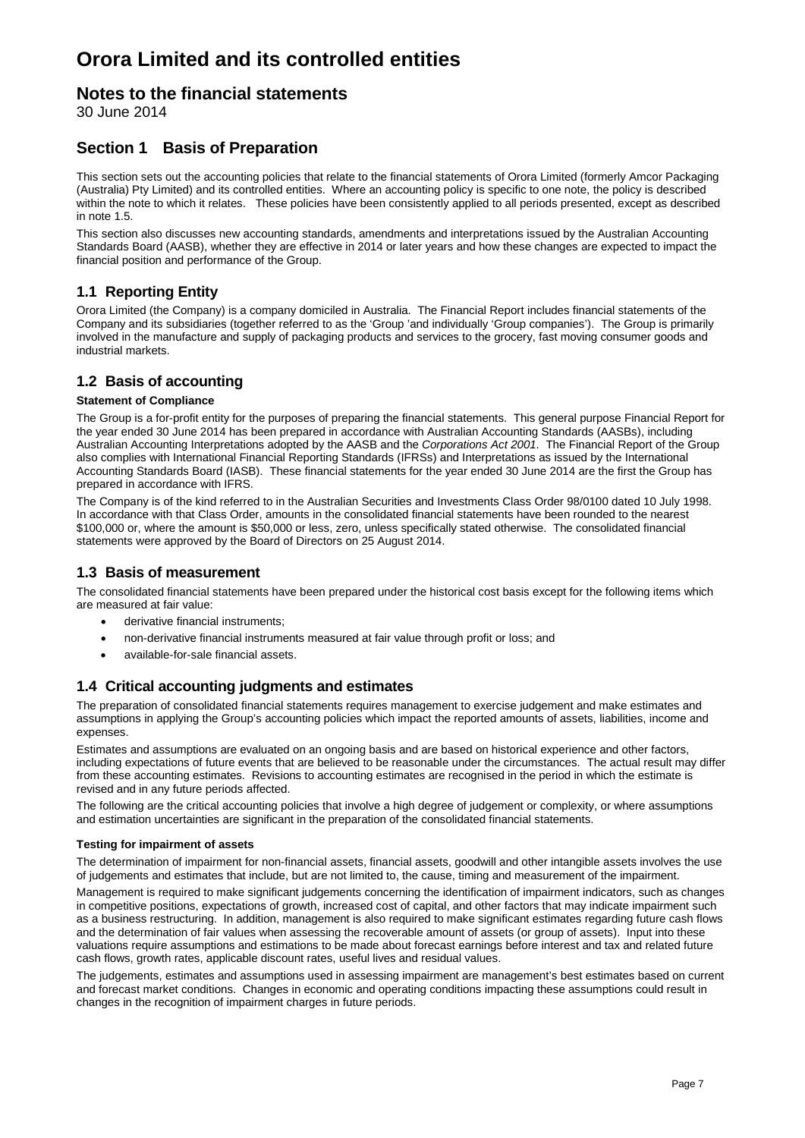### **Notes to the financial statements**

30 June 2014

### **Section 1 Basis of Preparation**

This section sets out the accounting policies that relate to the financial statements of Orora Limited (formerly Amcor Packaging (Australia) Pty Limited) and its controlled entities. Where an accounting policy is specific to one note, the policy is described within the note to which it relates. These policies have been consistently applied to all periods presented, except as described in note 1.5.

This section also discusses new accounting standards, amendments and interpretations issued by the Australian Accounting Standards Board (AASB), whether they are effective in 2014 or later years and how these changes are expected to impact the financial position and performance of the Group.

### **1.1 Reporting Entity**

Orora Limited (the Company) is a company domiciled in Australia. The Financial Report includes financial statements of the Company and its subsidiaries (together referred to as the 'Group 'and individually 'Group companies'). The Group is primarily involved in the manufacture and supply of packaging products and services to the grocery, fast moving consumer goods and industrial markets.

### **1.2 Basis of accounting**

#### **Statement of Compliance**

The Group is a for-profit entity for the purposes of preparing the financial statements. This general purpose Financial Report for the year ended 30 June 2014 has been prepared in accordance with Australian Accounting Standards (AASBs), including Australian Accounting Interpretations adopted by the AASB and the *Corporations Act 2001*. The Financial Report of the Group also complies with International Financial Reporting Standards (IFRSs) and Interpretations as issued by the International Accounting Standards Board (IASB). These financial statements for the year ended 30 June 2014 are the first the Group has prepared in accordance with IFRS.

The Company is of the kind referred to in the Australian Securities and Investments Class Order 98/0100 dated 10 July 1998. In accordance with that Class Order, amounts in the consolidated financial statements have been rounded to the nearest \$100,000 or, where the amount is \$50,000 or less, zero, unless specifically stated otherwise. The consolidated financial statements were approved by the Board of Directors on 25 August 2014.

### **1.3 Basis of measurement**

The consolidated financial statements have been prepared under the historical cost basis except for the following items which are measured at fair value:

- derivative financial instruments;
- non-derivative financial instruments measured at fair value through profit or loss; and
- available-for-sale financial assets.

### **1.4 Critical accounting judgments and estimates**

The preparation of consolidated financial statements requires management to exercise judgement and make estimates and assumptions in applying the Group's accounting policies which impact the reported amounts of assets, liabilities, income and expenses.

Estimates and assumptions are evaluated on an ongoing basis and are based on historical experience and other factors, including expectations of future events that are believed to be reasonable under the circumstances. The actual result may differ from these accounting estimates. Revisions to accounting estimates are recognised in the period in which the estimate is revised and in any future periods affected.

The following are the critical accounting policies that involve a high degree of judgement or complexity, or where assumptions and estimation uncertainties are significant in the preparation of the consolidated financial statements.

#### **Testing for impairment of assets**

The determination of impairment for non-financial assets, financial assets, goodwill and other intangible assets involves the use of judgements and estimates that include, but are not limited to, the cause, timing and measurement of the impairment.

Management is required to make significant judgements concerning the identification of impairment indicators, such as changes in competitive positions, expectations of growth, increased cost of capital, and other factors that may indicate impairment such as a business restructuring. In addition, management is also required to make significant estimates regarding future cash flows and the determination of fair values when assessing the recoverable amount of assets (or group of assets). Input into these valuations require assumptions and estimations to be made about forecast earnings before interest and tax and related future cash flows, growth rates, applicable discount rates, useful lives and residual values.

The judgements, estimates and assumptions used in assessing impairment are management's best estimates based on current and forecast market conditions. Changes in economic and operating conditions impacting these assumptions could result in changes in the recognition of impairment charges in future periods.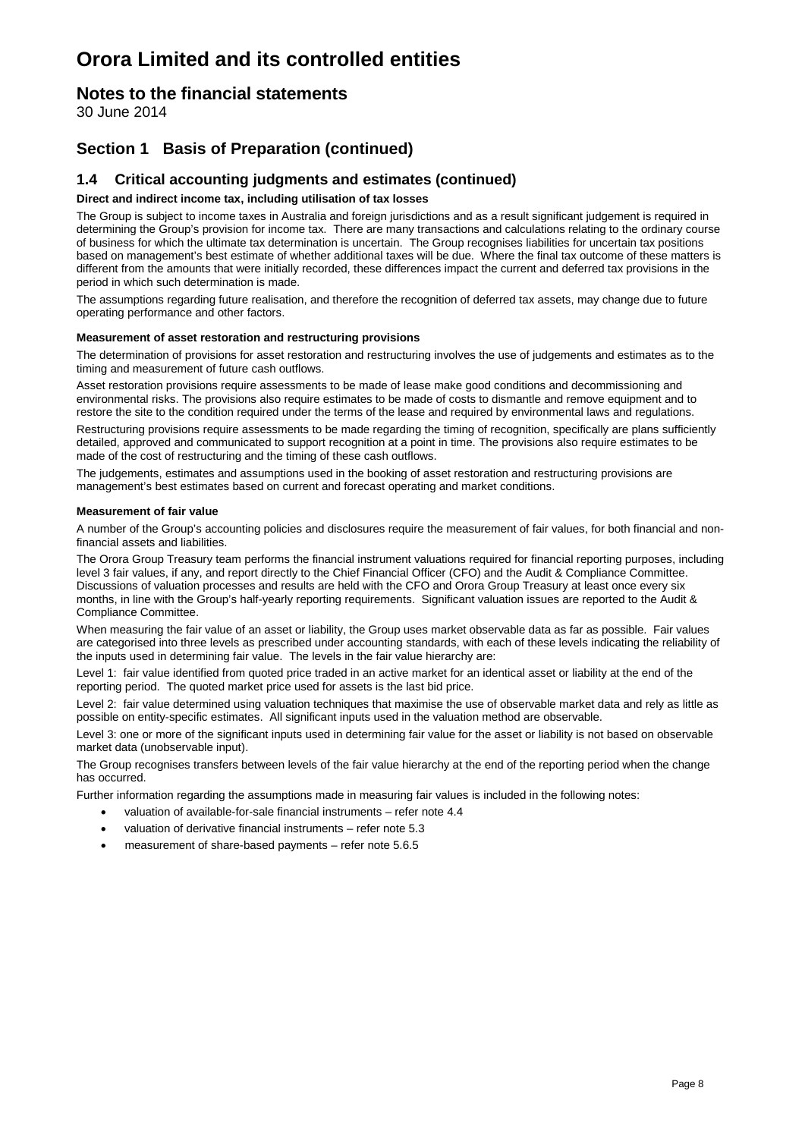### **Notes to the financial statements**

30 June 2014

### **Section 1 Basis of Preparation (continued)**

### **1.4 Critical accounting judgments and estimates (continued)**

#### **Direct and indirect income tax, including utilisation of tax losses**

The Group is subject to income taxes in Australia and foreign jurisdictions and as a result significant judgement is required in determining the Group's provision for income tax. There are many transactions and calculations relating to the ordinary course of business for which the ultimate tax determination is uncertain. The Group recognises liabilities for uncertain tax positions based on management's best estimate of whether additional taxes will be due. Where the final tax outcome of these matters is different from the amounts that were initially recorded, these differences impact the current and deferred tax provisions in the period in which such determination is made.

The assumptions regarding future realisation, and therefore the recognition of deferred tax assets, may change due to future operating performance and other factors.

#### **Measurement of asset restoration and restructuring provisions**

The determination of provisions for asset restoration and restructuring involves the use of judgements and estimates as to the timing and measurement of future cash outflows.

Asset restoration provisions require assessments to be made of lease make good conditions and decommissioning and environmental risks. The provisions also require estimates to be made of costs to dismantle and remove equipment and to restore the site to the condition required under the terms of the lease and required by environmental laws and regulations.

Restructuring provisions require assessments to be made regarding the timing of recognition, specifically are plans sufficiently detailed, approved and communicated to support recognition at a point in time. The provisions also require estimates to be made of the cost of restructuring and the timing of these cash outflows.

The judgements, estimates and assumptions used in the booking of asset restoration and restructuring provisions are management's best estimates based on current and forecast operating and market conditions.

#### **Measurement of fair value**

A number of the Group's accounting policies and disclosures require the measurement of fair values, for both financial and nonfinancial assets and liabilities.

The Orora Group Treasury team performs the financial instrument valuations required for financial reporting purposes, including level 3 fair values, if any, and report directly to the Chief Financial Officer (CFO) and the Audit & Compliance Committee. Discussions of valuation processes and results are held with the CFO and Orora Group Treasury at least once every six months, in line with the Group's half-yearly reporting requirements. Significant valuation issues are reported to the Audit & Compliance Committee.

When measuring the fair value of an asset or liability, the Group uses market observable data as far as possible. Fair values are categorised into three levels as prescribed under accounting standards, with each of these levels indicating the reliability of the inputs used in determining fair value. The levels in the fair value hierarchy are:

Level 1: fair value identified from quoted price traded in an active market for an identical asset or liability at the end of the reporting period. The quoted market price used for assets is the last bid price.

Level 2: fair value determined using valuation techniques that maximise the use of observable market data and rely as little as possible on entity-specific estimates. All significant inputs used in the valuation method are observable.

Level 3: one or more of the significant inputs used in determining fair value for the asset or liability is not based on observable market data (unobservable input).

The Group recognises transfers between levels of the fair value hierarchy at the end of the reporting period when the change has occurred.

Further information regarding the assumptions made in measuring fair values is included in the following notes:

- valuation of available-for-sale financial instruments refer note 4.4
- valuation of derivative financial instruments refer note 5.3
- measurement of share-based payments refer note 5.6.5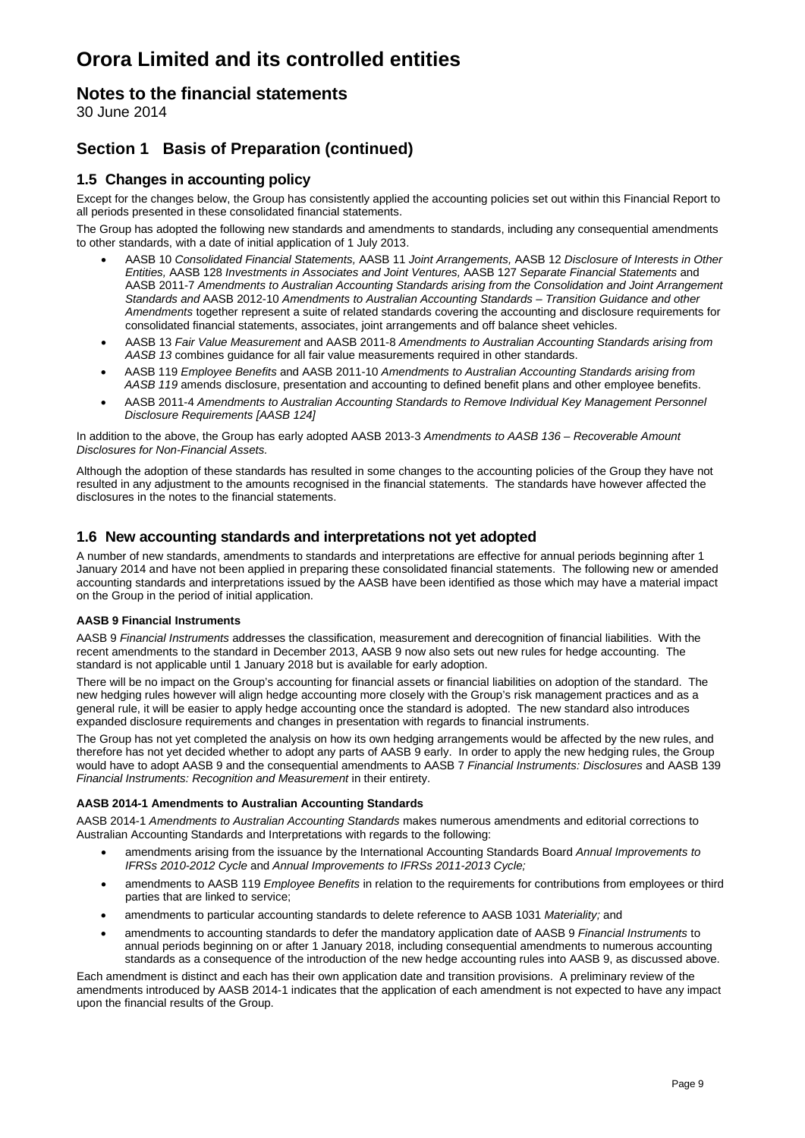### **Notes to the financial statements**

30 June 2014

### **Section 1 Basis of Preparation (continued)**

### **1.5 Changes in accounting policy**

Except for the changes below, the Group has consistently applied the accounting policies set out within this Financial Report to all periods presented in these consolidated financial statements.

The Group has adopted the following new standards and amendments to standards, including any consequential amendments to other standards, with a date of initial application of 1 July 2013.

- AASB 10 *Consolidated Financial Statements,* AASB 11 *Joint Arrangements,* AASB 12 *Disclosure of Interests in Other Entities,* AASB 128 *Investments in Associates and Joint Ventures,* AASB 127 *Separate Financial Statements* and AASB 2011-7 *Amendments to Australian Accounting Standards arising from the Consolidation and Joint Arrangement Standards and* AASB 2012-10 *Amendments to Australian Accounting Standards – Transition Guidance and other Amendments* together represent a suite of related standards covering the accounting and disclosure requirements for consolidated financial statements, associates, joint arrangements and off balance sheet vehicles.
- AASB 13 *Fair Value Measurement* and AASB 2011-8 *Amendments to Australian Accounting Standards arising from AASB 13* combines guidance for all fair value measurements required in other standards.
- AASB 119 *Employee Benefits* and AASB 2011-10 *Amendments to Australian Accounting Standards arising from AASB 119* amends disclosure, presentation and accounting to defined benefit plans and other employee benefits.
- AASB 2011-4 *Amendments to Australian Accounting Standards to Remove Individual Key Management Personnel Disclosure Requirements [AASB 124]*

In addition to the above, the Group has early adopted AASB 2013-3 *Amendments to AASB 136 – Recoverable Amount Disclosures for Non-Financial Assets.*

Although the adoption of these standards has resulted in some changes to the accounting policies of the Group they have not resulted in any adjustment to the amounts recognised in the financial statements. The standards have however affected the disclosures in the notes to the financial statements.

### **1.6 New accounting standards and interpretations not yet adopted**

A number of new standards, amendments to standards and interpretations are effective for annual periods beginning after 1 January 2014 and have not been applied in preparing these consolidated financial statements. The following new or amended accounting standards and interpretations issued by the AASB have been identified as those which may have a material impact on the Group in the period of initial application.

#### **AASB 9 Financial Instruments**

AASB 9 *Financial Instruments* addresses the classification, measurement and derecognition of financial liabilities. With the recent amendments to the standard in December 2013, AASB 9 now also sets out new rules for hedge accounting. The standard is not applicable until 1 January 2018 but is available for early adoption.

There will be no impact on the Group's accounting for financial assets or financial liabilities on adoption of the standard. The new hedging rules however will align hedge accounting more closely with the Group's risk management practices and as a general rule, it will be easier to apply hedge accounting once the standard is adopted. The new standard also introduces expanded disclosure requirements and changes in presentation with regards to financial instruments.

The Group has not yet completed the analysis on how its own hedging arrangements would be affected by the new rules, and therefore has not yet decided whether to adopt any parts of AASB 9 early. In order to apply the new hedging rules, the Group would have to adopt AASB 9 and the consequential amendments to AASB 7 *Financial Instruments: Disclosures* and AASB 139 *Financial Instruments: Recognition and Measurement* **in their entirety.** 

#### **AASB 2014-1 Amendments to Australian Accounting Standards**

AASB 2014-1 *Amendments to Australian Accounting Standards* makes numerous amendments and editorial corrections to Australian Accounting Standards and Interpretations with regards to the following:

- amendments arising from the issuance by the International Accounting Standards Board *Annual Improvements to IFRSs 2010-2012 Cycle* and *Annual Improvements to IFRSs 2011-2013 Cycle;*
- amendments to AASB 119 *Employee Benefits* in relation to the requirements for contributions from employees or third parties that are linked to service;
- amendments to particular accounting standards to delete reference to AASB 1031 *Materiality;* and
- amendments to accounting standards to defer the mandatory application date of AASB 9 *Financial Instruments* to annual periods beginning on or after 1 January 2018, including consequential amendments to numerous accounting standards as a consequence of the introduction of the new hedge accounting rules into AASB 9, as discussed above.

Each amendment is distinct and each has their own application date and transition provisions. A preliminary review of the amendments introduced by AASB 2014-1 indicates that the application of each amendment is not expected to have any impact upon the financial results of the Group.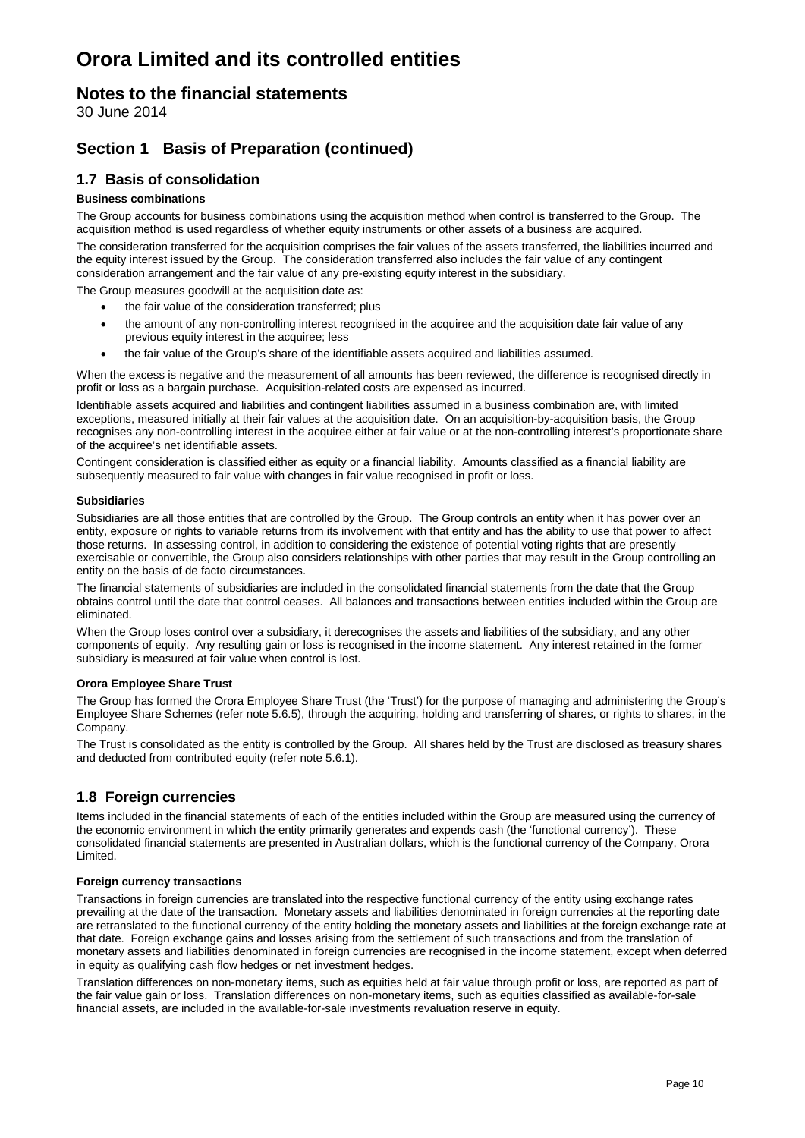### **Notes to the financial statements**

30 June 2014

### **Section 1 Basis of Preparation (continued)**

### **1.7 Basis of consolidation**

#### **Business combinations**

The Group accounts for business combinations using the acquisition method when control is transferred to the Group. The acquisition method is used regardless of whether equity instruments or other assets of a business are acquired.

The consideration transferred for the acquisition comprises the fair values of the assets transferred, the liabilities incurred and the equity interest issued by the Group. The consideration transferred also includes the fair value of any contingent consideration arrangement and the fair value of any pre-existing equity interest in the subsidiary.

The Group measures goodwill at the acquisition date as:

- the fair value of the consideration transferred; plus
- the amount of any non-controlling interest recognised in the acquiree and the acquisition date fair value of any previous equity interest in the acquiree; less
- the fair value of the Group's share of the identifiable assets acquired and liabilities assumed.

When the excess is negative and the measurement of all amounts has been reviewed, the difference is recognised directly in profit or loss as a bargain purchase. Acquisition-related costs are expensed as incurred.

Identifiable assets acquired and liabilities and contingent liabilities assumed in a business combination are, with limited exceptions, measured initially at their fair values at the acquisition date. On an acquisition-by-acquisition basis, the Group recognises any non-controlling interest in the acquiree either at fair value or at the non-controlling interest's proportionate share of the acquiree's net identifiable assets.

Contingent consideration is classified either as equity or a financial liability. Amounts classified as a financial liability are subsequently measured to fair value with changes in fair value recognised in profit or loss.

#### **Subsidiaries**

Subsidiaries are all those entities that are controlled by the Group. The Group controls an entity when it has power over an entity, exposure or rights to variable returns from its involvement with that entity and has the ability to use that power to affect those returns. In assessing control, in addition to considering the existence of potential voting rights that are presently exercisable or convertible, the Group also considers relationships with other parties that may result in the Group controlling an entity on the basis of de facto circumstances.

The financial statements of subsidiaries are included in the consolidated financial statements from the date that the Group obtains control until the date that control ceases. All balances and transactions between entities included within the Group are eliminated.

When the Group loses control over a subsidiary, it derecognises the assets and liabilities of the subsidiary, and any other components of equity. Any resulting gain or loss is recognised in the income statement. Any interest retained in the former subsidiary is measured at fair value when control is lost.

#### **Orora Employee Share Trust**

The Group has formed the Orora Employee Share Trust (the 'Trust') for the purpose of managing and administering the Group's Employee Share Schemes (refer note 5.6.5), through the acquiring, holding and transferring of shares, or rights to shares, in the Company.

The Trust is consolidated as the entity is controlled by the Group. All shares held by the Trust are disclosed as treasury shares and deducted from contributed equity (refer note 5.6.1).

### **1.8 Foreign currencies**

Items included in the financial statements of each of the entities included within the Group are measured using the currency of the economic environment in which the entity primarily generates and expends cash (the 'functional currency'). These consolidated financial statements are presented in Australian dollars, which is the functional currency of the Company, Orora Limited.

#### **Foreign currency transactions**

Transactions in foreign currencies are translated into the respective functional currency of the entity using exchange rates prevailing at the date of the transaction. Monetary assets and liabilities denominated in foreign currencies at the reporting date are retranslated to the functional currency of the entity holding the monetary assets and liabilities at the foreign exchange rate at that date. Foreign exchange gains and losses arising from the settlement of such transactions and from the translation of monetary assets and liabilities denominated in foreign currencies are recognised in the income statement, except when deferred in equity as qualifying cash flow hedges or net investment hedges.

Translation differences on non-monetary items, such as equities held at fair value through profit or loss, are reported as part of the fair value gain or loss. Translation differences on non-monetary items, such as equities classified as available-for-sale financial assets, are included in the available-for-sale investments revaluation reserve in equity.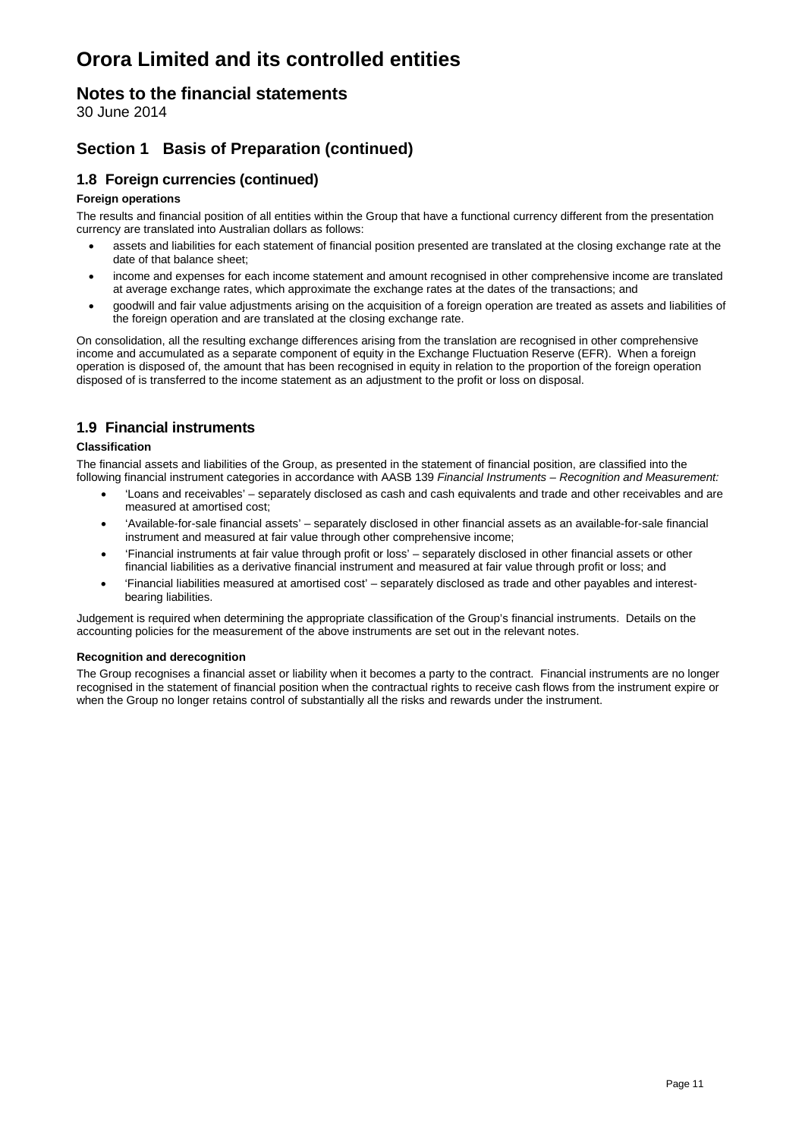### **Notes to the financial statements**

30 June 2014

### **Section 1 Basis of Preparation (continued)**

### **1.8 Foreign currencies (continued)**

#### **Foreign operations**

The results and financial position of all entities within the Group that have a functional currency different from the presentation currency are translated into Australian dollars as follows:

- assets and liabilities for each statement of financial position presented are translated at the closing exchange rate at the date of that balance sheet;
- income and expenses for each income statement and amount recognised in other comprehensive income are translated at average exchange rates, which approximate the exchange rates at the dates of the transactions; and
- goodwill and fair value adjustments arising on the acquisition of a foreign operation are treated as assets and liabilities of the foreign operation and are translated at the closing exchange rate.

On consolidation, all the resulting exchange differences arising from the translation are recognised in other comprehensive income and accumulated as a separate component of equity in the Exchange Fluctuation Reserve (EFR). When a foreign operation is disposed of, the amount that has been recognised in equity in relation to the proportion of the foreign operation disposed of is transferred to the income statement as an adjustment to the profit or loss on disposal.

### **1.9 Financial instruments**

#### **Classification**

The financial assets and liabilities of the Group, as presented in the statement of financial position, are classified into the following financial instrument categories in accordance with AASB 139 *Financial Instruments – Recognition and Measurement:*

- 'Loans and receivables' separately disclosed as cash and cash equivalents and trade and other receivables and are measured at amortised cost;
- 'Available-for-sale financial assets' separately disclosed in other financial assets as an available-for-sale financial instrument and measured at fair value through other comprehensive income;
- 'Financial instruments at fair value through profit or loss' separately disclosed in other financial assets or other financial liabilities as a derivative financial instrument and measured at fair value through profit or loss; and
- 'Financial liabilities measured at amortised cost' separately disclosed as trade and other payables and interestbearing liabilities.

Judgement is required when determining the appropriate classification of the Group's financial instruments. Details on the accounting policies for the measurement of the above instruments are set out in the relevant notes.

#### **Recognition and derecognition**

The Group recognises a financial asset or liability when it becomes a party to the contract. Financial instruments are no longer recognised in the statement of financial position when the contractual rights to receive cash flows from the instrument expire or when the Group no longer retains control of substantially all the risks and rewards under the instrument.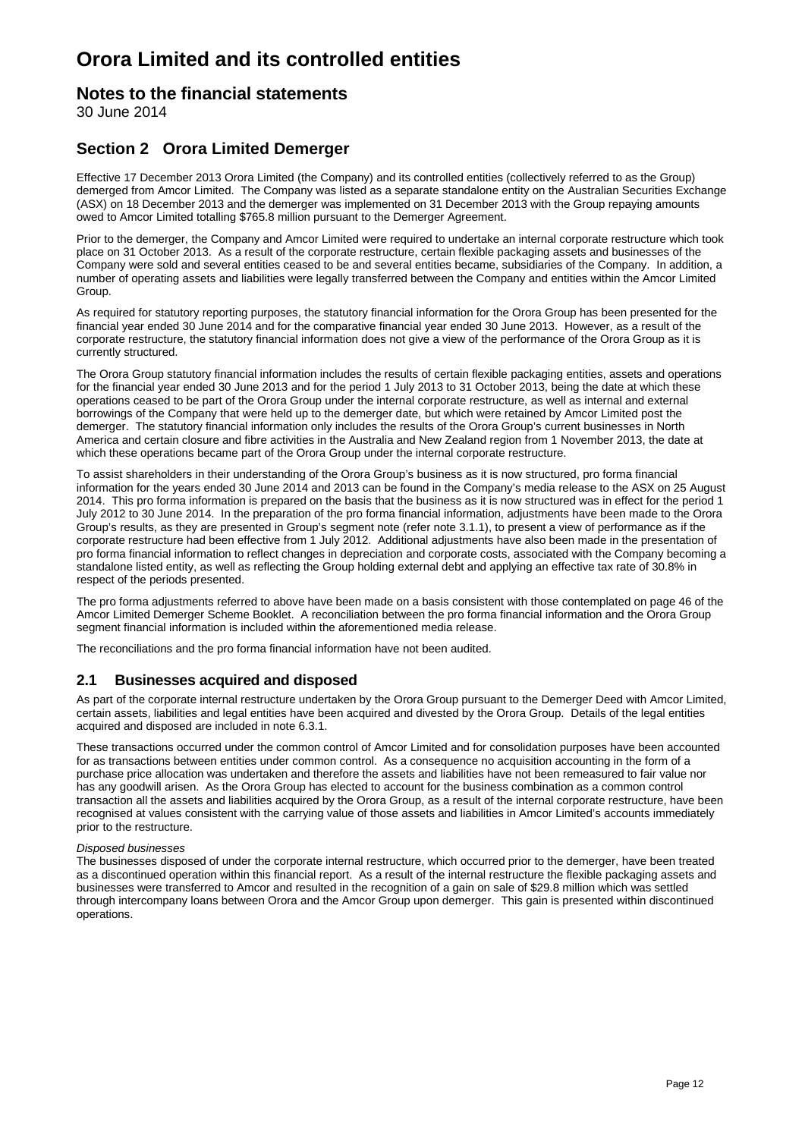### **Notes to the financial statements**

30 June 2014

### **Section 2 Orora Limited Demerger**

Effective 17 December 2013 Orora Limited (the Company) and its controlled entities (collectively referred to as the Group) demerged from Amcor Limited. The Company was listed as a separate standalone entity on the Australian Securities Exchange (ASX) on 18 December 2013 and the demerger was implemented on 31 December 2013 with the Group repaying amounts owed to Amcor Limited totalling \$765.8 million pursuant to the Demerger Agreement.

Prior to the demerger, the Company and Amcor Limited were required to undertake an internal corporate restructure which took place on 31 October 2013. As a result of the corporate restructure, certain flexible packaging assets and businesses of the Company were sold and several entities ceased to be and several entities became, subsidiaries of the Company. In addition, a number of operating assets and liabilities were legally transferred between the Company and entities within the Amcor Limited Group.

As required for statutory reporting purposes, the statutory financial information for the Orora Group has been presented for the financial year ended 30 June 2014 and for the comparative financial year ended 30 June 2013. However, as a result of the corporate restructure, the statutory financial information does not give a view of the performance of the Orora Group as it is currently structured.

The Orora Group statutory financial information includes the results of certain flexible packaging entities, assets and operations for the financial year ended 30 June 2013 and for the period 1 July 2013 to 31 October 2013, being the date at which these operations ceased to be part of the Orora Group under the internal corporate restructure, as well as internal and external borrowings of the Company that were held up to the demerger date, but which were retained by Amcor Limited post the demerger. The statutory financial information only includes the results of the Orora Group's current businesses in North America and certain closure and fibre activities in the Australia and New Zealand region from 1 November 2013, the date at which these operations became part of the Orora Group under the internal corporate restructure.

To assist shareholders in their understanding of the Orora Group's business as it is now structured, pro forma financial information for the years ended 30 June 2014 and 2013 can be found in the Company's media release to the ASX on 25 August 2014. This pro forma information is prepared on the basis that the business as it is now structured was in effect for the period 1 July 2012 to 30 June 2014. In the preparation of the pro forma financial information, adjustments have been made to the Orora Group's results, as they are presented in Group's segment note (refer note 3.1.1), to present a view of performance as if the corporate restructure had been effective from 1 July 2012. Additional adjustments have also been made in the presentation of pro forma financial information to reflect changes in depreciation and corporate costs, associated with the Company becoming a standalone listed entity, as well as reflecting the Group holding external debt and applying an effective tax rate of 30.8% in respect of the periods presented.

The pro forma adjustments referred to above have been made on a basis consistent with those contemplated on page 46 of the Amcor Limited Demerger Scheme Booklet. A reconciliation between the pro forma financial information and the Orora Group segment financial information is included within the aforementioned media release.

The reconciliations and the pro forma financial information have not been audited.

### **2.1 Businesses acquired and disposed**

As part of the corporate internal restructure undertaken by the Orora Group pursuant to the Demerger Deed with Amcor Limited, certain assets, liabilities and legal entities have been acquired and divested by the Orora Group. Details of the legal entities acquired and disposed are included in note 6.3.1.

These transactions occurred under the common control of Amcor Limited and for consolidation purposes have been accounted for as transactions between entities under common control. As a consequence no acquisition accounting in the form of a purchase price allocation was undertaken and therefore the assets and liabilities have not been remeasured to fair value nor has any goodwill arisen. As the Orora Group has elected to account for the business combination as a common control transaction all the assets and liabilities acquired by the Orora Group, as a result of the internal corporate restructure, have been recognised at values consistent with the carrying value of those assets and liabilities in Amcor Limited's accounts immediately prior to the restructure.

#### *Disposed businesses*

The businesses disposed of under the corporate internal restructure, which occurred prior to the demerger, have been treated as a discontinued operation within this financial report. As a result of the internal restructure the flexible packaging assets and businesses were transferred to Amcor and resulted in the recognition of a gain on sale of \$29.8 million which was settled through intercompany loans between Orora and the Amcor Group upon demerger. This gain is presented within discontinued operations.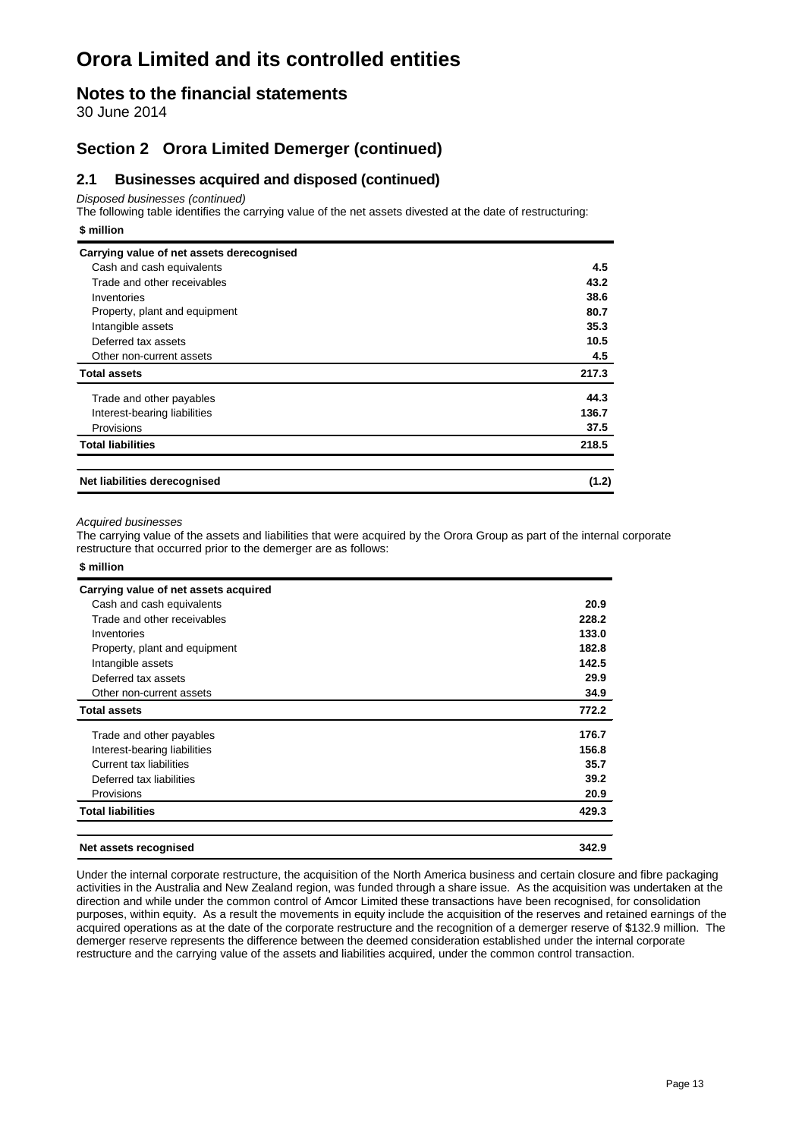### **Notes to the financial statements**

30 June 2014

### **Section 2 Orora Limited Demerger (continued)**

### **2.1 Businesses acquired and disposed (continued)**

*Disposed businesses (continued)*

The following table identifies the carrying value of the net assets divested at the date of restructuring: **\$ million**

| Carrying value of net assets derecognised |       |
|-------------------------------------------|-------|
| Cash and cash equivalents                 | 4.5   |
| Trade and other receivables               | 43.2  |
| Inventories                               | 38.6  |
| Property, plant and equipment             | 80.7  |
| Intangible assets                         | 35.3  |
| Deferred tax assets                       | 10.5  |
| Other non-current assets                  | 4.5   |
| <b>Total assets</b>                       | 217.3 |
| Trade and other payables                  | 44.3  |
| Interest-bearing liabilities              | 136.7 |
| Provisions                                | 37.5  |
| <b>Total liabilities</b>                  | 218.5 |
| Net liabilities derecognised              | (1.2) |

#### *Acquired businesses*

**\$ million**

The carrying value of the assets and liabilities that were acquired by the Orora Group as part of the internal corporate restructure that occurred prior to the demerger are as follows:

| .                                     |       |
|---------------------------------------|-------|
| Carrying value of net assets acquired |       |
| Cash and cash equivalents             | 20.9  |
| Trade and other receivables           | 228.2 |
| Inventories                           | 133.0 |
| Property, plant and equipment         | 182.8 |
| Intangible assets                     | 142.5 |
| Deferred tax assets                   | 29.9  |
| Other non-current assets              | 34.9  |
| <b>Total assets</b>                   | 772.2 |
| Trade and other payables              | 176.7 |
| Interest-bearing liabilities          | 156.8 |
| Current tax liabilities               | 35.7  |
| Deferred tax liabilities              | 39.2  |
| Provisions                            | 20.9  |
| <b>Total liabilities</b>              | 429.3 |
| Net assets recognised                 | 342.9 |

Under the internal corporate restructure, the acquisition of the North America business and certain closure and fibre packaging activities in the Australia and New Zealand region, was funded through a share issue. As the acquisition was undertaken at the direction and while under the common control of Amcor Limited these transactions have been recognised, for consolidation purposes, within equity. As a result the movements in equity include the acquisition of the reserves and retained earnings of the acquired operations as at the date of the corporate restructure and the recognition of a demerger reserve of \$132.9 million. The demerger reserve represents the difference between the deemed consideration established under the internal corporate restructure and the carrying value of the assets and liabilities acquired, under the common control transaction.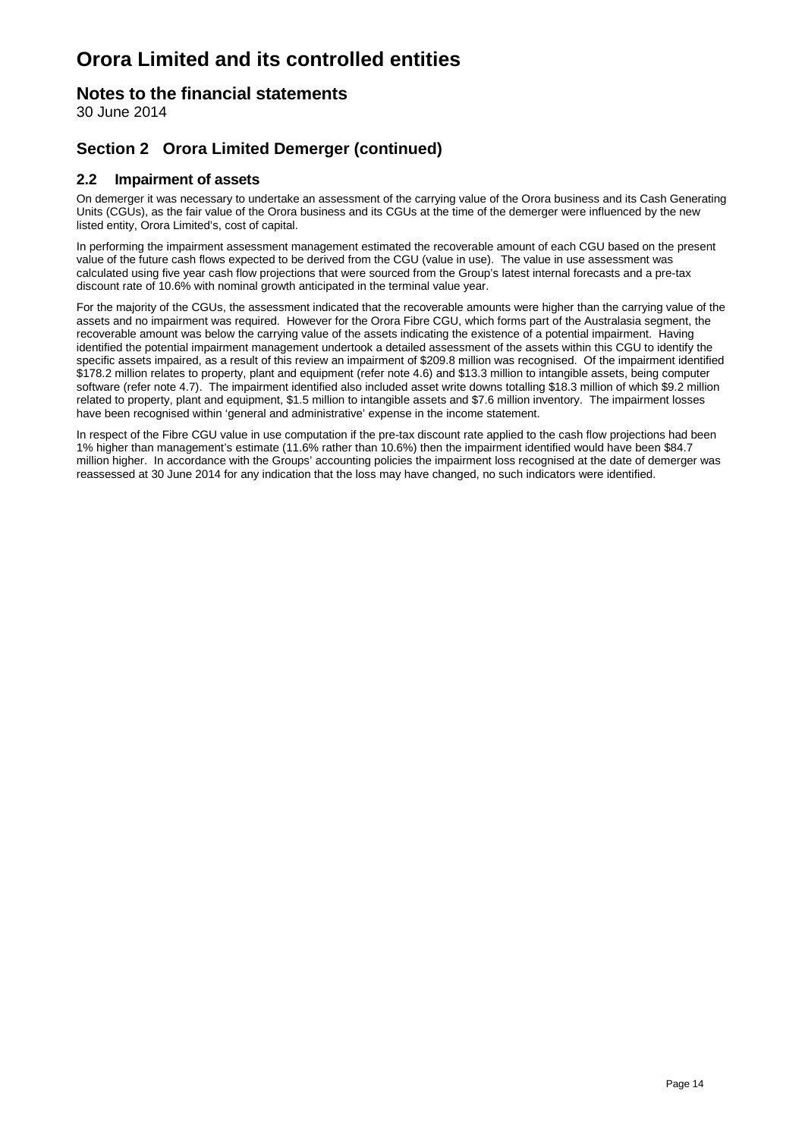### **Notes to the financial statements**

30 June 2014

### **Section 2 Orora Limited Demerger (continued)**

### **2.2 Impairment of assets**

On demerger it was necessary to undertake an assessment of the carrying value of the Orora business and its Cash Generating Units (CGUs), as the fair value of the Orora business and its CGUs at the time of the demerger were influenced by the new listed entity, Orora Limited's, cost of capital.

In performing the impairment assessment management estimated the recoverable amount of each CGU based on the present value of the future cash flows expected to be derived from the CGU (value in use). The value in use assessment was calculated using five year cash flow projections that were sourced from the Group's latest internal forecasts and a pre-tax discount rate of 10.6% with nominal growth anticipated in the terminal value year.

For the majority of the CGUs, the assessment indicated that the recoverable amounts were higher than the carrying value of the assets and no impairment was required. However for the Orora Fibre CGU, which forms part of the Australasia segment, the recoverable amount was below the carrying value of the assets indicating the existence of a potential impairment. Having identified the potential impairment management undertook a detailed assessment of the assets within this CGU to identify the specific assets impaired, as a result of this review an impairment of \$209.8 million was recognised. Of the impairment identified \$178.2 million relates to property, plant and equipment (refer note 4.6) and \$13.3 million to intangible assets, being computer software (refer note 4.7). The impairment identified also included asset write downs totalling \$18.3 million of which \$9.2 million related to property, plant and equipment, \$1.5 million to intangible assets and \$7.6 million inventory. The impairment losses have been recognised within 'general and administrative' expense in the income statement.

In respect of the Fibre CGU value in use computation if the pre-tax discount rate applied to the cash flow projections had been 1% higher than management's estimate (11.6% rather than 10.6%) then the impairment identified would have been \$84.7 million higher. In accordance with the Groups' accounting policies the impairment loss recognised at the date of demerger was reassessed at 30 June 2014 for any indication that the loss may have changed, no such indicators were identified.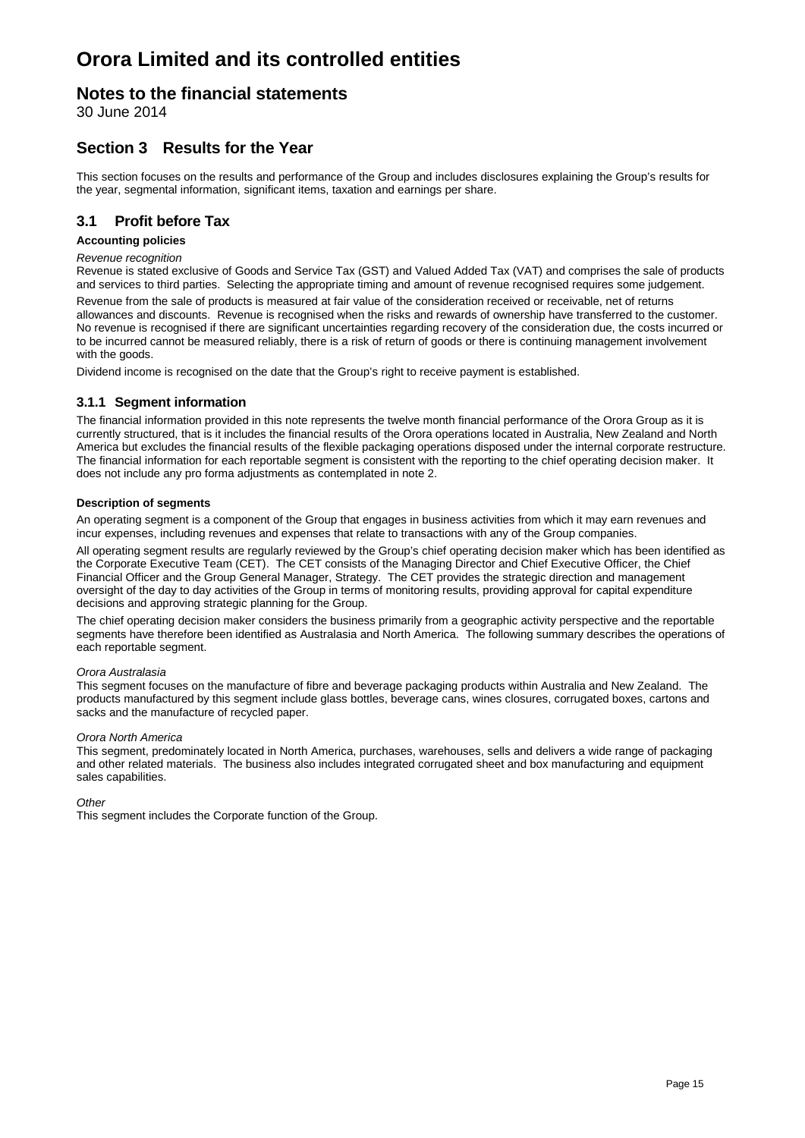### **Notes to the financial statements**

30 June 2014

### **Section 3 Results for the Year**

This section focuses on the results and performance of the Group and includes disclosures explaining the Group's results for the year, segmental information, significant items, taxation and earnings per share.

### **3.1 Profit before Tax**

#### **Accounting policies**

#### *Revenue recognition*

Revenue is stated exclusive of Goods and Service Tax (GST) and Valued Added Tax (VAT) and comprises the sale of products and services to third parties. Selecting the appropriate timing and amount of revenue recognised requires some judgement. Revenue from the sale of products is measured at fair value of the consideration received or receivable, net of returns allowances and discounts. Revenue is recognised when the risks and rewards of ownership have transferred to the customer. No revenue is recognised if there are significant uncertainties regarding recovery of the consideration due, the costs incurred or to be incurred cannot be measured reliably, there is a risk of return of goods or there is continuing management involvement with the goods.

Dividend income is recognised on the date that the Group's right to receive payment is established.

#### **3.1.1 Segment information**

The financial information provided in this note represents the twelve month financial performance of the Orora Group as it is currently structured, that is it includes the financial results of the Orora operations located in Australia, New Zealand and North America but excludes the financial results of the flexible packaging operations disposed under the internal corporate restructure. The financial information for each reportable segment is consistent with the reporting to the chief operating decision maker. It does not include any pro forma adjustments as contemplated in note 2.

#### **Description of segments**

An operating segment is a component of the Group that engages in business activities from which it may earn revenues and incur expenses, including revenues and expenses that relate to transactions with any of the Group companies.

All operating segment results are regularly reviewed by the Group's chief operating decision maker which has been identified as the Corporate Executive Team (CET). The CET consists of the Managing Director and Chief Executive Officer, the Chief Financial Officer and the Group General Manager, Strategy. The CET provides the strategic direction and management oversight of the day to day activities of the Group in terms of monitoring results, providing approval for capital expenditure decisions and approving strategic planning for the Group.

The chief operating decision maker considers the business primarily from a geographic activity perspective and the reportable segments have therefore been identified as Australasia and North America. The following summary describes the operations of each reportable segment.

#### *Orora Australasia*

This segment focuses on the manufacture of fibre and beverage packaging products within Australia and New Zealand. The products manufactured by this segment include glass bottles, beverage cans, wines closures, corrugated boxes, cartons and sacks and the manufacture of recycled paper.

#### *Orora North America*

This segment, predominately located in North America, purchases, warehouses, sells and delivers a wide range of packaging and other related materials. The business also includes integrated corrugated sheet and box manufacturing and equipment sales capabilities.

#### *Other*

This segment includes the Corporate function of the Group.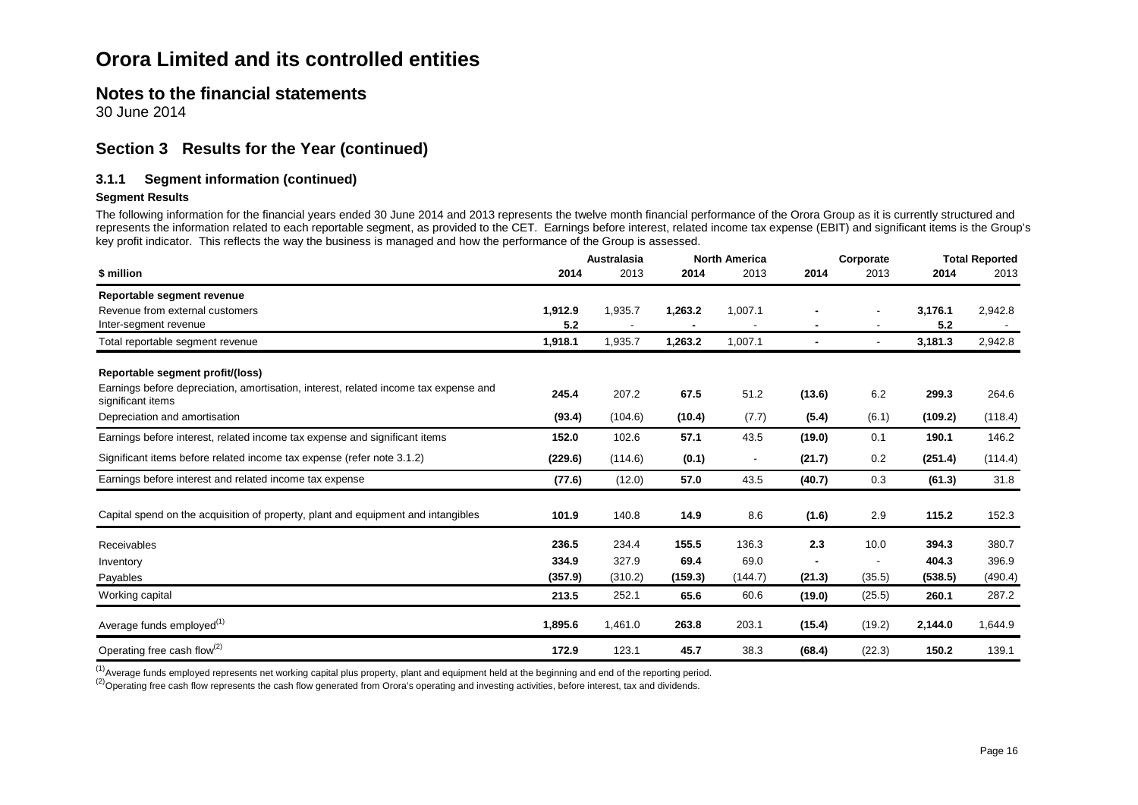### **Notes to the financial statements**

30 June 2014

### **Section 3 Results for the Year (continued)**

#### **3.1.1 Segment information (continued)**

#### **Segment Results**

The following information for the financial years ended 30 June 2014 and 2013 represents the twelve month financial performance of the Orora Group as it is currently structured and represents the information related to each reportable segment, as provided to the CET. Earnings before interest, related income tax expense (EBIT) and significant items is the Group's key profit indicator. This reflects the way the business is managed and how the performance of the Group is assessed.

|                                                                                                           |         | Australasia |         | <b>North America</b>     |                | Corporate |         | <b>Total Reported</b> |
|-----------------------------------------------------------------------------------------------------------|---------|-------------|---------|--------------------------|----------------|-----------|---------|-----------------------|
| \$ million                                                                                                | 2014    | 2013        | 2014    | 2013                     | 2014           | 2013      | 2014    | 2013                  |
| Reportable segment revenue                                                                                |         |             |         |                          |                |           |         |                       |
| Revenue from external customers                                                                           | 1,912.9 | 1,935.7     | 1,263.2 | 1,007.1                  |                |           | 3,176.1 | 2,942.8               |
| Inter-segment revenue                                                                                     | 5.2     |             |         |                          | $\blacksquare$ |           | 5.2     |                       |
| Total reportable segment revenue                                                                          | 1,918.1 | 1,935.7     | 1,263.2 | 1,007.1                  | $\blacksquare$ |           | 3,181.3 | 2,942.8               |
| Reportable segment profit/(loss)                                                                          |         |             |         |                          |                |           |         |                       |
| Earnings before depreciation, amortisation, interest, related income tax expense and<br>significant items | 245.4   | 207.2       | 67.5    | 51.2                     | (13.6)         | 6.2       | 299.3   | 264.6                 |
| Depreciation and amortisation                                                                             | (93.4)  | (104.6)     | (10.4)  | (7.7)                    | (5.4)          | (6.1)     | (109.2) | (118.4)               |
| Earnings before interest, related income tax expense and significant items                                | 152.0   | 102.6       | 57.1    | 43.5                     | (19.0)         | 0.1       | 190.1   | 146.2                 |
| Significant items before related income tax expense (refer note 3.1.2)                                    | (229.6) | (114.6)     | (0.1)   | $\overline{\phantom{a}}$ | (21.7)         | 0.2       | (251.4) | (114.4)               |
| Earnings before interest and related income tax expense                                                   | (77.6)  | (12.0)      | 57.0    | 43.5                     | (40.7)         | 0.3       | (61.3)  | 31.8                  |
| Capital spend on the acquisition of property, plant and equipment and intangibles                         | 101.9   | 140.8       | 14.9    | 8.6                      | (1.6)          | 2.9       | 115.2   | 152.3                 |
| Receivables                                                                                               | 236.5   | 234.4       | 155.5   | 136.3                    | 2.3            | 10.0      | 394.3   | 380.7                 |
| Inventory                                                                                                 | 334.9   | 327.9       | 69.4    | 69.0                     | $\blacksquare$ |           | 404.3   | 396.9                 |
| Payables                                                                                                  | (357.9) | (310.2)     | (159.3) | (144.7)                  | (21.3)         | (35.5)    | (538.5) | (490.4)               |
| Working capital                                                                                           | 213.5   | 252.1       | 65.6    | 60.6                     | (19.0)         | (25.5)    | 260.1   | 287.2                 |
| Average funds employed <sup>(1)</sup>                                                                     | 1,895.6 | 1,461.0     | 263.8   | 203.1                    | (15.4)         | (19.2)    | 2,144.0 | 1,644.9               |
| Operating free cash flow <sup>(2)</sup>                                                                   | 172.9   | 123.1       | 45.7    | 38.3                     | (68.4)         | (22.3)    | 150.2   | 139.1                 |

<sup>(1)</sup>Average funds employed represents net working capital plus property, plant and equipment held at the beginning and end of the reporting period.

<sup>(2)</sup> Operating free cash flow represents the cash flow generated from Orora's operating and investing activities, before interest, tax and dividends.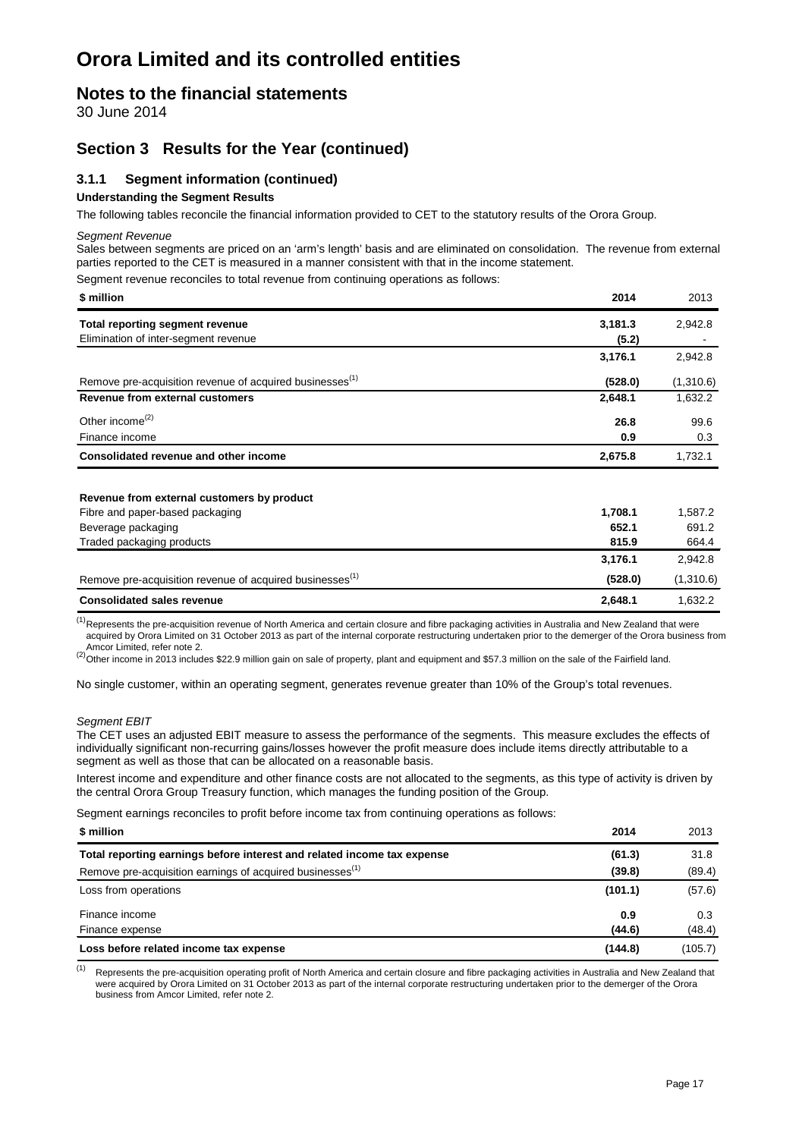### **Notes to the financial statements**

30 June 2014

### **Section 3 Results for the Year (continued)**

#### **3.1.1 Segment information (continued)**

#### **Understanding the Segment Results**

The following tables reconcile the financial information provided to CET to the statutory results of the Orora Group.

*Segment Revenue*

Sales between segments are priced on an 'arm's length' basis and are eliminated on consolidation. The revenue from external parties reported to the CET is measured in a manner consistent with that in the income statement.

Segment revenue reconciles to total revenue from continuing operations as follows:

| \$ million                                                           | 2014    | 2013      |
|----------------------------------------------------------------------|---------|-----------|
| Total reporting segment revenue                                      | 3,181.3 | 2,942.8   |
| Elimination of inter-segment revenue                                 | (5.2)   |           |
|                                                                      | 3,176.1 | 2,942.8   |
| Remove pre-acquisition revenue of acquired businesses <sup>(1)</sup> | (528.0) | (1,310.6) |
| Revenue from external customers                                      | 2,648.1 | 1,632.2   |
| Other income <sup>(2)</sup>                                          | 26.8    | 99.6      |
| Finance income                                                       | 0.9     | 0.3       |
| Consolidated revenue and other income                                | 2,675.8 | 1,732.1   |
|                                                                      |         |           |

| <b>Consolidated sales revenue</b>                                    | 2.648.1 | 1.632.2   |
|----------------------------------------------------------------------|---------|-----------|
| Remove pre-acquisition revenue of acquired businesses <sup>(1)</sup> | (528.0) | (1,310.6) |
|                                                                      | 3.176.1 | 2.942.8   |
| Traded packaging products                                            | 815.9   | 664.4     |
| Beverage packaging                                                   | 652.1   | 691.2     |
| Fibre and paper-based packaging                                      | 1.708.1 | 1.587.2   |
| Revenue from external customers by product                           |         |           |

(1) Represents the pre-acquisition revenue of North America and certain closure and fibre packaging activities in Australia and New Zealand that were acquired by Orora Limited on 31 October 2013 as part of the internal corporate restructuring undertaken prior to the demerger of the Orora business from<br>Amcor Limited. refer note 2.

Amcor Limited, refer note 2.<br><sup>(2)</sup>Other income in 2013 includes \$22.9 million gain on sale of property, plant and equipment and \$57.3 million on the sale of the Fairfield land.

No single customer, within an operating segment, generates revenue greater than 10% of the Group's total revenues.

#### *Segment EBIT*

The CET uses an adjusted EBIT measure to assess the performance of the segments. This measure excludes the effects of individually significant non-recurring gains/losses however the profit measure does include items directly attributable to a segment as well as those that can be allocated on a reasonable basis.

Interest income and expenditure and other finance costs are not allocated to the segments, as this type of activity is driven by the central Orora Group Treasury function, which manages the funding position of the Group.

Segment earnings reconciles to profit before income tax from continuing operations as follows:

| \$ million                                                              | 2014    | 2013    |
|-------------------------------------------------------------------------|---------|---------|
| Total reporting earnings before interest and related income tax expense | (61.3)  | 31.8    |
| Remove pre-acquisition earnings of acquired businesses <sup>(1)</sup>   | (39.8)  | (89.4)  |
| Loss from operations                                                    | (101.1) | (57.6)  |
| Finance income                                                          | 0.9     | 0.3     |
| Finance expense                                                         | (44.6)  | (48.4)  |
| Loss before related income tax expense                                  | (144.8) | (105.7) |

(1) Represents the pre-acquisition operating profit of North America and certain closure and fibre packaging activities in Australia and New Zealand that were acquired by Orora Limited on 31 October 2013 as part of the internal corporate restructuring undertaken prior to the demerger of the Orora business from Amcor Limited, refer note 2.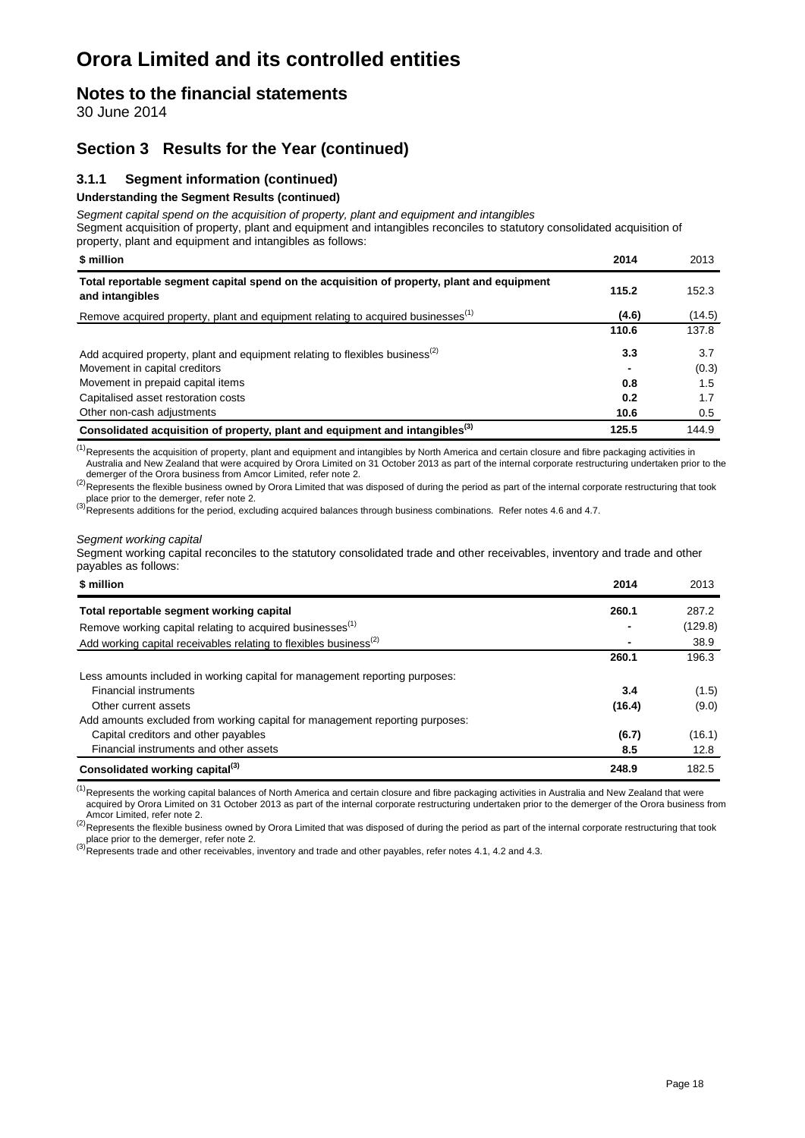### **Notes to the financial statements**

30 June 2014

### **Section 3 Results for the Year (continued)**

### **3.1.1 Segment information (continued)**

#### **Understanding the Segment Results (continued)**

*Segment capital spend on the acquisition of property, plant and equipment and intangibles*

Segment acquisition of property, plant and equipment and intangibles reconciles to statutory consolidated acquisition of property, plant and equipment and intangibles as follows:

| proporty, plant and oquipmont and intengibled as follows.                                                     |       |        |
|---------------------------------------------------------------------------------------------------------------|-------|--------|
| \$ million                                                                                                    | 2014  | 2013   |
| Total reportable segment capital spend on the acquisition of property, plant and equipment<br>and intangibles | 115.2 | 152.3  |
| Remove acquired property, plant and equipment relating to acquired businesses <sup>(1)</sup>                  | (4.6) | (14.5) |
|                                                                                                               | 110.6 | 137.8  |
| Add acquired property, plant and equipment relating to flexibles business <sup>(2)</sup>                      | 3.3   | 3.7    |
| Movement in capital creditors                                                                                 |       | (0.3)  |
| Movement in prepaid capital items                                                                             | 0.8   | 1.5    |
| Capitalised asset restoration costs                                                                           | 0.2   | 1.7    |
| Other non-cash adjustments                                                                                    | 10.6  | 0.5    |
| Consolidated acquisition of property, plant and equipment and intangibles <sup>(3)</sup>                      | 125.5 | 144.9  |

 $<sup>(1)</sup>$ Represents the acquisition of property, plant and equipment and intangibles by North America and certain closure and fibre packaging activities in</sup> Australia and New Zealand that were acquired by Orora Limited on 31 October 2013 as part of the internal corporate restructuring undertaken prior to the

demerger of the Orora business from Amcor Limited, refer note 2.<br><sup>(2)</sup>Represents the flexible business owned by Orora Limited that was disposed of during the period as part of the internal corporate restructuring that took

place prior to the demerger, refer note 2.<br><sup>(3)</sup>Represents additions for the period, excluding acquired balances through business combinations. Refer notes 4.6 and 4.7.

#### *Segment working capital*

Segment working capital reconciles to the statutory consolidated trade and other receivables, inventory and trade and other payables as follows:

| \$ million                                                                    | 2014   | 2013    |
|-------------------------------------------------------------------------------|--------|---------|
| Total reportable segment working capital                                      | 260.1  | 287.2   |
| Remove working capital relating to acquired businesses <sup>(1)</sup>         |        | (129.8) |
| Add working capital receivables relating to flexibles business <sup>(2)</sup> |        | 38.9    |
|                                                                               | 260.1  | 196.3   |
| Less amounts included in working capital for management reporting purposes:   |        |         |
| <b>Financial instruments</b>                                                  | 3.4    | (1.5)   |
| Other current assets                                                          | (16.4) | (9.0)   |
| Add amounts excluded from working capital for management reporting purposes:  |        |         |
| Capital creditors and other payables                                          | (6.7)  | (16.1)  |
| Financial instruments and other assets                                        | 8.5    | 12.8    |
| Consolidated working capital <sup>(3)</sup>                                   | 248.9  | 182.5   |

<sup>(1)</sup>Represents the working capital balances of North America and certain closure and fibre packaging activities in Australia and New Zealand that were acquired by Orora Limited on 31 October 2013 as part of the internal corporate restructuring undertaken prior to the demerger of the Orora business from<br>Amcor Limited, refer note 2.

<sup>(2)</sup>Represents the flexible business owned by Orora Limited that was disposed of during the period as part of the internal corporate restructuring that took place prior to the demerger, refer note 2.

place prior to the demerger, refer note 2.<br><sup>(3)</sup>Represents trade and other receivables, inventory and trade and other payables, refer notes 4.1, 4.2 and 4.3.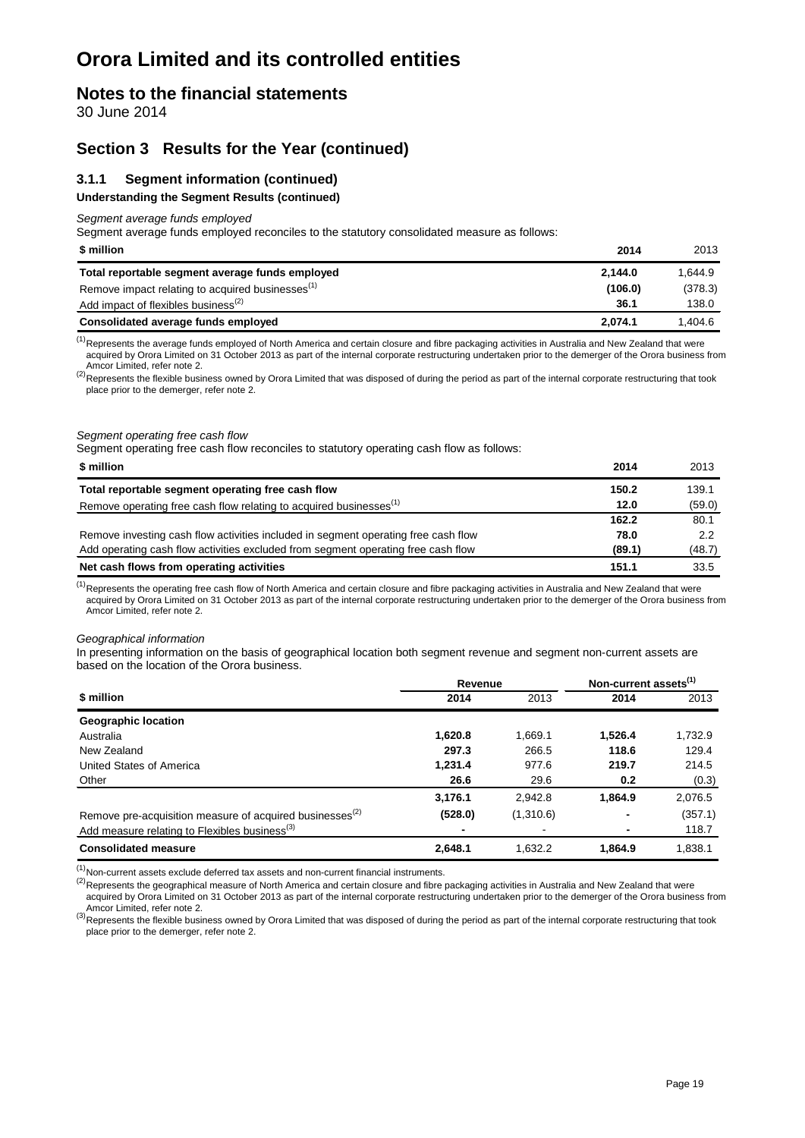### **Notes to the financial statements**

30 June 2014

### **Section 3 Results for the Year (continued)**

#### **3.1.1 Segment information (continued)**

#### **Understanding the Segment Results (continued)**

*Segment average funds employed*

Segment average funds employed reconciles to the statutory consolidated measure as follows:

| \$ million                                                   | 2014    | 2013    |
|--------------------------------------------------------------|---------|---------|
| Total reportable segment average funds employed              | 2.144.0 | 1.644.9 |
| Remove impact relating to acquired businesses <sup>(1)</sup> | (106.0) | (378.3) |
| Add impact of flexibles business <sup>(2)</sup>              | 36.1    | 138.0   |
| Consolidated average funds employed                          | 2.074.1 | 1.404.6 |

 $<sup>(1)</sup>$ Represents the average funds employed of North America and certain closure and fibre packaging activities in Australia and New Zealand that were</sup> acquired by Orora Limited on 31 October 2013 as part of the internal corporate restructuring undertaken prior to the demerger of the Orora business from

Amcor Limited, refer note 2. (2) Represents the flexible business owned by Orora Limited that was disposed of during the period as part of the internal corporate restructuring that took place prior to the demerger, refer note 2.

#### *Segment operating free cash flow*

Segment operating free cash flow reconciles to statutory operating cash flow as follows:

| \$ million                                                                         | 2014   | 2013          |
|------------------------------------------------------------------------------------|--------|---------------|
| Total reportable segment operating free cash flow                                  | 150.2  | 139.1         |
| Remove operating free cash flow relating to acquired businesses <sup>(1)</sup>     | 12.0   | (59.0)        |
|                                                                                    | 162.2  | 80.1          |
| Remove investing cash flow activities included in segment operating free cash flow | 78.0   | $2.2^{\circ}$ |
| Add operating cash flow activities excluded from segment operating free cash flow  | (89.1) | (48.7)        |
| Net cash flows from operating activities                                           | 151.1  | 33.5          |

 $<sup>(1)</sup>$ Represents the operating free cash flow of North America and certain closure and fibre packaging activities in Australia and New Zealand that were</sup> acquired by Orora Limited on 31 October 2013 as part of the internal corporate restructuring undertaken prior to the demerger of the Orora business from Amcor Limited, refer note 2.

#### *Geographical information*

In presenting information on the basis of geographical location both segment revenue and segment non-current assets are based on the location of the Orora business.

|                                                                      | Revenue |                | Non-current assets <sup>(1)</sup> |         |
|----------------------------------------------------------------------|---------|----------------|-----------------------------------|---------|
| \$ million                                                           | 2014    | 2013           | 2014                              | 2013    |
| <b>Geographic location</b>                                           |         |                |                                   |         |
| Australia                                                            | 1,620.8 | 1.669.1        | 1.526.4                           | 1,732.9 |
| New Zealand                                                          | 297.3   | 266.5          | 118.6                             | 129.4   |
| United States of America                                             | 1,231.4 | 977.6          | 219.7                             | 214.5   |
| Other                                                                | 26.6    | 29.6           | 0.2                               | (0.3)   |
|                                                                      | 3,176.1 | 2.942.8        | 1.864.9                           | 2,076.5 |
| Remove pre-acquisition measure of acquired businesses <sup>(2)</sup> | (528.0) | (1,310.6)      | $\blacksquare$                    | (357.1) |
| Add measure relating to Flexibles business <sup>(3)</sup>            |         | $\blacksquare$ |                                   | 118.7   |
| <b>Consolidated measure</b>                                          | 2,648.1 | 1.632.2        | 1.864.9                           | 1,838.1 |

 $<sup>(1)</sup>$ Non-current assets exclude deferred tax assets and non-current financial instruments.</sup>

 ${}^{(2)}$ Represents the geographical measure of North America and certain closure and fibre packaging activities in Australia and New Zealand that were acquired by Orora Limited on 31 October 2013 as part of the internal corporate restructuring undertaken prior to the demerger of the Orora business from Amcor Limited, refer note 2.

 $^{(3)}$ Represents the flexible business owned by Orora Limited that was disposed of during the period as part of the internal corporate restructuring that took place prior to the demerger, refer note 2.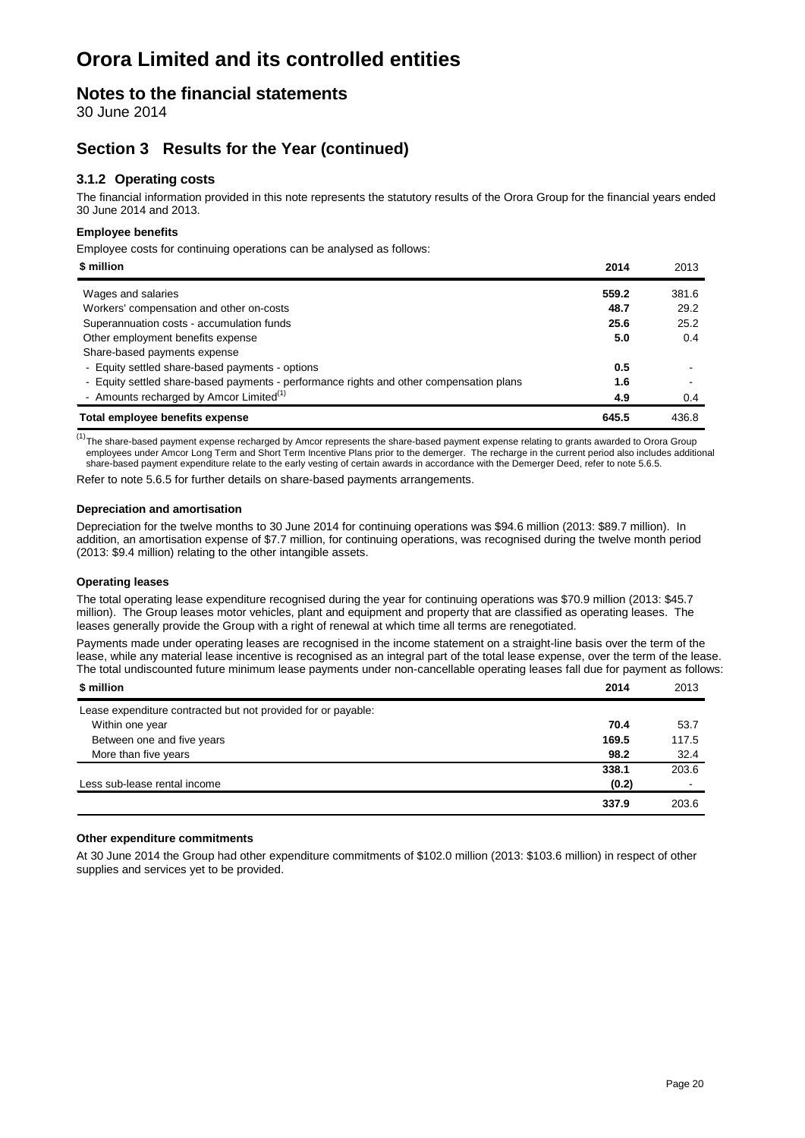### **Notes to the financial statements**

30 June 2014

### **Section 3 Results for the Year (continued)**

### **3.1.2 Operating costs**

The financial information provided in this note represents the statutory results of the Orora Group for the financial years ended 30 June 2014 and 2013.

#### **Employee benefits**

Employee costs for continuing operations can be analysed as follows:

| \$ million                                                                              | 2014  | 2013  |
|-----------------------------------------------------------------------------------------|-------|-------|
| Wages and salaries                                                                      | 559.2 | 381.6 |
| Workers' compensation and other on-costs                                                | 48.7  | 29.2  |
| Superannuation costs - accumulation funds                                               | 25.6  | 25.2  |
| Other employment benefits expense                                                       | 5.0   | 0.4   |
| Share-based payments expense                                                            |       |       |
| - Equity settled share-based payments - options                                         | 0.5   |       |
| - Equity settled share-based payments - performance rights and other compensation plans | 1.6   |       |
| - Amounts recharged by Amcor Limited <sup>(1)</sup>                                     | 4.9   | 0.4   |
| Total employee benefits expense                                                         | 645.5 | 436.8 |

<sup>(1)</sup>The share-based payment expense recharged by Amcor represents the share-based payment expense relating to grants awarded to Orora Group employees under Amcor Long Term and Short Term Incentive Plans prior to the demerger. The recharge in the current period also includes additional share-based payment expenditure relate to the early vesting of certain awards in accordance with the Demerger Deed, refer to note 5.6.5.

Refer to note 5.6.5 for further details on share-based payments arrangements.

#### **Depreciation and amortisation**

Depreciation for the twelve months to 30 June 2014 for continuing operations was \$94.6 million (2013: \$89.7 million). In addition, an amortisation expense of \$7.7 million, for continuing operations, was recognised during the twelve month period (2013: \$9.4 million) relating to the other intangible assets.

#### **Operating leases**

The total operating lease expenditure recognised during the year for continuing operations was \$70.9 million (2013: \$45.7 million). The Group leases motor vehicles, plant and equipment and property that are classified as operating leases. The leases generally provide the Group with a right of renewal at which time all terms are renegotiated.

Payments made under operating leases are recognised in the income statement on a straight-line basis over the term of the lease, while any material lease incentive is recognised as an integral part of the total lease expense, over the term of the lease. The total undiscounted future minimum lease payments under non-cancellable operating leases fall due for payment as follows:

| \$ million                                                    | 2014  | 2013           |
|---------------------------------------------------------------|-------|----------------|
| Lease expenditure contracted but not provided for or payable: |       |                |
| Within one year                                               | 70.4  | 53.7           |
| Between one and five years                                    | 169.5 | 117.5          |
| More than five years                                          | 98.2  | 32.4           |
|                                                               | 338.1 | 203.6          |
| Less sub-lease rental income                                  | (0.2) | $\blacksquare$ |
|                                                               | 337.9 | 203.6          |

#### **Other expenditure commitments**

At 30 June 2014 the Group had other expenditure commitments of \$102.0 million (2013: \$103.6 million) in respect of other supplies and services yet to be provided.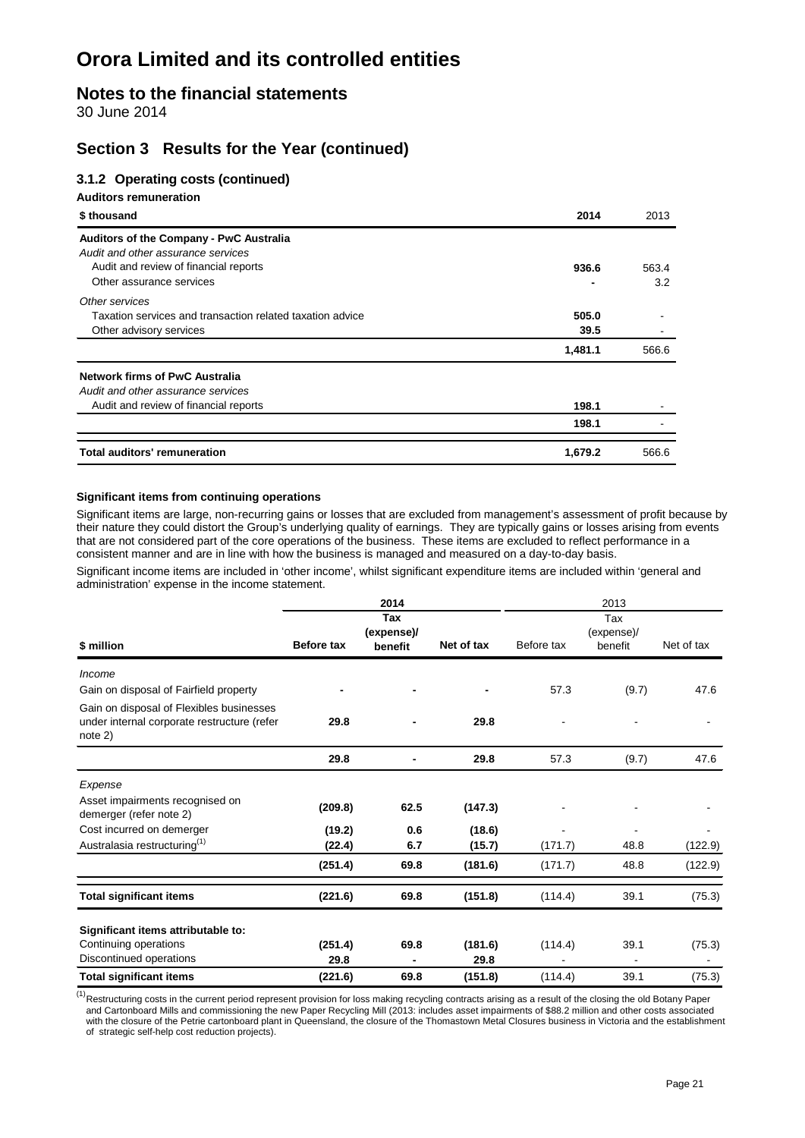### **Notes to the financial statements**

30 June 2014

### **Section 3 Results for the Year (continued)**

#### **3.1.2 Operating costs (continued)**

**Auditors remuneration**

| \$thousand                                                | 2014    | 2013  |
|-----------------------------------------------------------|---------|-------|
| Auditors of the Company - PwC Australia                   |         |       |
| Audit and other assurance services                        |         |       |
| Audit and review of financial reports                     | 936.6   | 563.4 |
| Other assurance services                                  |         | 3.2   |
| Other services                                            |         |       |
| Taxation services and transaction related taxation advice | 505.0   |       |
| Other advisory services                                   | 39.5    |       |
|                                                           | 1,481.1 | 566.6 |
| Network firms of PwC Australia                            |         |       |
| Audit and other assurance services                        |         |       |
| Audit and review of financial reports                     | 198.1   |       |
|                                                           | 198.1   |       |
| Total auditors' remuneration                              | 1,679.2 | 566.6 |

#### **Significant items from continuing operations**

Significant items are large, non-recurring gains or losses that are excluded from management's assessment of profit because by their nature they could distort the Group's underlying quality of earnings. They are typically gains or losses arising from events that are not considered part of the core operations of the business. These items are excluded to reflect performance in a consistent manner and are in line with how the business is managed and measured on a day-to-day basis.

Significant income items are included in 'other income', whilst significant expenditure items are included within 'general and administration' expense in the income statement.

|                                                                                                    | 2014              |            |            | 2013       |                |            |  |
|----------------------------------------------------------------------------------------------------|-------------------|------------|------------|------------|----------------|------------|--|
|                                                                                                    |                   | Tax        |            |            | Tax            |            |  |
|                                                                                                    |                   | (expense)/ |            |            | (expense)/     |            |  |
| \$ million                                                                                         | <b>Before tax</b> | benefit    | Net of tax | Before tax | benefit        | Net of tax |  |
| Income                                                                                             |                   |            |            |            |                |            |  |
| Gain on disposal of Fairfield property                                                             |                   |            |            | 57.3       | (9.7)          | 47.6       |  |
| Gain on disposal of Flexibles businesses<br>under internal corporate restructure (refer<br>note 2) | 29.8              |            | 29.8       |            |                |            |  |
|                                                                                                    | 29.8              |            | 29.8       | 57.3       | (9.7)          | 47.6       |  |
| Expense                                                                                            |                   |            |            |            |                |            |  |
| Asset impairments recognised on<br>demerger (refer note 2)                                         | (209.8)           | 62.5       | (147.3)    |            |                |            |  |
| Cost incurred on demerger                                                                          | (19.2)            | 0.6        | (18.6)     |            | $\overline{a}$ |            |  |
| Australasia restructuring <sup>(1)</sup>                                                           | (22.4)            | 6.7        | (15.7)     | (171.7)    | 48.8           | (122.9)    |  |
|                                                                                                    | (251.4)           | 69.8       | (181.6)    | (171.7)    | 48.8           | (122.9)    |  |
| <b>Total significant items</b>                                                                     | (221.6)           | 69.8       | (151.8)    | (114.4)    | 39.1           | (75.3)     |  |
| Significant items attributable to:                                                                 |                   |            |            |            |                |            |  |
| Continuing operations                                                                              | (251.4)           | 69.8       | (181.6)    | (114.4)    | 39.1           | (75.3)     |  |
| Discontinued operations                                                                            | 29.8              |            | 29.8       |            |                |            |  |
| <b>Total significant items</b>                                                                     | (221.6)           | 69.8       | (151.8)    | (114.4)    | 39.1           | (75.3)     |  |

<sup>(1)</sup>Restructuring costs in the current period represent provision for loss making recycling contracts arising as a result of the closing the old Botany Paper and Cartonboard Mills and commissioning the new Paper Recycling Mill (2013: includes asset impairments of \$88.2 million and other costs associated with the closure of the Petrie cartonboard plant in Queensland, the closure of the Thomastown Metal Closures business in Victoria and the establishment of strategic self-help cost reduction projects).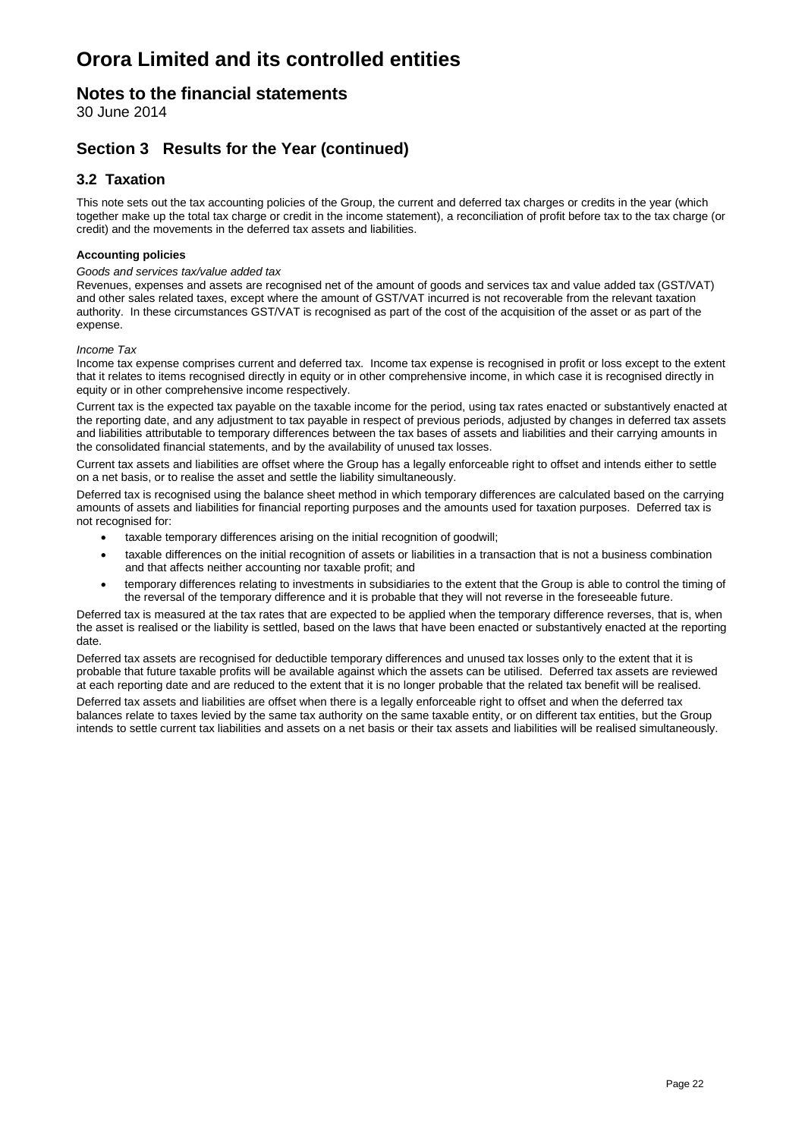### **Notes to the financial statements**

30 June 2014

### **Section 3 Results for the Year (continued)**

### **3.2 Taxation**

This note sets out the tax accounting policies of the Group, the current and deferred tax charges or credits in the year (which together make up the total tax charge or credit in the income statement), a reconciliation of profit before tax to the tax charge (or credit) and the movements in the deferred tax assets and liabilities.

#### **Accounting policies**

#### *Goods and services tax/value added tax*

Revenues, expenses and assets are recognised net of the amount of goods and services tax and value added tax (GST/VAT) and other sales related taxes, except where the amount of GST/VAT incurred is not recoverable from the relevant taxation authority. In these circumstances GST/VAT is recognised as part of the cost of the acquisition of the asset or as part of the expense.

#### *Income Tax*

Income tax expense comprises current and deferred tax. Income tax expense is recognised in profit or loss except to the extent that it relates to items recognised directly in equity or in other comprehensive income, in which case it is recognised directly in equity or in other comprehensive income respectively.

Current tax is the expected tax payable on the taxable income for the period, using tax rates enacted or substantively enacted at the reporting date, and any adjustment to tax payable in respect of previous periods, adjusted by changes in deferred tax assets and liabilities attributable to temporary differences between the tax bases of assets and liabilities and their carrying amounts in the consolidated financial statements, and by the availability of unused tax losses.

Current tax assets and liabilities are offset where the Group has a legally enforceable right to offset and intends either to settle on a net basis, or to realise the asset and settle the liability simultaneously.

Deferred tax is recognised using the balance sheet method in which temporary differences are calculated based on the carrying amounts of assets and liabilities for financial reporting purposes and the amounts used for taxation purposes. Deferred tax is not recognised for:

- taxable temporary differences arising on the initial recognition of goodwill;
- taxable differences on the initial recognition of assets or liabilities in a transaction that is not a business combination and that affects neither accounting nor taxable profit; and
- temporary differences relating to investments in subsidiaries to the extent that the Group is able to control the timing of the reversal of the temporary difference and it is probable that they will not reverse in the foreseeable future.

Deferred tax is measured at the tax rates that are expected to be applied when the temporary difference reverses, that is, when the asset is realised or the liability is settled, based on the laws that have been enacted or substantively enacted at the reporting date.

Deferred tax assets are recognised for deductible temporary differences and unused tax losses only to the extent that it is probable that future taxable profits will be available against which the assets can be utilised. Deferred tax assets are reviewed at each reporting date and are reduced to the extent that it is no longer probable that the related tax benefit will be realised.

Deferred tax assets and liabilities are offset when there is a legally enforceable right to offset and when the deferred tax balances relate to taxes levied by the same tax authority on the same taxable entity, or on different tax entities, but the Group intends to settle current tax liabilities and assets on a net basis or their tax assets and liabilities will be realised simultaneously.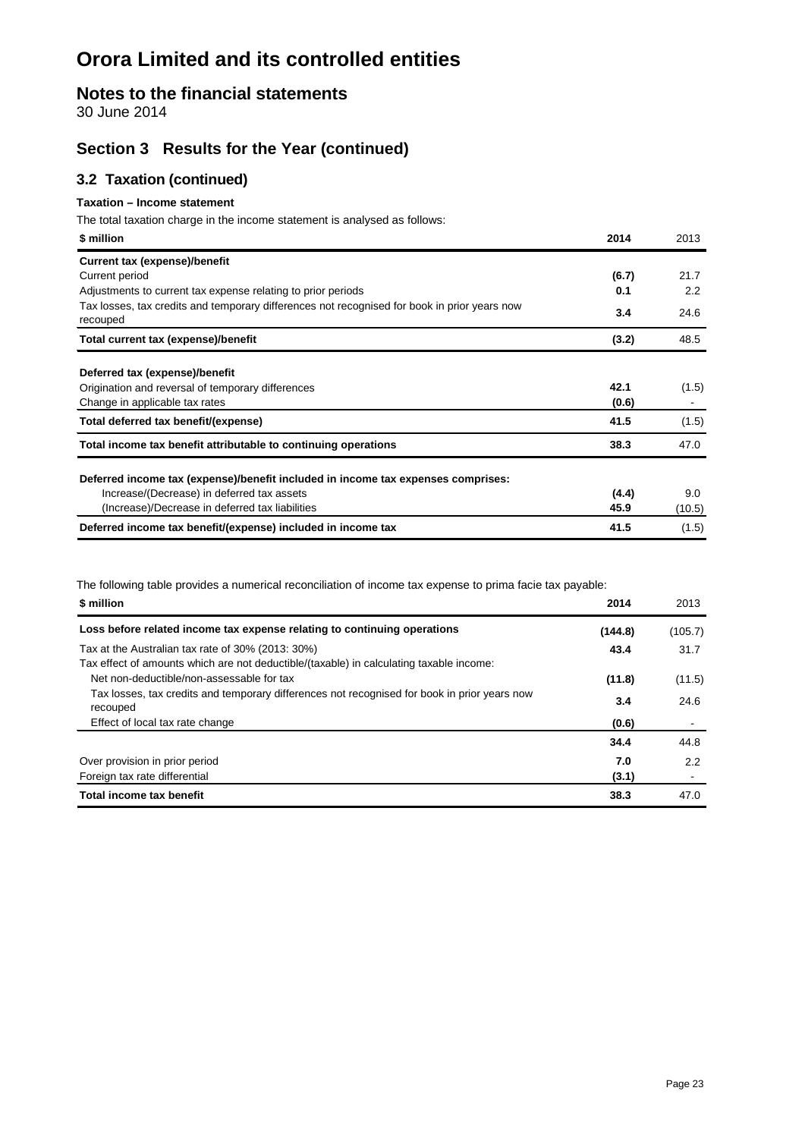### **Notes to the financial statements**

30 June 2014

### **Section 3 Results for the Year (continued)**

### **3.2 Taxation (continued)**

#### **Taxation – Income statement**

The total taxation charge in the income statement is analysed as follows:

| \$ million                                                                                               | 2014  | 2013   |
|----------------------------------------------------------------------------------------------------------|-------|--------|
| <b>Current tax (expense)/benefit</b>                                                                     |       |        |
| Current period                                                                                           | (6.7) | 21.7   |
| Adjustments to current tax expense relating to prior periods                                             | 0.1   | 2.2    |
| Tax losses, tax credits and temporary differences not recognised for book in prior years now<br>recouped | 3.4   | 24.6   |
| Total current tax (expense)/benefit                                                                      | (3.2) | 48.5   |
| Deferred tax (expense)/benefit                                                                           |       |        |
| Origination and reversal of temporary differences                                                        | 42.1  | (1.5)  |
| Change in applicable tax rates                                                                           | (0.6) |        |
| Total deferred tax benefit/(expense)                                                                     | 41.5  | (1.5)  |
| Total income tax benefit attributable to continuing operations                                           | 38.3  | 47.0   |
| Deferred income tax (expense)/benefit included in income tax expenses comprises:                         |       |        |
| Increase/(Decrease) in deferred tax assets                                                               | (4.4) | 9.0    |
| (Increase)/Decrease in deferred tax liabilities                                                          | 45.9  | (10.5) |
| Deferred income tax benefit/(expense) included in income tax                                             | 41.5  | (1.5)  |

The following table provides a numerical reconciliation of income tax expense to prima facie tax payable:

| \$ million                                                                                                                                   | 2014    | 2013    |
|----------------------------------------------------------------------------------------------------------------------------------------------|---------|---------|
| Loss before related income tax expense relating to continuing operations                                                                     | (144.8) | (105.7) |
| Tax at the Australian tax rate of 30% (2013: 30%)<br>Tax effect of amounts which are not deductible/(taxable) in calculating taxable income: | 43.4    | 31.7    |
| Net non-deductible/non-assessable for tax                                                                                                    | (11.8)  | (11.5)  |
| Tax losses, tax credits and temporary differences not recognised for book in prior years now<br>recouped                                     | 3.4     | 24.6    |
| Effect of local tax rate change                                                                                                              | (0.6)   |         |
|                                                                                                                                              | 34.4    | 44.8    |
| Over provision in prior period                                                                                                               | 7.0     | 2.2     |
| Foreign tax rate differential                                                                                                                | (3.1)   |         |
| Total income tax benefit                                                                                                                     | 38.3    | 47.0    |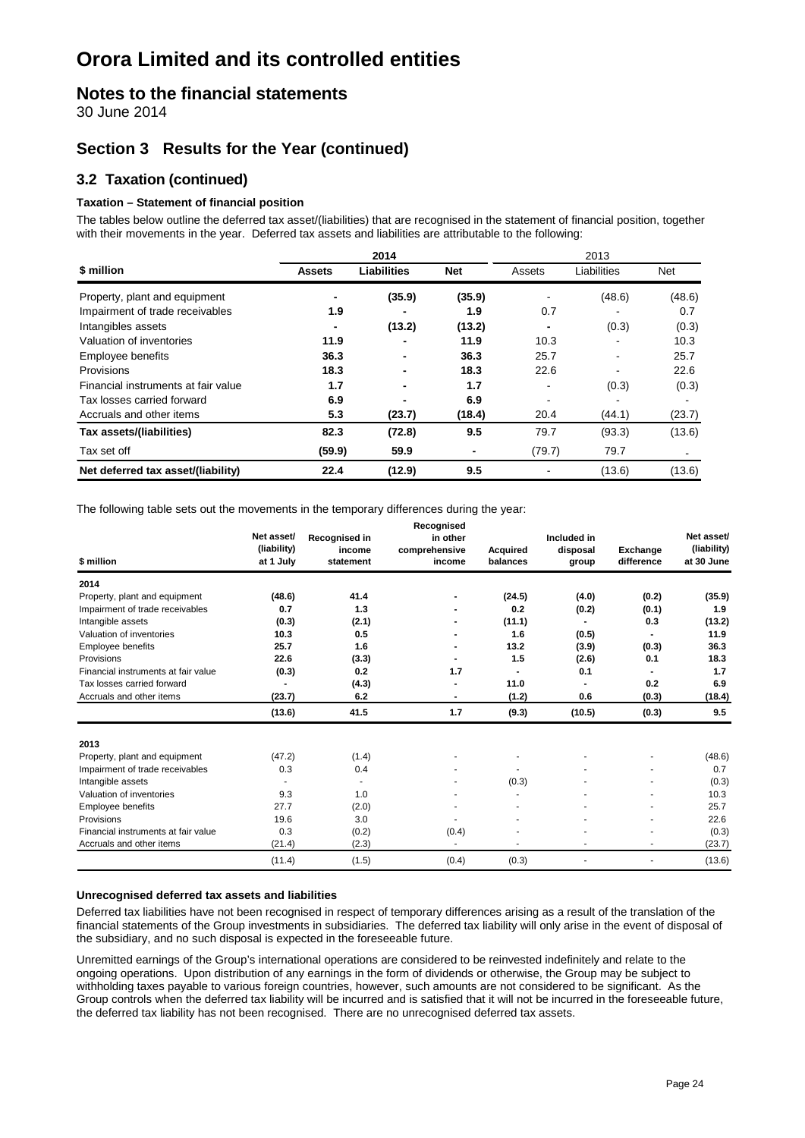### **Notes to the financial statements**

30 June 2014

### **Section 3 Results for the Year (continued)**

### **3.2 Taxation (continued)**

#### **Taxation – Statement of financial position**

The tables below outline the deferred tax asset/(liabilities) that are recognised in the statement of financial position, together with their movements in the year. Deferred tax assets and liabilities are attributable to the following:

|                                     | 2014          |                          |            | 2013           |             |        |
|-------------------------------------|---------------|--------------------------|------------|----------------|-------------|--------|
| \$ million                          | <b>Assets</b> | <b>Liabilities</b>       | <b>Net</b> | Assets         | Liabilities | Net    |
| Property, plant and equipment       |               | (35.9)                   | (35.9)     |                | (48.6)      | (48.6) |
| Impairment of trade receivables     | 1.9           |                          | 1.9        | 0.7            |             | 0.7    |
| Intangibles assets                  |               | (13.2)                   | (13.2)     | $\blacksquare$ | (0.3)       | (0.3)  |
| Valuation of inventories            | 11.9          |                          | 11.9       | 10.3           |             | 10.3   |
| Employee benefits                   | 36.3          | $\overline{\phantom{0}}$ | 36.3       | 25.7           |             | 25.7   |
| Provisions                          | 18.3          | $\overline{\phantom{0}}$ | 18.3       | 22.6           |             | 22.6   |
| Financial instruments at fair value | 1.7           |                          | 1.7        |                | (0.3)       | (0.3)  |
| Tax losses carried forward          | 6.9           |                          | 6.9        |                |             |        |
| Accruals and other items            | 5.3           | (23.7)                   | (18.4)     | 20.4           | (44.1)      | (23.7) |
| Tax assets/(liabilities)            | 82.3          | (72.8)                   | 9.5        | 79.7           | (93.3)      | (13.6) |
| Tax set off                         | (59.9)        | 59.9                     | ٠          | (79.7)         | 79.7        |        |
| Net deferred tax asset/(liability)  | 22.4          | (12.9)                   | 9.5        |                | (13.6)      | (13.6) |

The following table sets out the movements in the temporary differences during the year:

| \$ million                          | Net asset/<br>(liability)<br>at 1 July | Recognised in<br>income<br>statement | Recognised<br>in other<br>comprehensive<br>income | <b>Acquired</b><br>balances | Included in<br>disposal<br>group | <b>Exchange</b><br>difference | Net asset/<br>(liability)<br>at 30 June |
|-------------------------------------|----------------------------------------|--------------------------------------|---------------------------------------------------|-----------------------------|----------------------------------|-------------------------------|-----------------------------------------|
| 2014                                |                                        |                                      |                                                   |                             |                                  |                               |                                         |
| Property, plant and equipment       | (48.6)                                 | 41.4                                 |                                                   | (24.5)                      | (4.0)                            | (0.2)                         | (35.9)                                  |
| Impairment of trade receivables     | 0.7                                    | 1.3                                  |                                                   | 0.2                         | (0.2)                            | (0.1)                         | 1.9                                     |
| Intangible assets                   | (0.3)                                  | (2.1)                                |                                                   | (11.1)                      |                                  | 0.3                           | (13.2)                                  |
| Valuation of inventories            | 10.3                                   | 0.5                                  |                                                   | 1.6                         | (0.5)                            |                               | 11.9                                    |
| <b>Employee benefits</b>            | 25.7                                   | 1.6                                  |                                                   | 13.2                        | (3.9)                            | (0.3)                         | 36.3                                    |
| Provisions                          | 22.6                                   | (3.3)                                |                                                   | 1.5                         | (2.6)                            | 0.1                           | 18.3                                    |
| Financial instruments at fair value | (0.3)                                  | 0.2                                  | 1.7                                               | $\blacksquare$              | 0.1                              |                               | 1.7                                     |
| Tax losses carried forward          |                                        | (4.3)                                |                                                   | 11.0                        |                                  | 0.2                           | 6.9                                     |
| Accruals and other items            | (23.7)                                 | 6.2                                  |                                                   | (1.2)                       | 0.6                              | (0.3)                         | (18.4)                                  |
|                                     | (13.6)                                 | 41.5                                 | 1.7                                               | (9.3)                       | (10.5)                           | (0.3)                         | 9.5                                     |
| 2013                                |                                        |                                      |                                                   |                             |                                  |                               |                                         |
| Property, plant and equipment       | (47.2)                                 | (1.4)                                |                                                   |                             |                                  |                               | (48.6)                                  |
| Impairment of trade receivables     | 0.3                                    | 0.4                                  |                                                   |                             |                                  |                               | 0.7                                     |
| Intangible assets                   |                                        | $\overline{\phantom{a}}$             |                                                   | (0.3)                       |                                  |                               | (0.3)                                   |
| Valuation of inventories            | 9.3                                    | 1.0                                  |                                                   |                             |                                  |                               | 10.3                                    |
| Employee benefits                   | 27.7                                   | (2.0)                                |                                                   |                             |                                  |                               | 25.7                                    |
| Provisions                          | 19.6                                   | 3.0                                  |                                                   | ٠                           |                                  |                               | 22.6                                    |
| Financial instruments at fair value | 0.3                                    | (0.2)                                | (0.4)                                             |                             |                                  |                               | (0.3)                                   |
| Accruals and other items            | (21.4)                                 | (2.3)                                | ٠                                                 |                             |                                  |                               | (23.7)                                  |
|                                     | (11.4)                                 | (1.5)                                | (0.4)                                             | (0.3)                       |                                  |                               | (13.6)                                  |

#### **Unrecognised deferred tax assets and liabilities**

Deferred tax liabilities have not been recognised in respect of temporary differences arising as a result of the translation of the financial statements of the Group investments in subsidiaries. The deferred tax liability will only arise in the event of disposal of the subsidiary, and no such disposal is expected in the foreseeable future.

Unremitted earnings of the Group's international operations are considered to be reinvested indefinitely and relate to the ongoing operations. Upon distribution of any earnings in the form of dividends or otherwise, the Group may be subject to withholding taxes payable to various foreign countries, however, such amounts are not considered to be significant. As the Group controls when the deferred tax liability will be incurred and is satisfied that it will not be incurred in the foreseeable future, the deferred tax liability has not been recognised. There are no unrecognised deferred tax assets.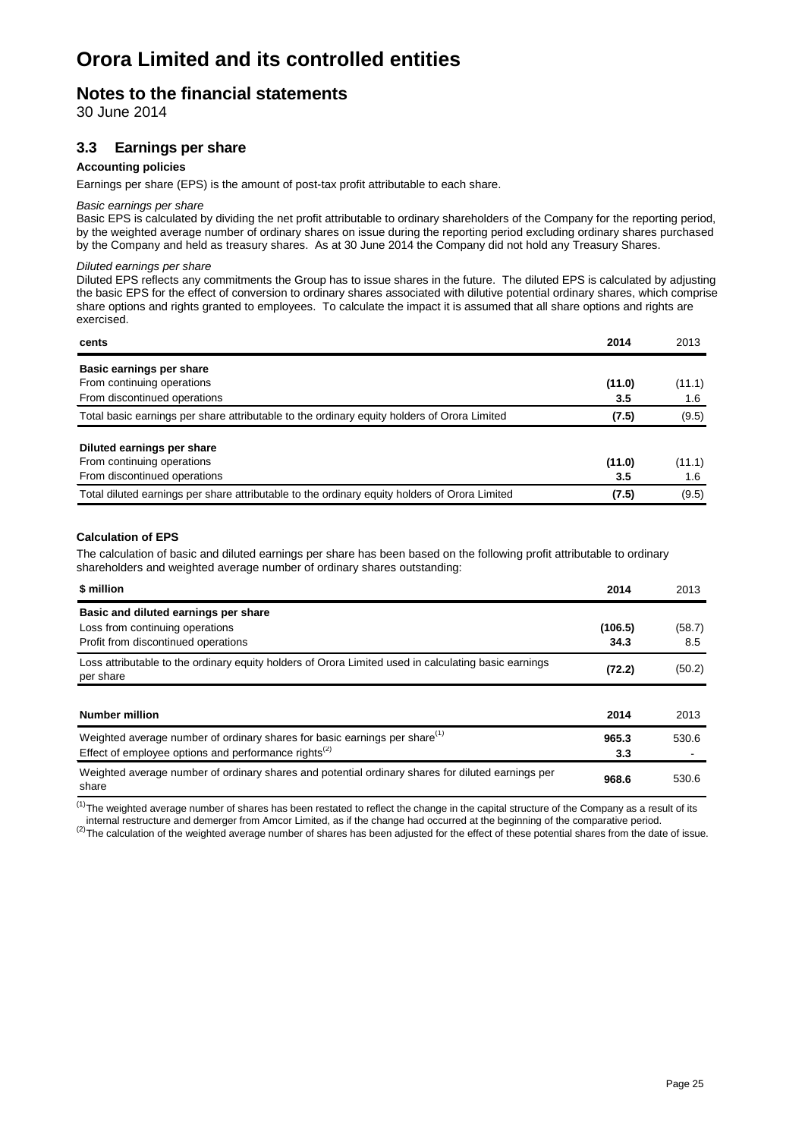### **Notes to the financial statements**

30 June 2014

### **3.3 Earnings per share**

#### **Accounting policies**

Earnings per share (EPS) is the amount of post-tax profit attributable to each share.

#### *Basic earnings per share*

Basic EPS is calculated by dividing the net profit attributable to ordinary shareholders of the Company for the reporting period, by the weighted average number of ordinary shares on issue during the reporting period excluding ordinary shares purchased by the Company and held as treasury shares. As at 30 June 2014 the Company did not hold any Treasury Shares.

#### *Diluted earnings per share*

Diluted EPS reflects any commitments the Group has to issue shares in the future. The diluted EPS is calculated by adjusting the basic EPS for the effect of conversion to ordinary shares associated with dilutive potential ordinary shares, which comprise share options and rights granted to employees. To calculate the impact it is assumed that all share options and rights are exercised.

| cents                                                                                         | 2014   | 2013   |
|-----------------------------------------------------------------------------------------------|--------|--------|
| Basic earnings per share                                                                      |        |        |
| From continuing operations                                                                    | (11.0) | (11.1) |
| From discontinued operations                                                                  | 3.5    | 1.6    |
| Total basic earnings per share attributable to the ordinary equity holders of Orora Limited   | (7.5)  | (9.5)  |
| Diluted earnings per share                                                                    |        |        |
| From continuing operations                                                                    | (11.0) | (11.1) |
| From discontinued operations                                                                  | 3.5    | 1.6    |
| Total diluted earnings per share attributable to the ordinary equity holders of Orora Limited | (7.5)  | (9.5)  |

#### **Calculation of EPS**

The calculation of basic and diluted earnings per share has been based on the following profit attributable to ordinary shareholders and weighted average number of ordinary shares outstanding:

| \$ million                                                                                                                                                 | 2014            | 2013          |
|------------------------------------------------------------------------------------------------------------------------------------------------------------|-----------------|---------------|
| Basic and diluted earnings per share<br>Loss from continuing operations<br>Profit from discontinued operations                                             | (106.5)<br>34.3 | (58.7)<br>8.5 |
| Loss attributable to the ordinary equity holders of Orora Limited used in calculating basic earnings<br>per share                                          | (72.2)          | (50.2)        |
| <b>Number million</b>                                                                                                                                      | 2014            | 2013          |
| Weighted average number of ordinary shares for basic earnings per share <sup>(1)</sup><br>Effect of employee options and performance rights <sup>(2)</sup> | 965.3<br>3.3    | 530.6         |
| Weighted average number of ordinary shares and potential ordinary shares for diluted earnings per<br>share                                                 | 968.6           | 530.6         |

 $<sup>(1)</sup>$ The weighted average number of shares has been restated to reflect the change in the capital structure of the Company as a result of its</sup> internal restructure and demerger from Amcor Limited, as if the change had occurred at the beginning of the comparative period.

 $^{(2)}$ The calculation of the weighted average number of shares has been adjusted for the effect of these potential shares from the date of issue.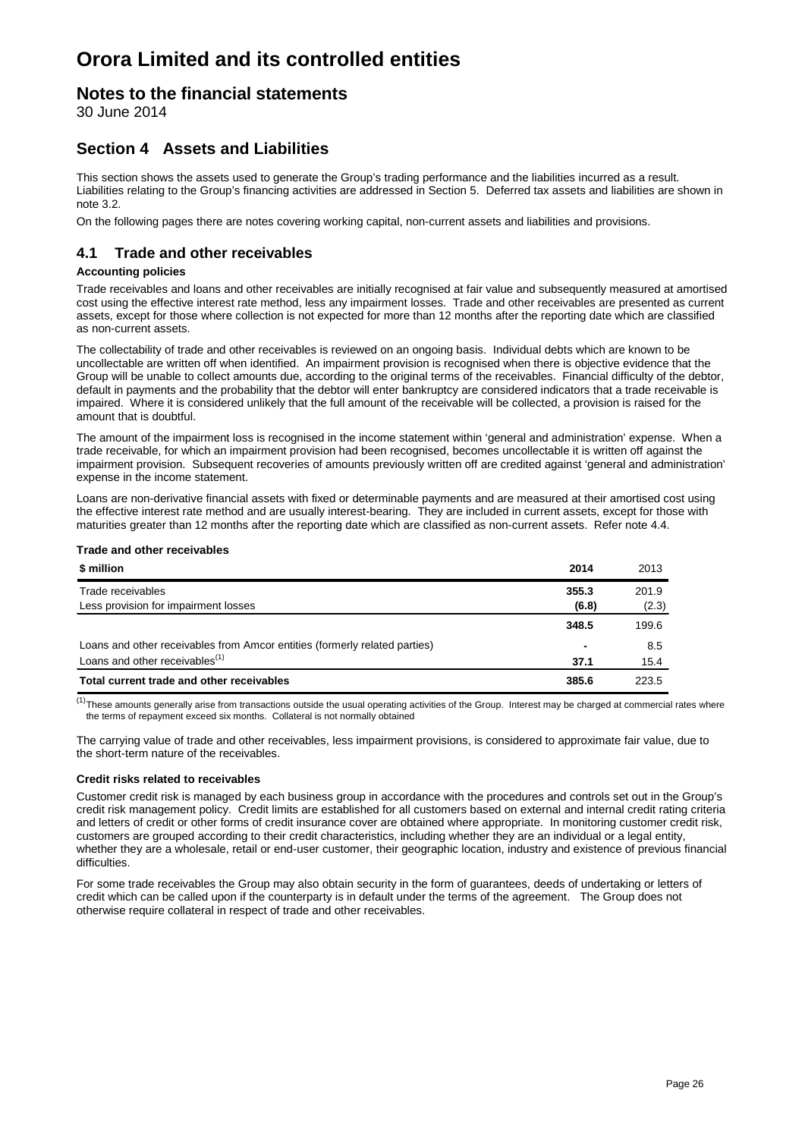### **Notes to the financial statements**

30 June 2014

### **Section 4 Assets and Liabilities**

This section shows the assets used to generate the Group's trading performance and the liabilities incurred as a result. Liabilities relating to the Group's financing activities are addressed in Section 5. Deferred tax assets and liabilities are shown in note 3.2.

On the following pages there are notes covering working capital, non-current assets and liabilities and provisions.

### **4.1 Trade and other receivables**

#### **Accounting policies**

Trade receivables and loans and other receivables are initially recognised at fair value and subsequently measured at amortised cost using the effective interest rate method, less any impairment losses. Trade and other receivables are presented as current assets, except for those where collection is not expected for more than 12 months after the reporting date which are classified as non-current assets.

The collectability of trade and other receivables is reviewed on an ongoing basis. Individual debts which are known to be uncollectable are written off when identified. An impairment provision is recognised when there is objective evidence that the Group will be unable to collect amounts due, according to the original terms of the receivables. Financial difficulty of the debtor, default in payments and the probability that the debtor will enter bankruptcy are considered indicators that a trade receivable is impaired. Where it is considered unlikely that the full amount of the receivable will be collected, a provision is raised for the amount that is doubtful.

The amount of the impairment loss is recognised in the income statement within 'general and administration' expense. When a trade receivable, for which an impairment provision had been recognised, becomes uncollectable it is written off against the impairment provision. Subsequent recoveries of amounts previously written off are credited against 'general and administration' expense in the income statement.

Loans are non-derivative financial assets with fixed or determinable payments and are measured at their amortised cost using the effective interest rate method and are usually interest-bearing. They are included in current assets, except for those with maturities greater than 12 months after the reporting date which are classified as non-current assets. Refer note 4.4.

#### **Trade and other receivables**

| \$ million                                                                 | 2014                     | 2013  |
|----------------------------------------------------------------------------|--------------------------|-------|
| Trade receivables                                                          | 355.3                    | 201.9 |
| Less provision for impairment losses                                       | (6.8)                    | (2.3) |
|                                                                            | 348.5                    | 199.6 |
| Loans and other receivables from Amcor entities (formerly related parties) | $\overline{\phantom{0}}$ | 8.5   |
| Loans and other receivables <sup>(1)</sup>                                 | 37.1                     | 15.4  |
| Total current trade and other receivables                                  | 385.6                    | 223.5 |

 $<sup>(1)</sup>$ These amounts generally arise from transactions outside the usual operating activities of the Group. Interest may be charged at commercial rates where</sup> the terms of repayment exceed six months. Collateral is not normally obtained

The carrying value of trade and other receivables, less impairment provisions, is considered to approximate fair value, due to the short-term nature of the receivables.

#### **Credit risks related to receivables**

Customer credit risk is managed by each business group in accordance with the procedures and controls set out in the Group's credit risk management policy. Credit limits are established for all customers based on external and internal credit rating criteria and letters of credit or other forms of credit insurance cover are obtained where appropriate. In monitoring customer credit risk, customers are grouped according to their credit characteristics, including whether they are an individual or a legal entity, whether they are a wholesale, retail or end-user customer, their geographic location, industry and existence of previous financial difficulties.

For some trade receivables the Group may also obtain security in the form of guarantees, deeds of undertaking or letters of credit which can be called upon if the counterparty is in default under the terms of the agreement. The Group does not otherwise require collateral in respect of trade and other receivables.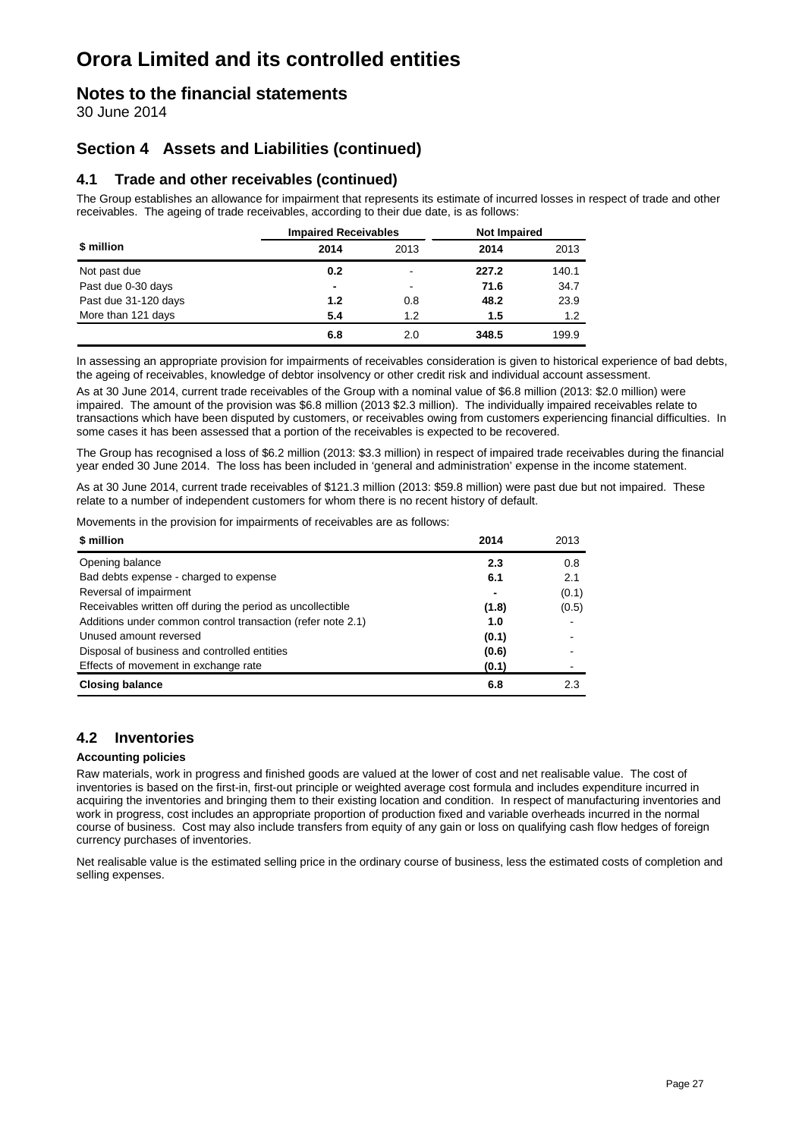### **Notes to the financial statements**

30 June 2014

### **Section 4 Assets and Liabilities (continued)**

### **4.1 Trade and other receivables (continued)**

The Group establishes an allowance for impairment that represents its estimate of incurred losses in respect of trade and other receivables. The ageing of trade receivables, according to their due date, is as follows:

|                      | <b>Impaired Receivables</b> |                          | <b>Not Impaired</b> |       |
|----------------------|-----------------------------|--------------------------|---------------------|-------|
| \$ million           | 2014                        | 2013                     | 2014                | 2013  |
| Not past due         | 0.2                         | $\overline{\phantom{a}}$ | 227.2               | 140.1 |
| Past due 0-30 days   | $\blacksquare$              | $\overline{\phantom{0}}$ | 71.6                | 34.7  |
| Past due 31-120 days | 1.2                         | 0.8                      | 48.2                | 23.9  |
| More than 121 days   | 5.4                         | 1.2                      | 1.5                 | 1.2   |
|                      | 6.8                         | 2.0                      | 348.5               | 199.9 |

In assessing an appropriate provision for impairments of receivables consideration is given to historical experience of bad debts, the ageing of receivables, knowledge of debtor insolvency or other credit risk and individual account assessment.

As at 30 June 2014, current trade receivables of the Group with a nominal value of \$6.8 million (2013: \$2.0 million) were impaired. The amount of the provision was \$6.8 million (2013 \$2.3 million). The individually impaired receivables relate to transactions which have been disputed by customers, or receivables owing from customers experiencing financial difficulties. In some cases it has been assessed that a portion of the receivables is expected to be recovered.

The Group has recognised a loss of \$6.2 million (2013: \$3.3 million) in respect of impaired trade receivables during the financial year ended 30 June 2014. The loss has been included in 'general and administration' expense in the income statement.

As at 30 June 2014, current trade receivables of \$121.3 million (2013: \$59.8 million) were past due but not impaired. These relate to a number of independent customers for whom there is no recent history of default.

Movements in the provision for impairments of receivables are as follows:

| \$ million                                                  | 2014  | 2013  |
|-------------------------------------------------------------|-------|-------|
| Opening balance                                             | 2.3   | 0.8   |
| Bad debts expense - charged to expense                      | 6.1   | 2.1   |
| Reversal of impairment                                      |       | (0.1) |
| Receivables written off during the period as uncollectible  | (1.8) | (0.5) |
| Additions under common control transaction (refer note 2.1) | 1.0   |       |
| Unused amount reversed                                      | (0.1) |       |
| Disposal of business and controlled entities                | (0.6) |       |
| Effects of movement in exchange rate                        | (0.1) |       |
| <b>Closing balance</b>                                      | 6.8   | 2.3   |

### **4.2 Inventories**

#### **Accounting policies**

Raw materials, work in progress and finished goods are valued at the lower of cost and net realisable value. The cost of inventories is based on the first-in, first-out principle or weighted average cost formula and includes expenditure incurred in acquiring the inventories and bringing them to their existing location and condition. In respect of manufacturing inventories and work in progress, cost includes an appropriate proportion of production fixed and variable overheads incurred in the normal course of business. Cost may also include transfers from equity of any gain or loss on qualifying cash flow hedges of foreign currency purchases of inventories.

Net realisable value is the estimated selling price in the ordinary course of business, less the estimated costs of completion and selling expenses.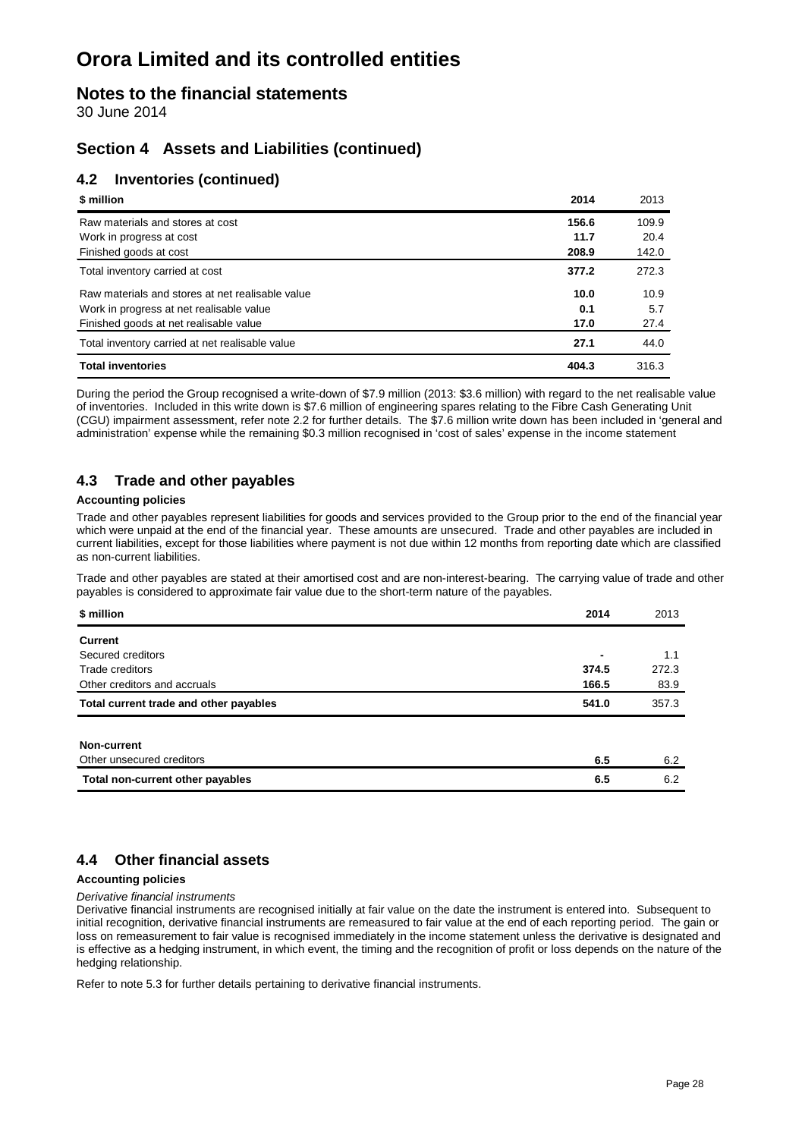### **Notes to the financial statements**

30 June 2014

### **Section 4 Assets and Liabilities (continued)**

### **4.2 Inventories (continued)**

| \$ million                                       | 2014  | 2013  |
|--------------------------------------------------|-------|-------|
| Raw materials and stores at cost                 | 156.6 | 109.9 |
| Work in progress at cost                         | 11.7  | 20.4  |
| Finished goods at cost                           | 208.9 | 142.0 |
| Total inventory carried at cost                  | 377.2 | 272.3 |
| Raw materials and stores at net realisable value | 10.0  | 10.9  |
| Work in progress at net realisable value         | 0.1   | 5.7   |
| Finished goods at net realisable value           | 17.0  | 27.4  |
| Total inventory carried at net realisable value  | 27.1  | 44.0  |
| <b>Total inventories</b>                         | 404.3 | 316.3 |

During the period the Group recognised a write-down of \$7.9 million (2013: \$3.6 million) with regard to the net realisable value of inventories. Included in this write down is \$7.6 million of engineering spares relating to the Fibre Cash Generating Unit (CGU) impairment assessment, refer note 2.2 for further details. The \$7.6 million write down has been included in 'general and administration' expense while the remaining \$0.3 million recognised in 'cost of sales' expense in the income statement

### **4.3 Trade and other payables**

#### **Accounting policies**

Trade and other payables represent liabilities for goods and services provided to the Group prior to the end of the financial year which were unpaid at the end of the financial year. These amounts are unsecured. Trade and other payables are included in current liabilities, except for those liabilities where payment is not due within 12 months from reporting date which are classified as non-current liabilities.

Trade and other payables are stated at their amortised cost and are non-interest-bearing. The carrying value of trade and other payables is considered to approximate fair value due to the short-term nature of the payables.

| \$ million                             | 2014                     | 2013  |
|----------------------------------------|--------------------------|-------|
| <b>Current</b>                         |                          |       |
| Secured creditors                      | $\overline{\phantom{0}}$ | 1.1   |
| Trade creditors                        | 374.5                    | 272.3 |
| Other creditors and accruals           | 166.5                    | 83.9  |
| Total current trade and other payables | 541.0                    | 357.3 |
|                                        |                          |       |
| Non-current                            |                          |       |
| Other unsecured creditors              | 6.5                      | 6.2   |
| Total non-current other payables       | 6.5                      | 6.2   |

### **4.4 Other financial assets**

#### **Accounting policies**

*Derivative financial instruments*

Derivative financial instruments are recognised initially at fair value on the date the instrument is entered into. Subsequent to initial recognition, derivative financial instruments are remeasured to fair value at the end of each reporting period. The gain or loss on remeasurement to fair value is recognised immediately in the income statement unless the derivative is designated and is effective as a hedging instrument, in which event, the timing and the recognition of profit or loss depends on the nature of the hedging relationship.

Refer to note 5.3 for further details pertaining to derivative financial instruments.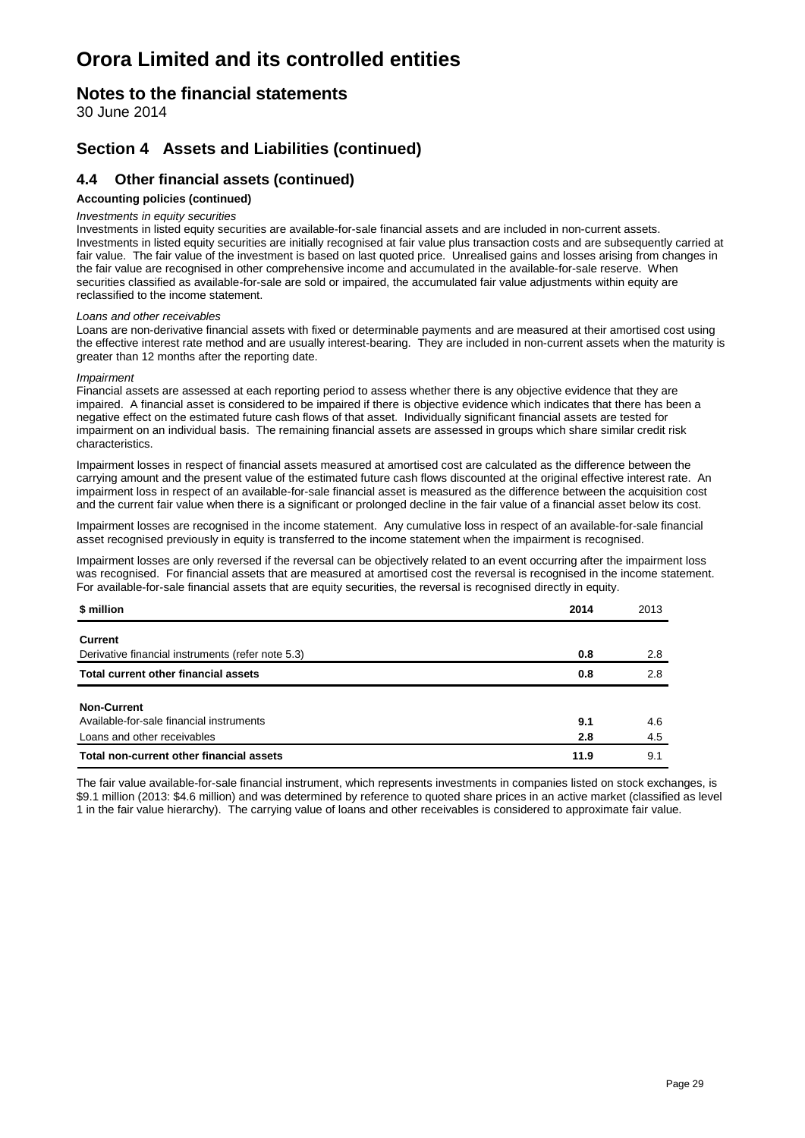### **Notes to the financial statements**

30 June 2014

### **Section 4 Assets and Liabilities (continued)**

### **4.4 Other financial assets (continued)**

#### **Accounting policies (continued)**

#### *Investments in equity securities*

Investments in listed equity securities are available-for-sale financial assets and are included in non-current assets. Investments in listed equity securities are initially recognised at fair value plus transaction costs and are subsequently carried at fair value. The fair value of the investment is based on last quoted price. Unrealised gains and losses arising from changes in the fair value are recognised in other comprehensive income and accumulated in the available-for-sale reserve. When securities classified as available-for-sale are sold or impaired, the accumulated fair value adjustments within equity are reclassified to the income statement.

#### *Loans and other receivables*

Loans are non-derivative financial assets with fixed or determinable payments and are measured at their amortised cost using the effective interest rate method and are usually interest-bearing. They are included in non-current assets when the maturity is greater than 12 months after the reporting date.

#### *Impairment*

Financial assets are assessed at each reporting period to assess whether there is any objective evidence that they are impaired. A financial asset is considered to be impaired if there is objective evidence which indicates that there has been a negative effect on the estimated future cash flows of that asset. Individually significant financial assets are tested for impairment on an individual basis. The remaining financial assets are assessed in groups which share similar credit risk characteristics.

Impairment losses in respect of financial assets measured at amortised cost are calculated as the difference between the carrying amount and the present value of the estimated future cash flows discounted at the original effective interest rate. An impairment loss in respect of an available-for-sale financial asset is measured as the difference between the acquisition cost and the current fair value when there is a significant or prolonged decline in the fair value of a financial asset below its cost.

Impairment losses are recognised in the income statement. Any cumulative loss in respect of an available-for-sale financial asset recognised previously in equity is transferred to the income statement when the impairment is recognised.

Impairment losses are only reversed if the reversal can be objectively related to an event occurring after the impairment loss was recognised. For financial assets that are measured at amortised cost the reversal is recognised in the income statement. For available-for-sale financial assets that are equity securities, the reversal is recognised directly in equity.

| \$ million                                        | 2014 | 2013 |
|---------------------------------------------------|------|------|
| <b>Current</b>                                    |      |      |
| Derivative financial instruments (refer note 5.3) | 0.8  | 2.8  |
| Total current other financial assets              | 0.8  | 2.8  |
| <b>Non-Current</b>                                |      |      |
| Available-for-sale financial instruments          | 9.1  | 4.6  |
| Loans and other receivables                       | 2.8  | 4.5  |
| Total non-current other financial assets          | 11.9 | 9.1  |

The fair value available-for-sale financial instrument, which represents investments in companies listed on stock exchanges, is \$9.1 million (2013: \$4.6 million) and was determined by reference to quoted share prices in an active market (classified as level 1 in the fair value hierarchy). The carrying value of loans and other receivables is considered to approximate fair value.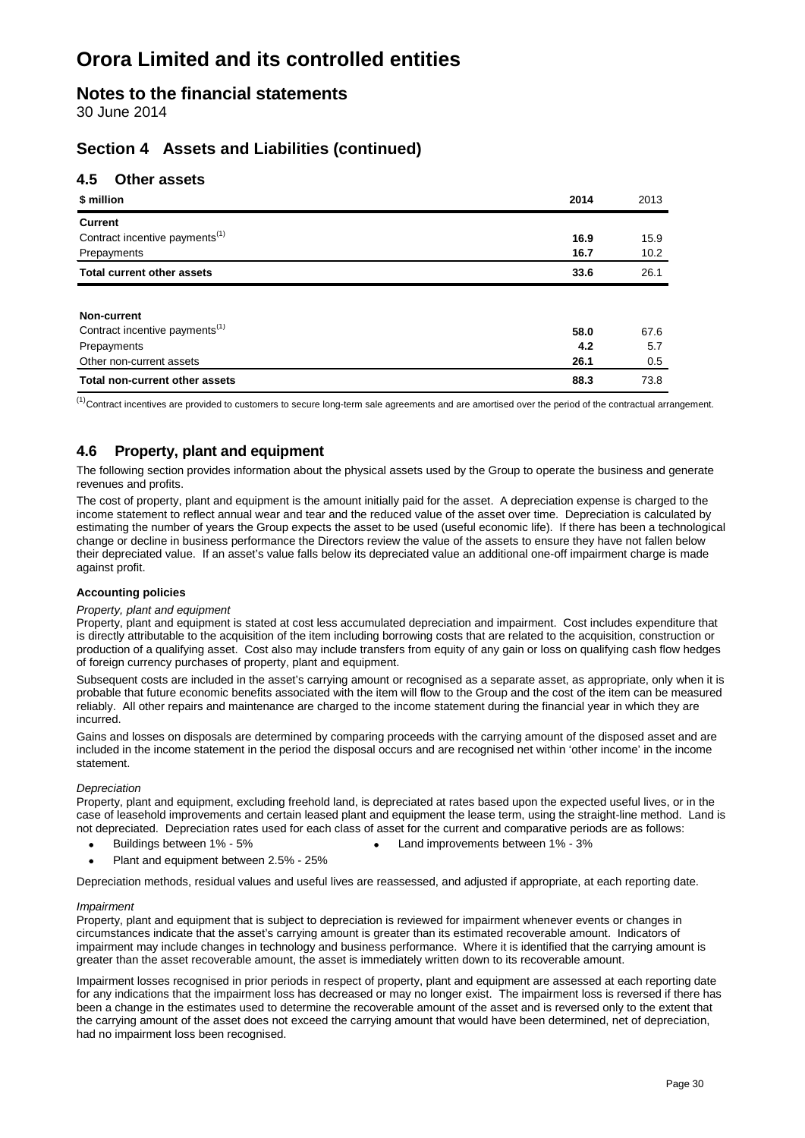### **Notes to the financial statements**

30 June 2014

### **Section 4 Assets and Liabilities (continued)**

### **4.5 Other assets**

| \$ million                                 | 2014 | 2013 |
|--------------------------------------------|------|------|
| <b>Current</b>                             |      |      |
| Contract incentive payments <sup>(1)</sup> | 16.9 | 15.9 |
| Prepayments                                | 16.7 | 10.2 |
| <b>Total current other assets</b>          | 33.6 | 26.1 |
|                                            |      |      |
| <b>Non-current</b>                         |      |      |
| Contract incentive payments <sup>(1)</sup> | 58.0 | 67.6 |
| Prepayments                                | 4.2  | 5.7  |
| Other non-current assets                   | 26.1 | 0.5  |
| <b>Total non-current other assets</b>      | 88.3 | 73.8 |

 $<sup>(1)</sup>$  Contract incentives are provided to customers to secure long-term sale agreements and are amortised over the period of the contractual arrangement.</sup>

### **4.6 Property, plant and equipment**

The following section provides information about the physical assets used by the Group to operate the business and generate revenues and profits.

The cost of property, plant and equipment is the amount initially paid for the asset. A depreciation expense is charged to the income statement to reflect annual wear and tear and the reduced value of the asset over time. Depreciation is calculated by estimating the number of years the Group expects the asset to be used (useful economic life). If there has been a technological change or decline in business performance the Directors review the value of the assets to ensure they have not fallen below their depreciated value. If an asset's value falls below its depreciated value an additional one-off impairment charge is made against profit.

#### **Accounting policies**

#### *Property, plant and equipment*

Property, plant and equipment is stated at cost less accumulated depreciation and impairment. Cost includes expenditure that is directly attributable to the acquisition of the item including borrowing costs that are related to the acquisition, construction or production of a qualifying asset. Cost also may include transfers from equity of any gain or loss on qualifying cash flow hedges of foreign currency purchases of property, plant and equipment.

Subsequent costs are included in the asset's carrying amount or recognised as a separate asset, as appropriate, only when it is probable that future economic benefits associated with the item will flow to the Group and the cost of the item can be measured reliably. All other repairs and maintenance are charged to the income statement during the financial year in which they are incurred.

Gains and losses on disposals are determined by comparing proceeds with the carrying amount of the disposed asset and are included in the income statement in the period the disposal occurs and are recognised net within 'other income' in the income statement.

#### *Depreciation*

Property, plant and equipment, excluding freehold land, is depreciated at rates based upon the expected useful lives, or in the case of leasehold improvements and certain leased plant and equipment the lease term, using the straight-line method. Land is not depreciated. Depreciation rates used for each class of asset for the current and comparative periods are as follows:

- Buildings between 1% 5% Land improvements between 1% 3%
	-
- Plant and equipment between 2.5% 25%

Depreciation methods, residual values and useful lives are reassessed, and adjusted if appropriate, at each reporting date.

#### *Impairment*

Property, plant and equipment that is subject to depreciation is reviewed for impairment whenever events or changes in circumstances indicate that the asset's carrying amount is greater than its estimated recoverable amount. Indicators of impairment may include changes in technology and business performance. Where it is identified that the carrying amount is greater than the asset recoverable amount, the asset is immediately written down to its recoverable amount.

Impairment losses recognised in prior periods in respect of property, plant and equipment are assessed at each reporting date for any indications that the impairment loss has decreased or may no longer exist. The impairment loss is reversed if there has been a change in the estimates used to determine the recoverable amount of the asset and is reversed only to the extent that the carrying amount of the asset does not exceed the carrying amount that would have been determined, net of depreciation, had no impairment loss been recognised.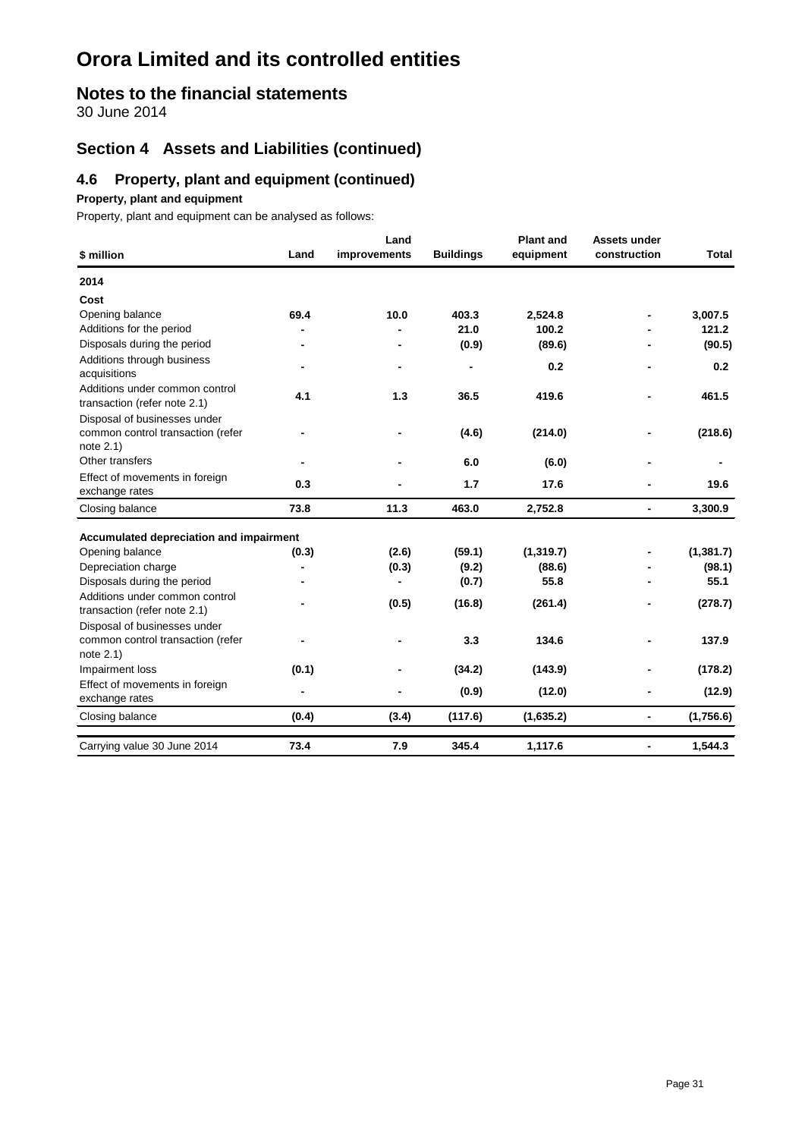### **Notes to the financial statements**

30 June 2014

### **Section 4 Assets and Liabilities (continued)**

### **4.6 Property, plant and equipment (continued)**

#### **Property, plant and equipment**

Property, plant and equipment can be analysed as follows:

| \$ million                                                                     | Land           | Land<br>improvements | <b>Buildings</b> | <b>Plant and</b><br>equipment | Assets under<br>construction | <b>Total</b> |
|--------------------------------------------------------------------------------|----------------|----------------------|------------------|-------------------------------|------------------------------|--------------|
| 2014                                                                           |                |                      |                  |                               |                              |              |
| Cost                                                                           |                |                      |                  |                               |                              |              |
| Opening balance                                                                | 69.4           | 10.0                 | 403.3            | 2,524.8                       |                              | 3,007.5      |
| Additions for the period                                                       |                |                      | 21.0             | 100.2                         |                              | 121.2        |
| Disposals during the period                                                    |                |                      | (0.9)            | (89.6)                        |                              | (90.5)       |
| Additions through business<br>acquisitions                                     |                | $\blacksquare$       | ٠                | 0.2                           |                              | 0.2          |
| Additions under common control<br>transaction (refer note 2.1)                 | 4.1            | 1.3                  | 36.5             | 419.6                         |                              | 461.5        |
| Disposal of businesses under<br>common control transaction (refer<br>note 2.1) |                |                      | (4.6)            | (214.0)                       |                              | (218.6)      |
| Other transfers                                                                |                |                      | 6.0              | (6.0)                         |                              |              |
| Effect of movements in foreign<br>exchange rates                               | 0.3            |                      | 1.7              | 17.6                          |                              | 19.6         |
| Closing balance                                                                | 73.8           | 11.3                 | 463.0            | 2,752.8                       | $\overline{\phantom{0}}$     | 3,300.9      |
| Accumulated depreciation and impairment                                        |                |                      |                  |                               |                              |              |
| Opening balance                                                                | (0.3)          | (2.6)                | (59.1)           | (1, 319.7)                    |                              | (1, 381.7)   |
| Depreciation charge                                                            |                | (0.3)                | (9.2)            | (88.6)                        |                              | (98.1)       |
| Disposals during the period                                                    |                | ۰                    | (0.7)            | 55.8                          |                              | 55.1         |
| Additions under common control<br>transaction (refer note 2.1)                 |                | (0.5)                | (16.8)           | (261.4)                       |                              | (278.7)      |
| Disposal of businesses under<br>common control transaction (refer<br>note 2.1) |                |                      | 3.3              | 134.6                         |                              | 137.9        |
| Impairment loss                                                                | (0.1)          | ٠                    | (34.2)           | (143.9)                       |                              | (178.2)      |
| Effect of movements in foreign<br>exchange rates                               | $\blacksquare$ |                      | (0.9)            | (12.0)                        |                              | (12.9)       |
| Closing balance                                                                | (0.4)          | (3.4)                | (117.6)          | (1,635.2)                     | $\overline{\phantom{a}}$     | (1,756.6)    |
| Carrying value 30 June 2014                                                    | 73.4           | 7.9                  | 345.4            | 1,117.6                       | $\overline{\phantom{a}}$     | 1,544.3      |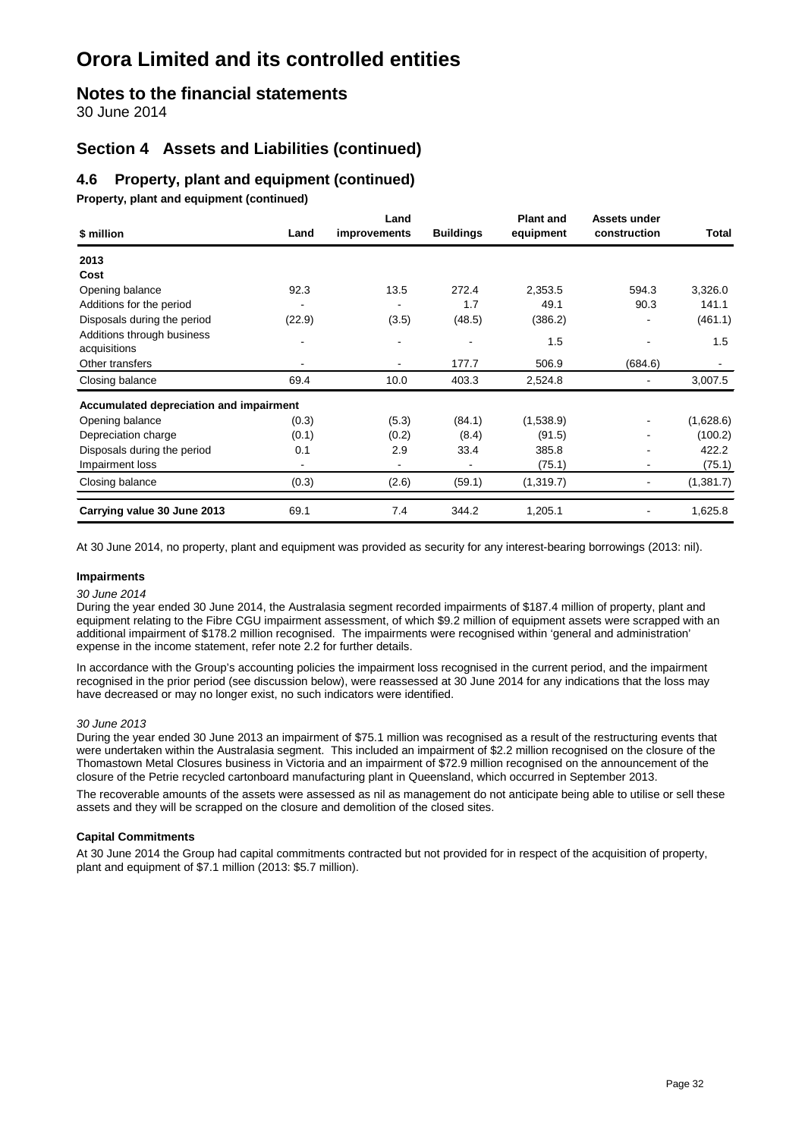### **Notes to the financial statements**

30 June 2014

### **Section 4 Assets and Liabilities (continued)**

### **4.6 Property, plant and equipment (continued)**

**Property, plant and equipment (continued)**

| \$ million                                 | Land   | Land<br>improvements     | <b>Buildings</b> | <b>Plant and</b><br>equipment | Assets under<br>construction | Total     |
|--------------------------------------------|--------|--------------------------|------------------|-------------------------------|------------------------------|-----------|
| 2013                                       |        |                          |                  |                               |                              |           |
| Cost                                       |        |                          |                  |                               |                              |           |
| Opening balance                            | 92.3   | 13.5                     | 272.4            | 2,353.5                       | 594.3                        | 3,326.0   |
| Additions for the period                   |        |                          | 1.7              | 49.1                          | 90.3                         | 141.1     |
| Disposals during the period                | (22.9) | (3.5)                    | (48.5)           | (386.2)                       |                              | (461.1)   |
| Additions through business<br>acquisitions |        |                          |                  | 1.5                           |                              | 1.5       |
| Other transfers                            |        | $\blacksquare$           | 177.7            | 506.9                         | (684.6)                      |           |
| Closing balance                            | 69.4   | 10.0                     | 403.3            | 2,524.8                       |                              | 3,007.5   |
| Accumulated depreciation and impairment    |        |                          |                  |                               |                              |           |
| Opening balance                            | (0.3)  | (5.3)                    | (84.1)           | (1,538.9)                     |                              | (1,628.6) |
| Depreciation charge                        | (0.1)  | (0.2)                    | (8.4)            | (91.5)                        |                              | (100.2)   |
| Disposals during the period                | 0.1    | 2.9                      | 33.4             | 385.8                         |                              | 422.2     |
| Impairment loss                            |        | $\overline{\phantom{a}}$ | ۰                | (75.1)                        |                              | (75.1)    |
| Closing balance                            | (0.3)  | (2.6)                    | (59.1)           | (1,319.7)                     |                              | (1,381.7) |
| Carrying value 30 June 2013                | 69.1   | 7.4                      | 344.2            | 1,205.1                       |                              | 1,625.8   |

At 30 June 2014, no property, plant and equipment was provided as security for any interest-bearing borrowings (2013: nil).

#### **Impairments**

#### *30 June 2014*

During the year ended 30 June 2014, the Australasia segment recorded impairments of \$187.4 million of property, plant and equipment relating to the Fibre CGU impairment assessment, of which \$9.2 million of equipment assets were scrapped with an additional impairment of \$178.2 million recognised. The impairments were recognised within 'general and administration' expense in the income statement, refer note 2.2 for further details.

In accordance with the Group's accounting policies the impairment loss recognised in the current period, and the impairment recognised in the prior period (see discussion below), were reassessed at 30 June 2014 for any indications that the loss may have decreased or may no longer exist, no such indicators were identified.

#### *30 June 2013*

During the year ended 30 June 2013 an impairment of \$75.1 million was recognised as a result of the restructuring events that were undertaken within the Australasia segment. This included an impairment of \$2.2 million recognised on the closure of the Thomastown Metal Closures business in Victoria and an impairment of \$72.9 million recognised on the announcement of the closure of the Petrie recycled cartonboard manufacturing plant in Queensland, which occurred in September 2013.

The recoverable amounts of the assets were assessed as nil as management do not anticipate being able to utilise or sell these assets and they will be scrapped on the closure and demolition of the closed sites.

#### **Capital Commitments**

At 30 June 2014 the Group had capital commitments contracted but not provided for in respect of the acquisition of property, plant and equipment of \$7.1 million (2013: \$5.7 million).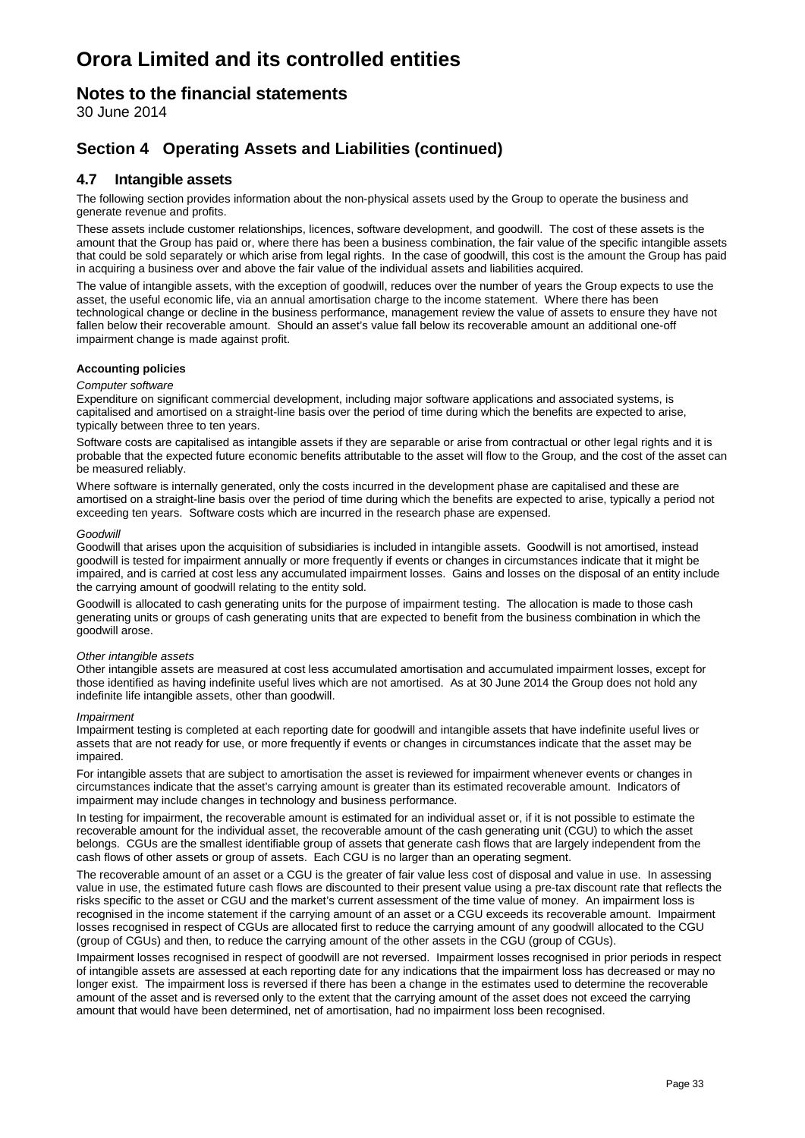### **Notes to the financial statements**

30 June 2014

### **Section 4 Operating Assets and Liabilities (continued)**

#### **4.7 Intangible assets**

The following section provides information about the non-physical assets used by the Group to operate the business and generate revenue and profits.

These assets include customer relationships, licences, software development, and goodwill. The cost of these assets is the amount that the Group has paid or, where there has been a business combination, the fair value of the specific intangible assets that could be sold separately or which arise from legal rights. In the case of goodwill, this cost is the amount the Group has paid in acquiring a business over and above the fair value of the individual assets and liabilities acquired.

The value of intangible assets, with the exception of goodwill, reduces over the number of years the Group expects to use the asset, the useful economic life, via an annual amortisation charge to the income statement. Where there has been technological change or decline in the business performance, management review the value of assets to ensure they have not fallen below their recoverable amount. Should an asset's value fall below its recoverable amount an additional one-off impairment change is made against profit.

#### **Accounting policies**

#### *Computer software*

Expenditure on significant commercial development, including major software applications and associated systems, is capitalised and amortised on a straight-line basis over the period of time during which the benefits are expected to arise, typically between three to ten years.

Software costs are capitalised as intangible assets if they are separable or arise from contractual or other legal rights and it is probable that the expected future economic benefits attributable to the asset will flow to the Group, and the cost of the asset can be measured reliably.

Where software is internally generated, only the costs incurred in the development phase are capitalised and these are amortised on a straight-line basis over the period of time during which the benefits are expected to arise, typically a period not exceeding ten years. Software costs which are incurred in the research phase are expensed.

#### *Goodwill*

Goodwill that arises upon the acquisition of subsidiaries is included in intangible assets. Goodwill is not amortised, instead goodwill is tested for impairment annually or more frequently if events or changes in circumstances indicate that it might be impaired, and is carried at cost less any accumulated impairment losses. Gains and losses on the disposal of an entity include the carrying amount of goodwill relating to the entity sold.

Goodwill is allocated to cash generating units for the purpose of impairment testing. The allocation is made to those cash generating units or groups of cash generating units that are expected to benefit from the business combination in which the goodwill arose.

#### *Other intangible assets*

Other intangible assets are measured at cost less accumulated amortisation and accumulated impairment losses, except for those identified as having indefinite useful lives which are not amortised. As at 30 June 2014 the Group does not hold any indefinite life intangible assets, other than goodwill.

#### *Impairment*

Impairment testing is completed at each reporting date for goodwill and intangible assets that have indefinite useful lives or assets that are not ready for use, or more frequently if events or changes in circumstances indicate that the asset may be impaired.

For intangible assets that are subject to amortisation the asset is reviewed for impairment whenever events or changes in circumstances indicate that the asset's carrying amount is greater than its estimated recoverable amount. Indicators of impairment may include changes in technology and business performance.

In testing for impairment, the recoverable amount is estimated for an individual asset or, if it is not possible to estimate the recoverable amount for the individual asset, the recoverable amount of the cash generating unit (CGU) to which the asset belongs. CGUs are the smallest identifiable group of assets that generate cash flows that are largely independent from the cash flows of other assets or group of assets. Each CGU is no larger than an operating segment.

The recoverable amount of an asset or a CGU is the greater of fair value less cost of disposal and value in use. In assessing value in use, the estimated future cash flows are discounted to their present value using a pre-tax discount rate that reflects the risks specific to the asset or CGU and the market's current assessment of the time value of money. An impairment loss is recognised in the income statement if the carrying amount of an asset or a CGU exceeds its recoverable amount. Impairment losses recognised in respect of CGUs are allocated first to reduce the carrying amount of any goodwill allocated to the CGU (group of CGUs) and then, to reduce the carrying amount of the other assets in the CGU (group of CGUs).

Impairment losses recognised in respect of goodwill are not reversed. Impairment losses recognised in prior periods in respect of intangible assets are assessed at each reporting date for any indications that the impairment loss has decreased or may no longer exist. The impairment loss is reversed if there has been a change in the estimates used to determine the recoverable amount of the asset and is reversed only to the extent that the carrying amount of the asset does not exceed the carrying amount that would have been determined, net of amortisation, had no impairment loss been recognised.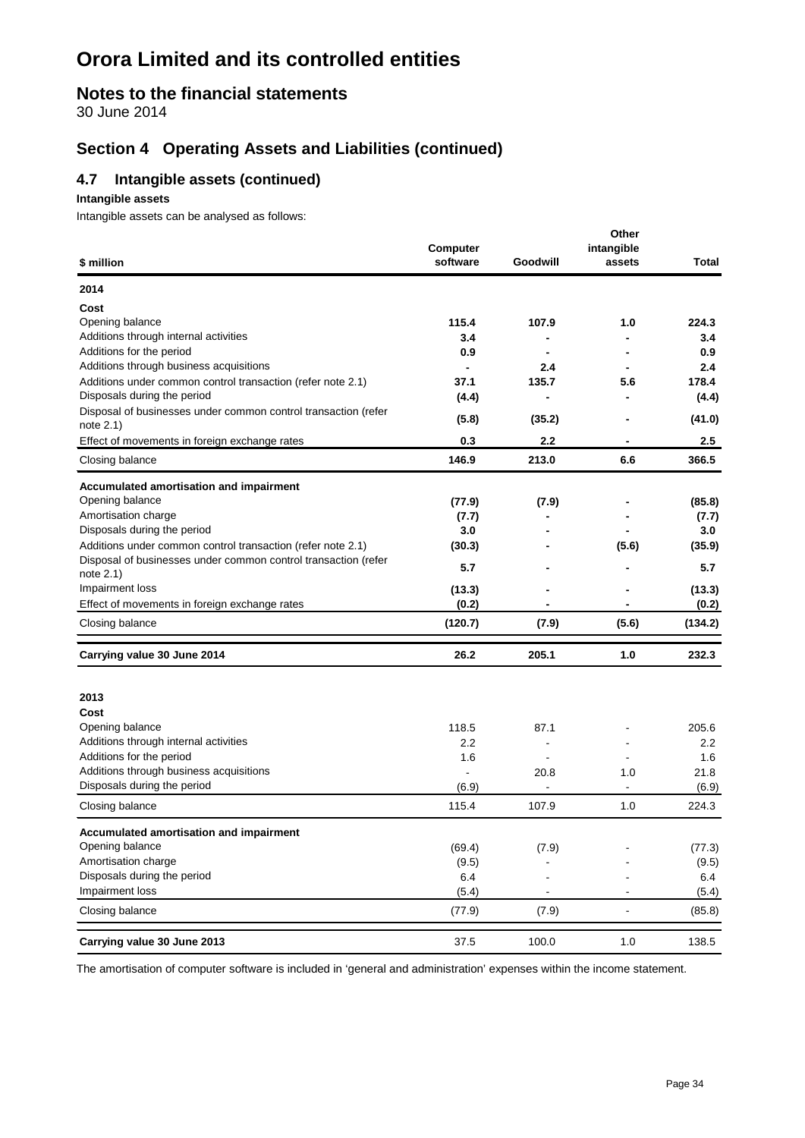### **Notes to the financial statements**

30 June 2014

### **Section 4 Operating Assets and Liabilities (continued)**

### **4.7 Intangible assets (continued)**

#### **Intangible assets**

Intangible assets can be analysed as follows:

| \$ million                                                                                 | Computer<br>software | Goodwill                         | Other<br>intangible<br>assets | Total           |
|--------------------------------------------------------------------------------------------|----------------------|----------------------------------|-------------------------------|-----------------|
| 2014                                                                                       |                      |                                  |                               |                 |
| Cost                                                                                       |                      |                                  |                               |                 |
| Opening balance                                                                            | 115.4                | 107.9                            | 1.0                           | 224.3           |
| Additions through internal activities                                                      | 3.4                  |                                  |                               | 3.4             |
| Additions for the period                                                                   | 0.9                  |                                  |                               | 0.9             |
| Additions through business acquisitions                                                    | $\blacksquare$       | 2.4                              |                               | 2.4             |
| Additions under common control transaction (refer note 2.1)<br>Disposals during the period | 37.1<br>(4.4)        | 135.7<br>$\overline{a}$          | 5.6                           | 178.4           |
| Disposal of businesses under common control transaction (refer                             |                      |                                  |                               | (4.4)           |
| note $2.1$ )                                                                               | (5.8)                | (35.2)                           |                               | (41.0)          |
| Effect of movements in foreign exchange rates                                              | 0.3                  | 2.2                              |                               | $2.5\,$         |
| Closing balance                                                                            | 146.9                | 213.0                            | 6.6                           | 366.5           |
| Accumulated amortisation and impairment                                                    |                      |                                  |                               |                 |
| Opening balance                                                                            | (77.9)               | (7.9)                            |                               | (85.8)          |
| Amortisation charge                                                                        | (7.7)                |                                  |                               | (7.7)           |
| Disposals during the period                                                                | 3.0                  |                                  |                               | 3.0             |
| Additions under common control transaction (refer note 2.1)                                | (30.3)               |                                  | (5.6)                         | (35.9)          |
| Disposal of businesses under common control transaction (refer<br>note 2.1)                | 5.7                  |                                  |                               | 5.7             |
| Impairment loss                                                                            | (13.3)               |                                  |                               | (13.3)          |
| Effect of movements in foreign exchange rates                                              | (0.2)                |                                  |                               | (0.2)           |
| Closing balance                                                                            | (120.7)              | (7.9)                            | (5.6)                         | (134.2)         |
| Carrying value 30 June 2014                                                                | 26.2                 | 205.1                            | 1.0                           | 232.3           |
|                                                                                            |                      |                                  |                               |                 |
| 2013                                                                                       |                      |                                  |                               |                 |
| Cost                                                                                       |                      |                                  |                               |                 |
| Opening balance                                                                            | 118.5                | 87.1                             |                               | 205.6           |
| Additions through internal activities                                                      | 2.2                  |                                  |                               | 2.2             |
| Additions for the period<br>Additions through business acquisitions                        | 1.6<br>$\mathbf{r}$  |                                  |                               | 1.6<br>21.8     |
| Disposals during the period                                                                | (6.9)                | 20.8<br>$\overline{\phantom{a}}$ | 1.0<br>$\blacksquare$         | (6.9)           |
| Closing balance                                                                            | 115.4                | 107.9                            | 1.0                           | 224.3           |
|                                                                                            |                      |                                  |                               |                 |
| Accumulated amortisation and impairment<br>Opening balance                                 |                      |                                  |                               |                 |
| Amortisation charge                                                                        | (69.4)<br>(9.5)      | (7.9)                            |                               | (77.3)<br>(9.5) |
| Disposals during the period                                                                | 6.4                  |                                  |                               | 6.4             |
| Impairment loss                                                                            | (5.4)                | $\blacksquare$                   | $\overline{\phantom{a}}$      | (5.4)           |
| Closing balance                                                                            | (77.9)               | (7.9)                            | $\blacksquare$                | (85.8)          |
| Carrying value 30 June 2013                                                                | 37.5                 | 100.0                            | $1.0$                         | 138.5           |

The amortisation of computer software is included in 'general and administration' expenses within the income statement.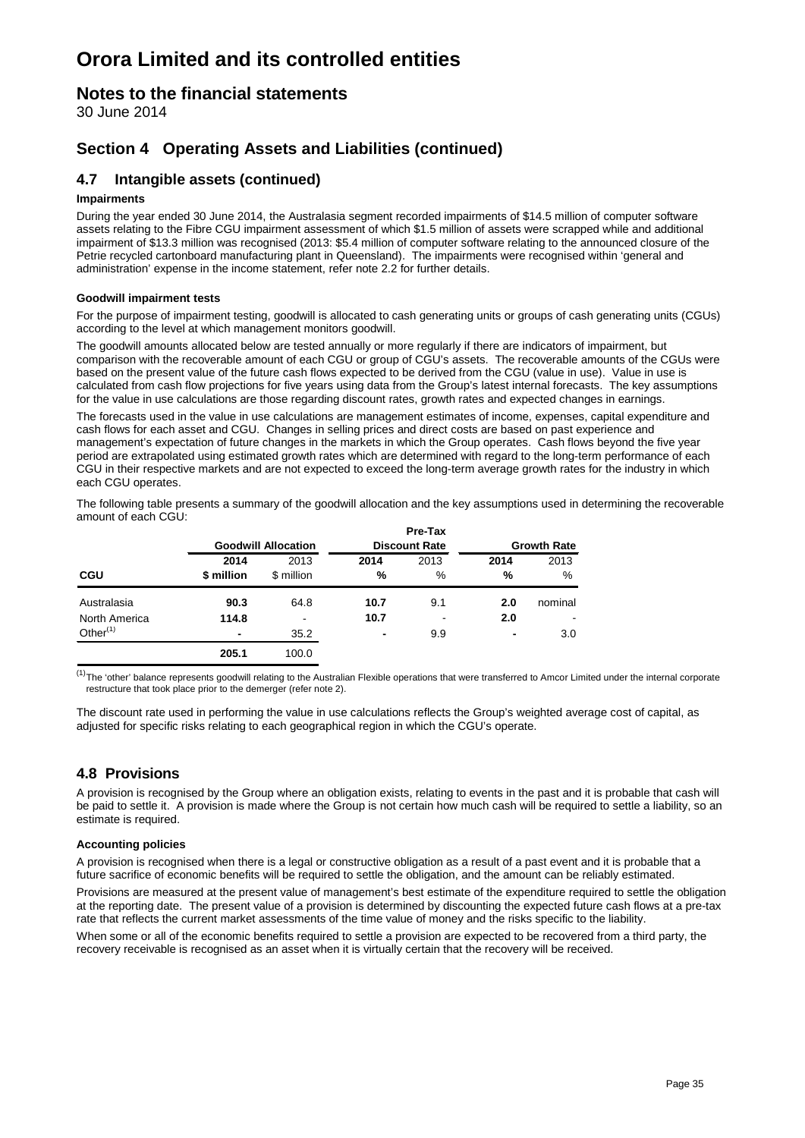### **Notes to the financial statements**

30 June 2014

### **Section 4 Operating Assets and Liabilities (continued)**

### **4.7 Intangible assets (continued)**

#### **Impairments**

During the year ended 30 June 2014, the Australasia segment recorded impairments of \$14.5 million of computer software assets relating to the Fibre CGU impairment assessment of which \$1.5 million of assets were scrapped while and additional impairment of \$13.3 million was recognised (2013: \$5.4 million of computer software relating to the announced closure of the Petrie recycled cartonboard manufacturing plant in Queensland). The impairments were recognised within 'general and administration' expense in the income statement, refer note 2.2 for further details.

#### **Goodwill impairment tests**

For the purpose of impairment testing, goodwill is allocated to cash generating units or groups of cash generating units (CGUs) according to the level at which management monitors goodwill.

The goodwill amounts allocated below are tested annually or more regularly if there are indicators of impairment, but comparison with the recoverable amount of each CGU or group of CGU's assets. The recoverable amounts of the CGUs were based on the present value of the future cash flows expected to be derived from the CGU (value in use). Value in use is calculated from cash flow projections for five years using data from the Group's latest internal forecasts. The key assumptions for the value in use calculations are those regarding discount rates, growth rates and expected changes in earnings.

The forecasts used in the value in use calculations are management estimates of income, expenses, capital expenditure and cash flows for each asset and CGU. Changes in selling prices and direct costs are based on past experience and management's expectation of future changes in the markets in which the Group operates. Cash flows beyond the five year period are extrapolated using estimated growth rates which are determined with regard to the long-term performance of each CGU in their respective markets and are not expected to exceed the long-term average growth rates for the industry in which each CGU operates.

The following table presents a summary of the goodwill allocation and the key assumptions used in determining the recoverable amount of each CGU:

|               |                |                            |                | Pre-Tax              |                          |                    |  |
|---------------|----------------|----------------------------|----------------|----------------------|--------------------------|--------------------|--|
|               |                | <b>Goodwill Allocation</b> |                | <b>Discount Rate</b> |                          | <b>Growth Rate</b> |  |
|               | 2014           | 2013                       | 2014           | 2013                 | 2014                     | 2013               |  |
| <b>CGU</b>    | \$ million     | \$ million                 | %              | %                    | %                        | %                  |  |
| Australasia   | 90.3           | 64.8                       | 10.7           | 9.1                  | 2.0                      | nominal            |  |
| North America | 114.8          | $\overline{\phantom{a}}$   | 10.7           | $\blacksquare$       | 2.0                      | $\,$               |  |
| Other $(1)$   | $\blacksquare$ | 35.2                       | $\blacksquare$ | 9.9                  | $\overline{\phantom{0}}$ | 3.0                |  |
|               | 205.1          | 100.0                      |                |                      |                          |                    |  |

 $^{(1)}$ The 'other' balance represents goodwill relating to the Australian Flexible operations that were transferred to Amcor Limited under the internal corporate restructure that took place prior to the demerger (refer note 2).

The discount rate used in performing the value in use calculations reflects the Group's weighted average cost of capital, as adjusted for specific risks relating to each geographical region in which the CGU's operate.

### **4.8 Provisions**

A provision is recognised by the Group where an obligation exists, relating to events in the past and it is probable that cash will be paid to settle it. A provision is made where the Group is not certain how much cash will be required to settle a liability, so an estimate is required.

#### **Accounting policies**

A provision is recognised when there is a legal or constructive obligation as a result of a past event and it is probable that a future sacrifice of economic benefits will be required to settle the obligation, and the amount can be reliably estimated.

Provisions are measured at the present value of management's best estimate of the expenditure required to settle the obligation at the reporting date. The present value of a provision is determined by discounting the expected future cash flows at a pre-tax rate that reflects the current market assessments of the time value of money and the risks specific to the liability.

When some or all of the economic benefits required to settle a provision are expected to be recovered from a third party, the recovery receivable is recognised as an asset when it is virtually certain that the recovery will be received.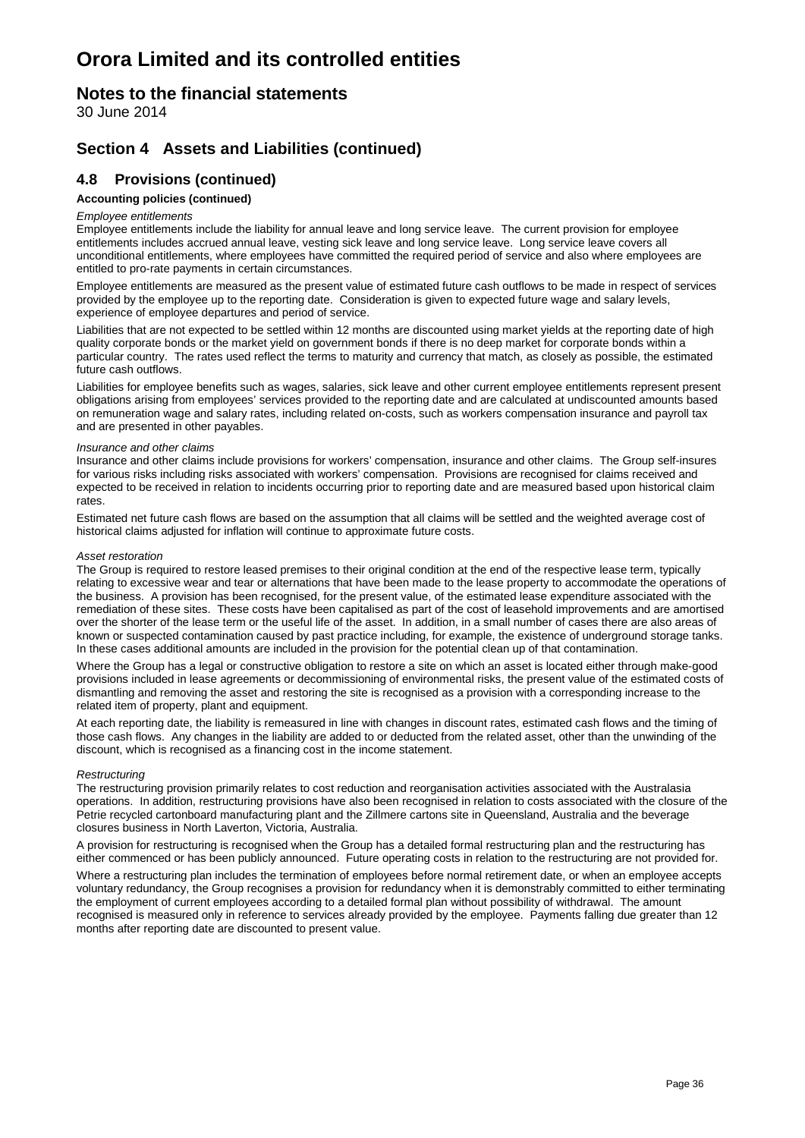### **Notes to the financial statements**

30 June 2014

### **Section 4 Assets and Liabilities (continued)**

### **4.8 Provisions (continued)**

#### **Accounting policies (continued)**

#### *Employee entitlements*

Employee entitlements include the liability for annual leave and long service leave. The current provision for employee entitlements includes accrued annual leave, vesting sick leave and long service leave. Long service leave covers all unconditional entitlements, where employees have committed the required period of service and also where employees are entitled to pro-rate payments in certain circumstances.

Employee entitlements are measured as the present value of estimated future cash outflows to be made in respect of services provided by the employee up to the reporting date. Consideration is given to expected future wage and salary levels, experience of employee departures and period of service.

Liabilities that are not expected to be settled within 12 months are discounted using market yields at the reporting date of high quality corporate bonds or the market yield on government bonds if there is no deep market for corporate bonds within a particular country. The rates used reflect the terms to maturity and currency that match, as closely as possible, the estimated future cash outflows.

Liabilities for employee benefits such as wages, salaries, sick leave and other current employee entitlements represent present obligations arising from employees' services provided to the reporting date and are calculated at undiscounted amounts based on remuneration wage and salary rates, including related on-costs, such as workers compensation insurance and payroll tax and are presented in other payables.

#### *Insurance and other claims*

Insurance and other claims include provisions for workers' compensation, insurance and other claims. The Group self-insures for various risks including risks associated with workers' compensation. Provisions are recognised for claims received and expected to be received in relation to incidents occurring prior to reporting date and are measured based upon historical claim rates.

Estimated net future cash flows are based on the assumption that all claims will be settled and the weighted average cost of historical claims adjusted for inflation will continue to approximate future costs.

#### *Asset restoration*

The Group is required to restore leased premises to their original condition at the end of the respective lease term, typically relating to excessive wear and tear or alternations that have been made to the lease property to accommodate the operations of the business. A provision has been recognised, for the present value, of the estimated lease expenditure associated with the remediation of these sites. These costs have been capitalised as part of the cost of leasehold improvements and are amortised over the shorter of the lease term or the useful life of the asset. In addition, in a small number of cases there are also areas of known or suspected contamination caused by past practice including, for example, the existence of underground storage tanks. In these cases additional amounts are included in the provision for the potential clean up of that contamination.

Where the Group has a legal or constructive obligation to restore a site on which an asset is located either through make-good provisions included in lease agreements or decommissioning of environmental risks, the present value of the estimated costs of dismantling and removing the asset and restoring the site is recognised as a provision with a corresponding increase to the related item of property, plant and equipment.

At each reporting date, the liability is remeasured in line with changes in discount rates, estimated cash flows and the timing of those cash flows. Any changes in the liability are added to or deducted from the related asset, other than the unwinding of the discount, which is recognised as a financing cost in the income statement.

#### *Restructuring*

The restructuring provision primarily relates to cost reduction and reorganisation activities associated with the Australasia operations. In addition, restructuring provisions have also been recognised in relation to costs associated with the closure of the Petrie recycled cartonboard manufacturing plant and the Zillmere cartons site in Queensland, Australia and the beverage closures business in North Laverton, Victoria, Australia.

A provision for restructuring is recognised when the Group has a detailed formal restructuring plan and the restructuring has either commenced or has been publicly announced. Future operating costs in relation to the restructuring are not provided for.

Where a restructuring plan includes the termination of employees before normal retirement date, or when an employee accepts voluntary redundancy, the Group recognises a provision for redundancy when it is demonstrably committed to either terminating the employment of current employees according to a detailed formal plan without possibility of withdrawal. The amount recognised is measured only in reference to services already provided by the employee. Payments falling due greater than 12 months after reporting date are discounted to present value.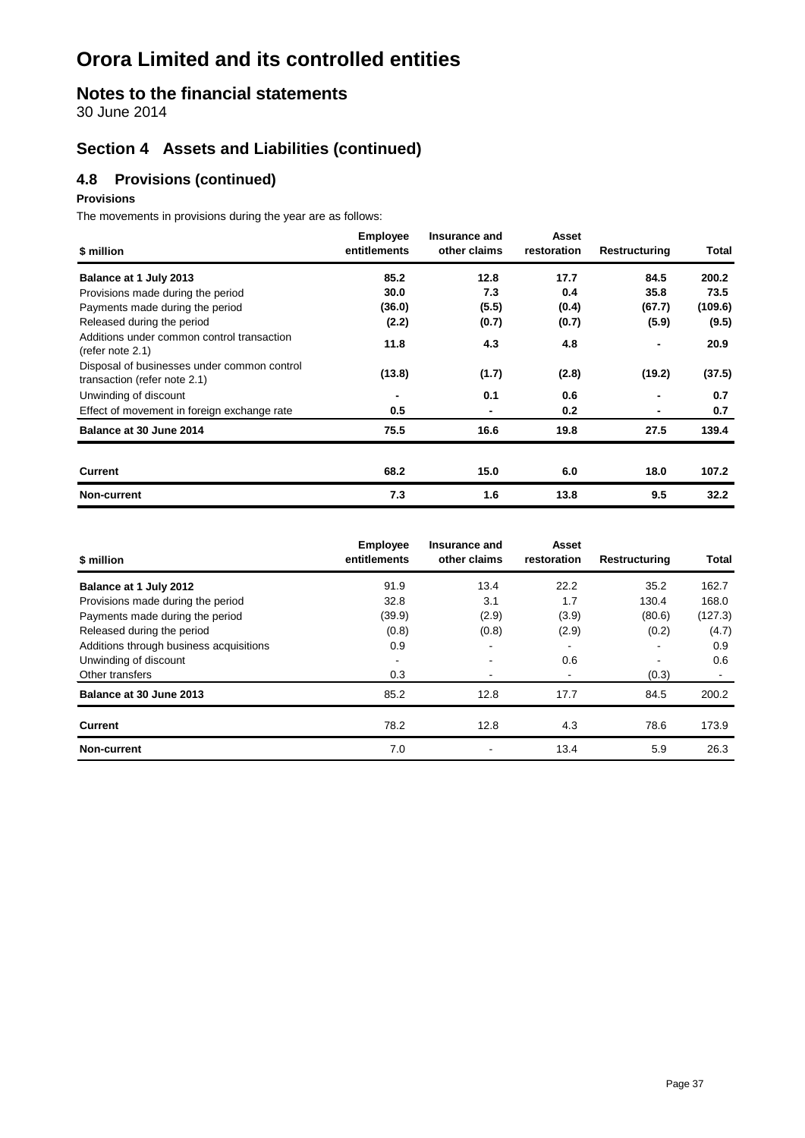## **Notes to the financial statements**

30 June 2014

### **Section 4 Assets and Liabilities (continued)**

### **4.8 Provisions (continued)**

#### **Provisions**

The movements in provisions during the year are as follows:

| \$ million                                                                  | <b>Employee</b><br>entitlements | Insurance and<br>other claims | Asset<br>restoration | Restructuring  | Total   |
|-----------------------------------------------------------------------------|---------------------------------|-------------------------------|----------------------|----------------|---------|
| Balance at 1 July 2013                                                      | 85.2                            | 12.8                          | 17.7                 | 84.5           | 200.2   |
| Provisions made during the period                                           | 30.0                            | 7.3                           | 0.4                  | 35.8           | 73.5    |
| Payments made during the period                                             | (36.0)                          | (5.5)                         | (0.4)                | (67.7)         | (109.6) |
| Released during the period                                                  | (2.2)                           | (0.7)                         | (0.7)                | (5.9)          | (9.5)   |
| Additions under common control transaction<br>(refer note 2.1)              | 11.8                            | 4.3                           | 4.8                  |                | 20.9    |
| Disposal of businesses under common control<br>transaction (refer note 2.1) | (13.8)                          | (1.7)                         | (2.8)                | (19.2)         | (37.5)  |
| Unwinding of discount                                                       | ٠                               | 0.1                           | 0.6                  |                | 0.7     |
| Effect of movement in foreign exchange rate                                 | 0.5                             | -                             | 0.2                  | $\blacksquare$ | 0.7     |
| Balance at 30 June 2014                                                     | 75.5                            | 16.6                          | 19.8                 | 27.5           | 139.4   |
| <b>Current</b>                                                              | 68.2                            | 15.0                          | 6.0                  | 18.0           | 107.2   |
| Non-current                                                                 | 7.3                             | 1.6                           | 13.8                 | 9.5            | 32.2    |

| \$ million                              | <b>Employee</b><br>entitlements | Insurance and<br>other claims | Asset<br>restoration | Restructuring            | Total   |
|-----------------------------------------|---------------------------------|-------------------------------|----------------------|--------------------------|---------|
| Balance at 1 July 2012                  | 91.9                            | 13.4                          | 22.2                 | 35.2                     | 162.7   |
| Provisions made during the period       | 32.8                            | 3.1                           | 1.7                  | 130.4                    | 168.0   |
| Payments made during the period         | (39.9)                          | (2.9)                         | (3.9)                | (80.6)                   | (127.3) |
| Released during the period              | (0.8)                           | (0.8)                         | (2.9)                | (0.2)                    | (4.7)   |
| Additions through business acquisitions | 0.9                             |                               |                      |                          | 0.9     |
| Unwinding of discount                   | ۰                               |                               | 0.6                  | $\overline{\phantom{a}}$ | 0.6     |
| Other transfers                         | 0.3                             |                               | ۰                    | (0.3)                    |         |
| Balance at 30 June 2013                 | 85.2                            | 12.8                          | 17.7                 | 84.5                     | 200.2   |
| <b>Current</b>                          | 78.2                            | 12.8                          | 4.3                  | 78.6                     | 173.9   |
| <b>Non-current</b>                      | 7.0                             |                               | 13.4                 | 5.9                      | 26.3    |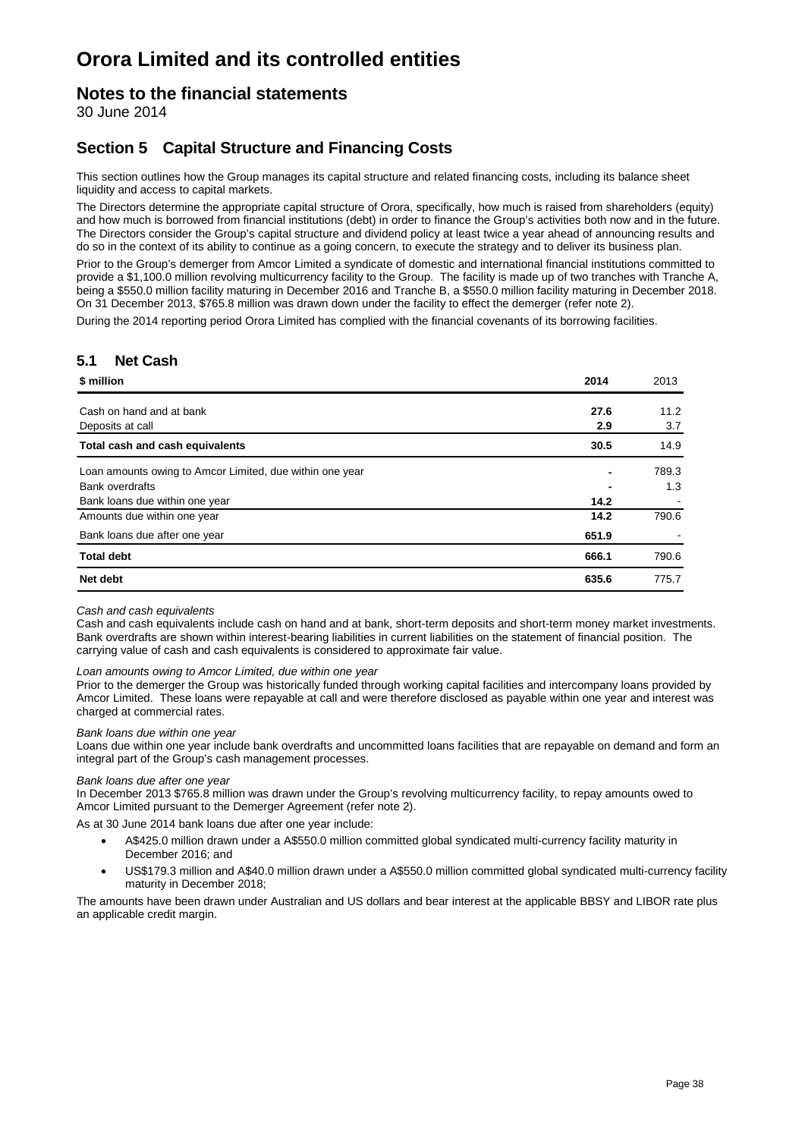### **Notes to the financial statements**

30 June 2014

### **Section 5 Capital Structure and Financing Costs**

This section outlines how the Group manages its capital structure and related financing costs, including its balance sheet liquidity and access to capital markets.

The Directors determine the appropriate capital structure of Orora, specifically, how much is raised from shareholders (equity) and how much is borrowed from financial institutions (debt) in order to finance the Group's activities both now and in the future. The Directors consider the Group's capital structure and dividend policy at least twice a year ahead of announcing results and do so in the context of its ability to continue as a going concern, to execute the strategy and to deliver its business plan.

Prior to the Group's demerger from Amcor Limited a syndicate of domestic and international financial institutions committed to provide a \$1,100.0 million revolving multicurrency facility to the Group. The facility is made up of two tranches with Tranche A, being a \$550.0 million facility maturing in December 2016 and Tranche B, a \$550.0 million facility maturing in December 2018. On 31 December 2013, \$765.8 million was drawn down under the facility to effect the demerger (refer note 2).

During the 2014 reporting period Orora Limited has complied with the financial covenants of its borrowing facilities.

### **5.1 Net Cash**

| \$ million                                               | 2014  | 2013  |
|----------------------------------------------------------|-------|-------|
| Cash on hand and at bank                                 | 27.6  | 11.2  |
| Deposits at call                                         | 2.9   | 3.7   |
| Total cash and cash equivalents                          | 30.5  | 14.9  |
| Loan amounts owing to Amcor Limited, due within one year |       | 789.3 |
| <b>Bank overdrafts</b>                                   |       | 1.3   |
| Bank loans due within one year                           | 14.2  |       |
| Amounts due within one year                              | 14.2  | 790.6 |
| Bank loans due after one year                            | 651.9 |       |
| <b>Total debt</b>                                        | 666.1 | 790.6 |
| Net debt                                                 | 635.6 | 775.7 |

#### *Cash and cash equivalents*

Cash and cash equivalents include cash on hand and at bank, short-term deposits and short-term money market investments. Bank overdrafts are shown within interest-bearing liabilities in current liabilities on the statement of financial position. The carrying value of cash and cash equivalents is considered to approximate fair value.

#### *Loan amounts owing to Amcor Limited, due within one year*

Prior to the demerger the Group was historically funded through working capital facilities and intercompany loans provided by Amcor Limited. These loans were repayable at call and were therefore disclosed as payable within one year and interest was charged at commercial rates.

#### *Bank loans due within one year*

Loans due within one year include bank overdrafts and uncommitted loans facilities that are repayable on demand and form an integral part of the Group's cash management processes.

#### *Bank loans due after one year*

In December 2013 \$765.8 million was drawn under the Group's revolving multicurrency facility, to repay amounts owed to Amcor Limited pursuant to the Demerger Agreement (refer note 2).

As at 30 June 2014 bank loans due after one year include:

- A\$425.0 million drawn under a A\$550.0 million committed global syndicated multi-currency facility maturity in December 2016; and
- US\$179.3 million and A\$40.0 million drawn under a A\$550.0 million committed global syndicated multi-currency facility maturity in December 2018;

The amounts have been drawn under Australian and US dollars and bear interest at the applicable BBSY and LIBOR rate plus an applicable credit margin.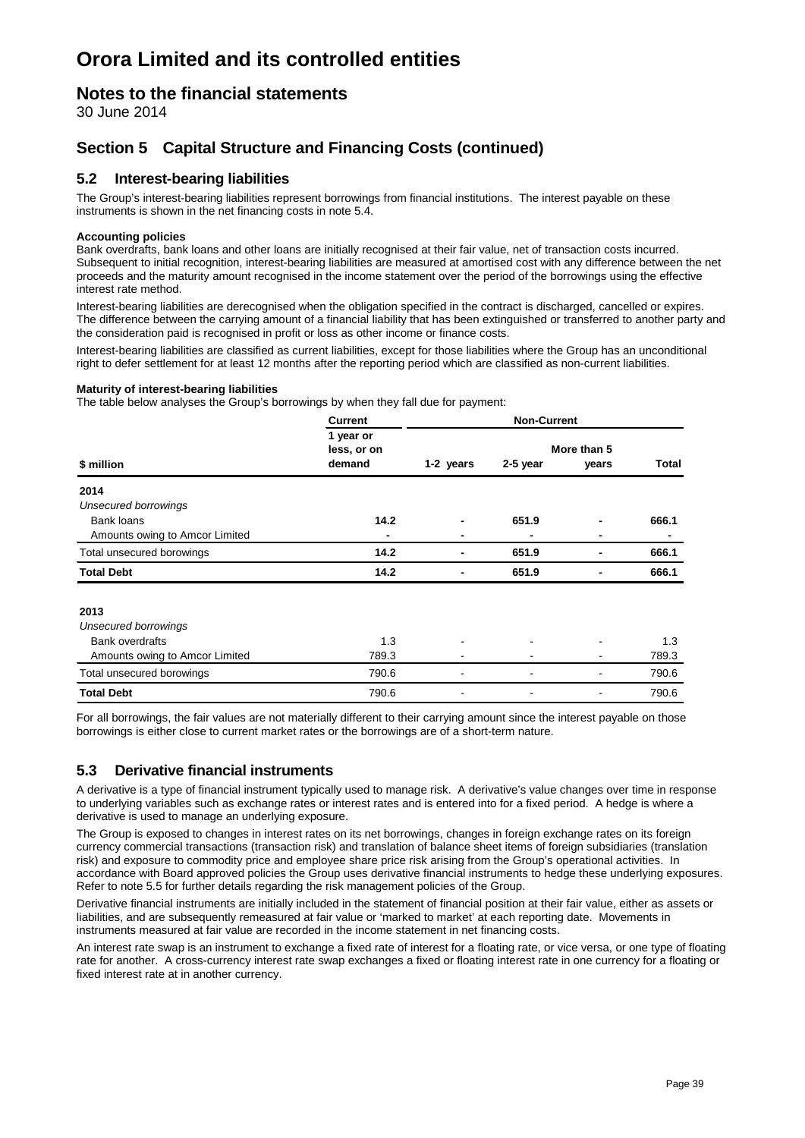### **Notes to the financial statements**

30 June 2014

### **Section 5 Capital Structure and Financing Costs (continued)**

### **5.2 Interest-bearing liabilities**

The Group's interest-bearing liabilities represent borrowings from financial institutions. The interest payable on these instruments is shown in the net financing costs in note 5.4.

#### **Accounting policies**

Bank overdrafts, bank loans and other loans are initially recognised at their fair value, net of transaction costs incurred. Subsequent to initial recognition, interest-bearing liabilities are measured at amortised cost with any difference between the net proceeds and the maturity amount recognised in the income statement over the period of the borrowings using the effective interest rate method.

Interest-bearing liabilities are derecognised when the obligation specified in the contract is discharged, cancelled or expires. The difference between the carrying amount of a financial liability that has been extinguished or transferred to another party and the consideration paid is recognised in profit or loss as other income or finance costs.

Interest-bearing liabilities are classified as current liabilities, except for those liabilities where the Group has an unconditional right to defer settlement for at least 12 months after the reporting period which are classified as non-current liabilities.

#### **Maturity of interest-bearing liabilities**

The table below analyses the Group's borrowings by when they fall due for payment:

|                                | <b>Current</b>                     |           | <b>Non-Current</b> |                      |              |
|--------------------------------|------------------------------------|-----------|--------------------|----------------------|--------------|
| \$ million                     | 1 year or<br>less, or on<br>demand | 1-2 years | 2-5 year           | More than 5<br>years | <b>Total</b> |
| 2014                           |                                    |           |                    |                      |              |
| <b>Unsecured borrowings</b>    |                                    |           |                    |                      |              |
| Bank loans                     | 14.2                               |           | 651.9              |                      | 666.1        |
| Amounts owing to Amcor Limited | -                                  |           |                    |                      |              |
| Total unsecured borowings      | 14.2                               |           | 651.9              |                      | 666.1        |
| <b>Total Debt</b>              | 14.2                               |           | 651.9              |                      | 666.1        |
| 2013                           |                                    |           |                    |                      |              |
| <b>Unsecured borrowings</b>    |                                    |           |                    |                      |              |
| <b>Bank overdrafts</b>         | 1.3                                |           |                    |                      | 1.3          |
| Amounts owing to Amcor Limited | 789.3                              |           |                    |                      | 789.3        |
| Total unsecured borowings      | 790.6                              |           |                    |                      | 790.6        |
| <b>Total Debt</b>              | 790.6                              |           |                    |                      | 790.6        |

For all borrowings, the fair values are not materially different to their carrying amount since the interest payable on those borrowings is either close to current market rates or the borrowings are of a short-term nature.

### **5.3 Derivative financial instruments**

A derivative is a type of financial instrument typically used to manage risk. A derivative's value changes over time in response to underlying variables such as exchange rates or interest rates and is entered into for a fixed period. A hedge is where a derivative is used to manage an underlying exposure.

The Group is exposed to changes in interest rates on its net borrowings, changes in foreign exchange rates on its foreign currency commercial transactions (transaction risk) and translation of balance sheet items of foreign subsidiaries (translation risk) and exposure to commodity price and employee share price risk arising from the Group's operational activities. In accordance with Board approved policies the Group uses derivative financial instruments to hedge these underlying exposures. Refer to note 5.5 for further details regarding the risk management policies of the Group.

Derivative financial instruments are initially included in the statement of financial position at their fair value, either as assets or liabilities, and are subsequently remeasured at fair value or 'marked to market' at each reporting date. Movements in instruments measured at fair value are recorded in the income statement in net financing costs.

An interest rate swap is an instrument to exchange a fixed rate of interest for a floating rate, or vice versa, or one type of floating rate for another. A cross-currency interest rate swap exchanges a fixed or floating interest rate in one currency for a floating or fixed interest rate at in another currency.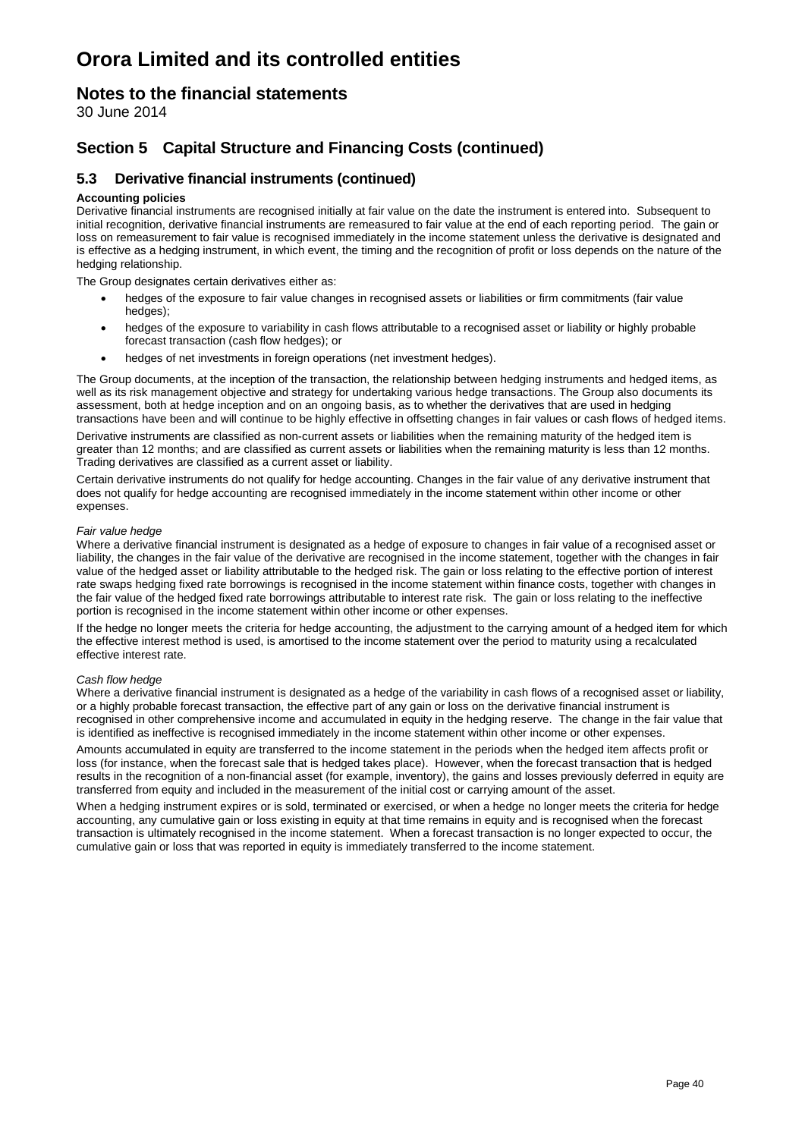### **Notes to the financial statements**

30 June 2014

### **Section 5 Capital Structure and Financing Costs (continued)**

### **5.3 Derivative financial instruments (continued)**

#### **Accounting policies**

Derivative financial instruments are recognised initially at fair value on the date the instrument is entered into. Subsequent to initial recognition, derivative financial instruments are remeasured to fair value at the end of each reporting period. The gain or loss on remeasurement to fair value is recognised immediately in the income statement unless the derivative is designated and is effective as a hedging instrument, in which event, the timing and the recognition of profit or loss depends on the nature of the hedging relationship.

The Group designates certain derivatives either as:

- hedges of the exposure to fair value changes in recognised assets or liabilities or firm commitments (fair value hedges);
- hedges of the exposure to variability in cash flows attributable to a recognised asset or liability or highly probable forecast transaction (cash flow hedges); or
- hedges of net investments in foreign operations (net investment hedges).

The Group documents, at the inception of the transaction, the relationship between hedging instruments and hedged items, as well as its risk management objective and strategy for undertaking various hedge transactions. The Group also documents its assessment, both at hedge inception and on an ongoing basis, as to whether the derivatives that are used in hedging transactions have been and will continue to be highly effective in offsetting changes in fair values or cash flows of hedged items.

Derivative instruments are classified as non-current assets or liabilities when the remaining maturity of the hedged item is greater than 12 months; and are classified as current assets or liabilities when the remaining maturity is less than 12 months. Trading derivatives are classified as a current asset or liability.

Certain derivative instruments do not qualify for hedge accounting. Changes in the fair value of any derivative instrument that does not qualify for hedge accounting are recognised immediately in the income statement within other income or other expenses.

#### *Fair value hedge*

Where a derivative financial instrument is designated as a hedge of exposure to changes in fair value of a recognised asset or liability, the changes in the fair value of the derivative are recognised in the income statement, together with the changes in fair value of the hedged asset or liability attributable to the hedged risk. The gain or loss relating to the effective portion of interest rate swaps hedging fixed rate borrowings is recognised in the income statement within finance costs, together with changes in the fair value of the hedged fixed rate borrowings attributable to interest rate risk. The gain or loss relating to the ineffective portion is recognised in the income statement within other income or other expenses.

If the hedge no longer meets the criteria for hedge accounting, the adjustment to the carrying amount of a hedged item for which the effective interest method is used, is amortised to the income statement over the period to maturity using a recalculated effective interest rate.

#### *Cash flow hedge*

Where a derivative financial instrument is designated as a hedge of the variability in cash flows of a recognised asset or liability, or a highly probable forecast transaction, the effective part of any gain or loss on the derivative financial instrument is recognised in other comprehensive income and accumulated in equity in the hedging reserve. The change in the fair value that is identified as ineffective is recognised immediately in the income statement within other income or other expenses.

Amounts accumulated in equity are transferred to the income statement in the periods when the hedged item affects profit or loss (for instance, when the forecast sale that is hedged takes place). However, when the forecast transaction that is hedged results in the recognition of a non-financial asset (for example, inventory), the gains and losses previously deferred in equity are transferred from equity and included in the measurement of the initial cost or carrying amount of the asset.

When a hedging instrument expires or is sold, terminated or exercised, or when a hedge no longer meets the criteria for hedge accounting, any cumulative gain or loss existing in equity at that time remains in equity and is recognised when the forecast transaction is ultimately recognised in the income statement. When a forecast transaction is no longer expected to occur, the cumulative gain or loss that was reported in equity is immediately transferred to the income statement.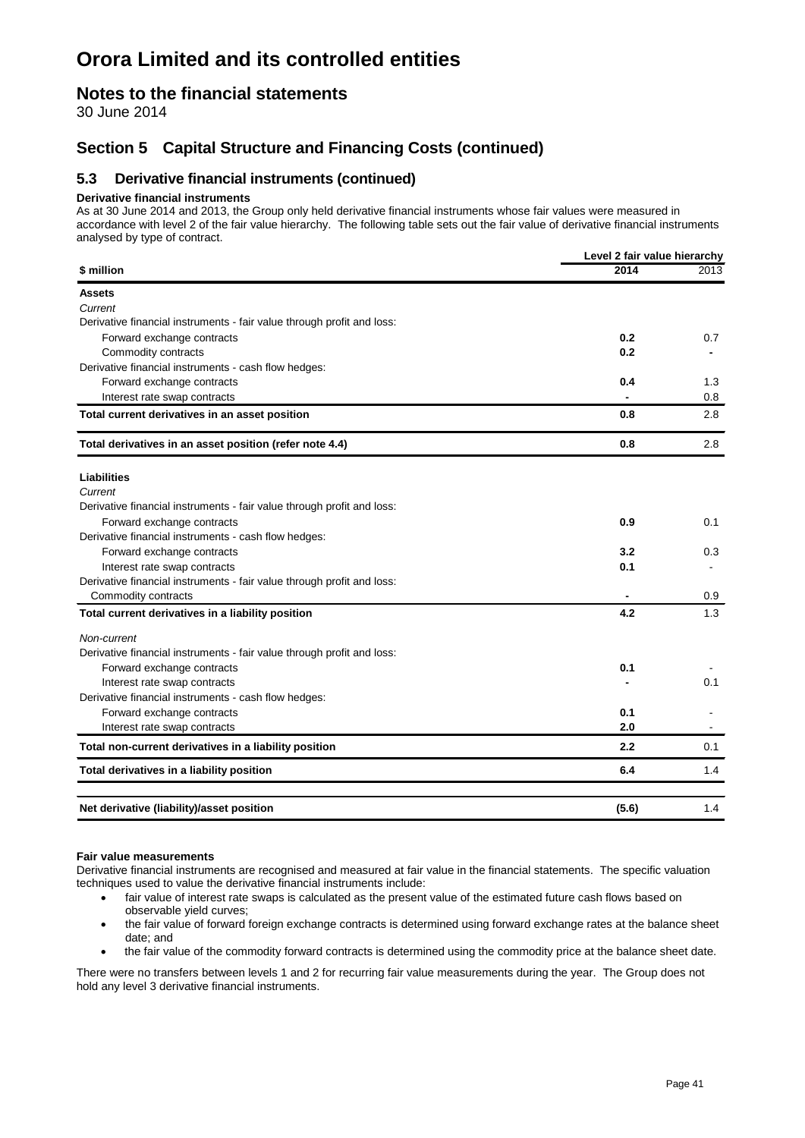### **Notes to the financial statements**

30 June 2014

### **Section 5 Capital Structure and Financing Costs (continued)**

### **5.3 Derivative financial instruments (continued)**

#### **Derivative financial instruments**

As at 30 June 2014 and 2013, the Group only held derivative financial instruments whose fair values were measured in accordance with level 2 of the fair value hierarchy. The following table sets out the fair value of derivative financial instruments analysed by type of contract.

|                                                                        | Level 2 fair value hierarchy |      |
|------------------------------------------------------------------------|------------------------------|------|
| \$ million                                                             | 2014                         | 2013 |
| <b>Assets</b>                                                          |                              |      |
| Current                                                                |                              |      |
| Derivative financial instruments - fair value through profit and loss: |                              |      |
| Forward exchange contracts                                             | 0.2                          | 0.7  |
| Commodity contracts                                                    | 0.2                          |      |
| Derivative financial instruments - cash flow hedges:                   |                              |      |
| Forward exchange contracts                                             | 0.4                          | 1.3  |
| Interest rate swap contracts                                           |                              | 0.8  |
| Total current derivatives in an asset position                         | 0.8                          | 2.8  |
| Total derivatives in an asset position (refer note 4.4)                | 0.8                          | 2.8  |
| <b>Liabilities</b>                                                     |                              |      |
| Current                                                                |                              |      |
| Derivative financial instruments - fair value through profit and loss: |                              |      |
| Forward exchange contracts                                             | 0.9                          | 0.1  |
| Derivative financial instruments - cash flow hedges:                   |                              |      |
| Forward exchange contracts                                             | 3.2                          | 0.3  |
| Interest rate swap contracts                                           | 0.1                          |      |
| Derivative financial instruments - fair value through profit and loss: |                              |      |
| Commodity contracts                                                    |                              | 0.9  |
| Total current derivatives in a liability position                      | 4.2                          | 1.3  |
| Non-current                                                            |                              |      |
| Derivative financial instruments - fair value through profit and loss: |                              |      |
| Forward exchange contracts                                             | 0.1                          |      |
| Interest rate swap contracts                                           |                              | 0.1  |
| Derivative financial instruments - cash flow hedges:                   |                              |      |
| Forward exchange contracts                                             | 0.1                          |      |
| Interest rate swap contracts                                           | 2.0                          |      |
| Total non-current derivatives in a liability position                  | 2.2                          | 0.1  |
| Total derivatives in a liability position                              | 6.4                          | 1.4  |
| Net derivative (liability)/asset position                              | (5.6)                        | 1.4  |

#### **Fair value measurements**

Derivative financial instruments are recognised and measured at fair value in the financial statements. The specific valuation techniques used to value the derivative financial instruments include:

- fair value of interest rate swaps is calculated as the present value of the estimated future cash flows based on observable yield curves;
- the fair value of forward foreign exchange contracts is determined using forward exchange rates at the balance sheet date; and
- the fair value of the commodity forward contracts is determined using the commodity price at the balance sheet date.

There were no transfers between levels 1 and 2 for recurring fair value measurements during the year. The Group does not hold any level 3 derivative financial instruments.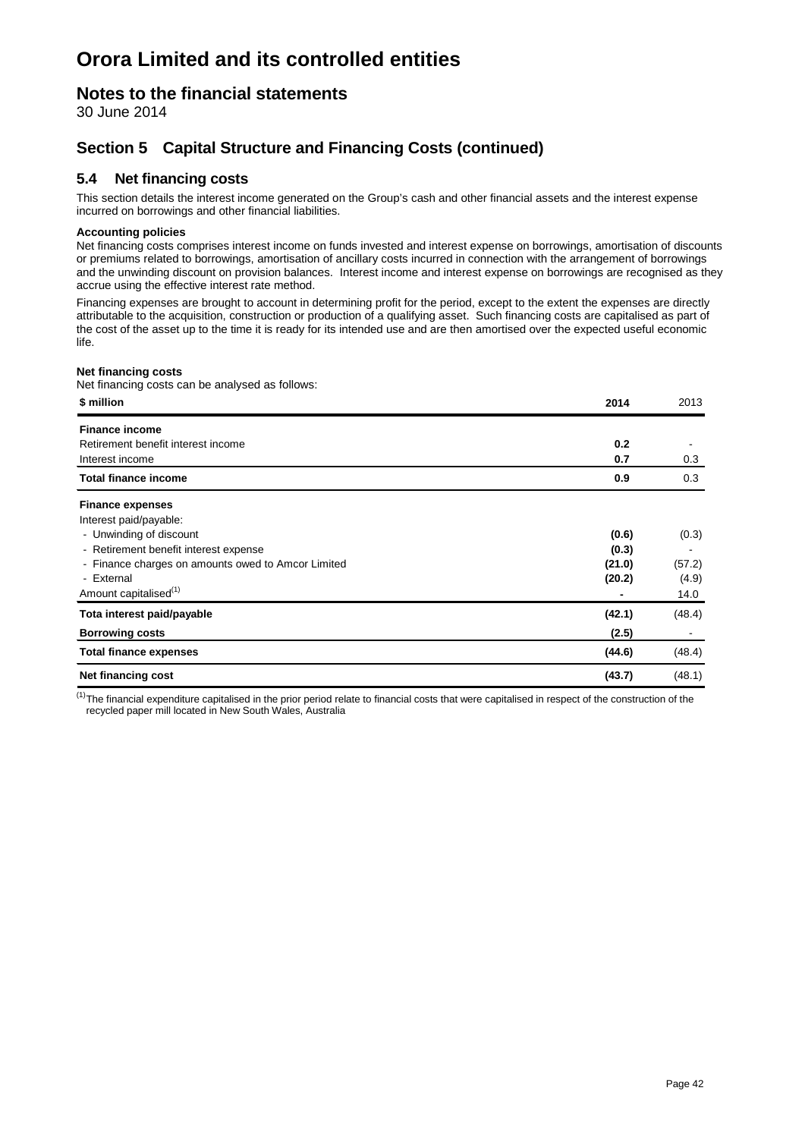### **Notes to the financial statements**

30 June 2014

### **Section 5 Capital Structure and Financing Costs (continued)**

### **5.4 Net financing costs**

This section details the interest income generated on the Group's cash and other financial assets and the interest expense incurred on borrowings and other financial liabilities.

#### **Accounting policies**

Net financing costs comprises interest income on funds invested and interest expense on borrowings, amortisation of discounts or premiums related to borrowings, amortisation of ancillary costs incurred in connection with the arrangement of borrowings and the unwinding discount on provision balances. Interest income and interest expense on borrowings are recognised as they accrue using the effective interest rate method.

Financing expenses are brought to account in determining profit for the period, except to the extent the expenses are directly attributable to the acquisition, construction or production of a qualifying asset. Such financing costs are capitalised as part of the cost of the asset up to the time it is ready for its intended use and are then amortised over the expected useful economic life.

#### **Net financing costs**

Net financing costs can be analysed as follows:

| \$ million                                         | 2014   | 2013   |
|----------------------------------------------------|--------|--------|
| <b>Finance income</b>                              |        |        |
| Retirement benefit interest income                 | 0.2    |        |
| Interest income                                    | 0.7    | 0.3    |
| <b>Total finance income</b>                        | 0.9    | 0.3    |
| <b>Finance expenses</b>                            |        |        |
| Interest paid/payable:                             |        |        |
| - Unwinding of discount                            | (0.6)  | (0.3)  |
| - Retirement benefit interest expense              | (0.3)  |        |
| - Finance charges on amounts owed to Amcor Limited | (21.0) | (57.2) |
| - External                                         | (20.2) | (4.9)  |
| Amount capitalised <sup>(1)</sup>                  |        | 14.0   |
| Tota interest paid/payable                         | (42.1) | (48.4) |
| <b>Borrowing costs</b>                             | (2.5)  |        |
| <b>Total finance expenses</b>                      | (44.6) | (48.4) |
| Net financing cost                                 | (43.7) | (48.1) |

 $<sup>(1)</sup>$ The financial expenditure capitalised in the prior period relate to financial costs that were capitalised in respect of the construction of the</sup> recycled paper mill located in New South Wales, Australia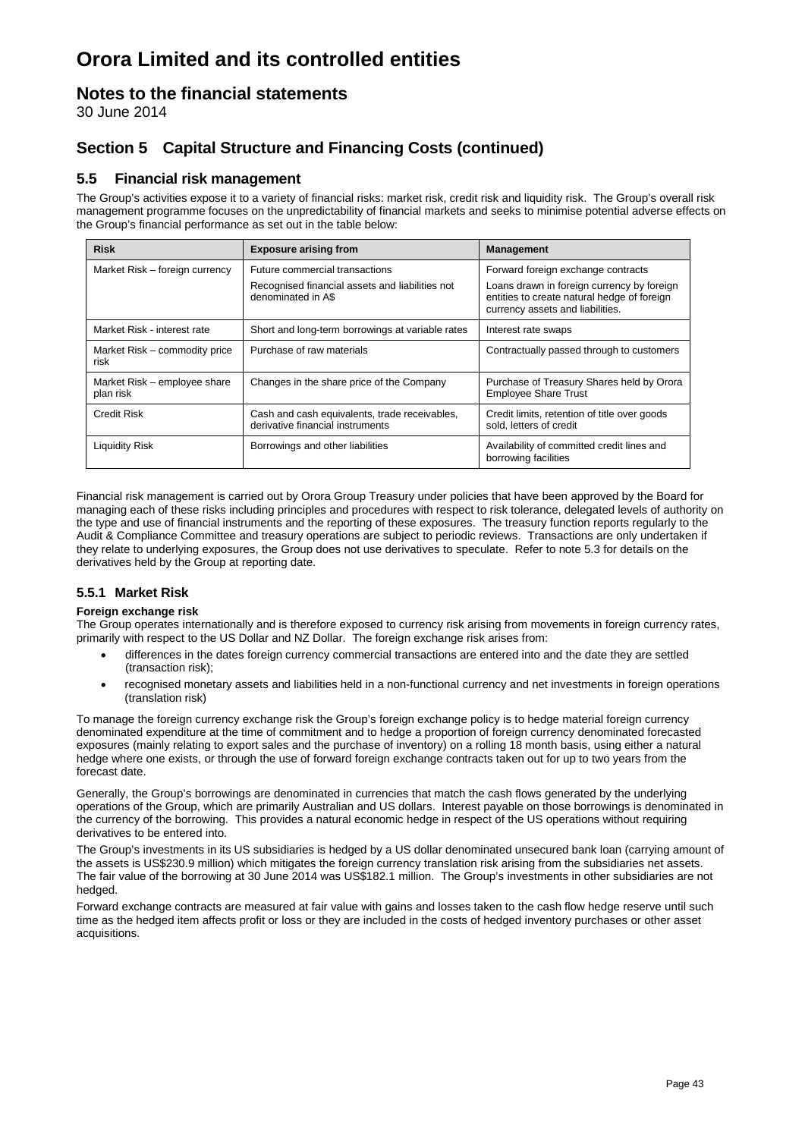### **Notes to the financial statements**

30 June 2014

### **Section 5 Capital Structure and Financing Costs (continued)**

### **5.5 Financial risk management**

The Group's activities expose it to a variety of financial risks: market risk, credit risk and liquidity risk. The Group's overall risk management programme focuses on the unpredictability of financial markets and seeks to minimise potential adverse effects on the Group's financial performance as set out in the table below:

| <b>Risk</b>                               | <b>Exposure arising from</b>                                                      | <b>Management</b>                                                                                                             |
|-------------------------------------------|-----------------------------------------------------------------------------------|-------------------------------------------------------------------------------------------------------------------------------|
| Market Risk - foreign currency            | Future commercial transactions                                                    | Forward foreign exchange contracts                                                                                            |
|                                           | Recognised financial assets and liabilities not<br>denominated in A\$             | Loans drawn in foreign currency by foreign<br>entities to create natural hedge of foreign<br>currency assets and liabilities. |
| Market Risk - interest rate               | Short and long-term borrowings at variable rates                                  | Interest rate swaps                                                                                                           |
| Market Risk - commodity price<br>risk     | Purchase of raw materials                                                         | Contractually passed through to customers                                                                                     |
| Market Risk – employee share<br>plan risk | Changes in the share price of the Company                                         | Purchase of Treasury Shares held by Orora<br><b>Employee Share Trust</b>                                                      |
| <b>Credit Risk</b>                        | Cash and cash equivalents, trade receivables,<br>derivative financial instruments | Credit limits, retention of title over goods<br>sold. letters of credit                                                       |
| <b>Liquidity Risk</b>                     | Borrowings and other liabilities                                                  | Availability of committed credit lines and<br>borrowing facilities                                                            |

Financial risk management is carried out by Orora Group Treasury under policies that have been approved by the Board for managing each of these risks including principles and procedures with respect to risk tolerance, delegated levels of authority on the type and use of financial instruments and the reporting of these exposures. The treasury function reports regularly to the Audit & Compliance Committee and treasury operations are subject to periodic reviews. Transactions are only undertaken if they relate to underlying exposures, the Group does not use derivatives to speculate. Refer to note 5.3 for details on the derivatives held by the Group at reporting date.

### **5.5.1 Market Risk**

#### **Foreign exchange risk**

The Group operates internationally and is therefore exposed to currency risk arising from movements in foreign currency rates, primarily with respect to the US Dollar and NZ Dollar. The foreign exchange risk arises from:

- differences in the dates foreign currency commercial transactions are entered into and the date they are settled (transaction risk);
- recognised monetary assets and liabilities held in a non-functional currency and net investments in foreign operations (translation risk)

To manage the foreign currency exchange risk the Group's foreign exchange policy is to hedge material foreign currency denominated expenditure at the time of commitment and to hedge a proportion of foreign currency denominated forecasted exposures (mainly relating to export sales and the purchase of inventory) on a rolling 18 month basis, using either a natural hedge where one exists, or through the use of forward foreign exchange contracts taken out for up to two years from the forecast date.

Generally, the Group's borrowings are denominated in currencies that match the cash flows generated by the underlying operations of the Group, which are primarily Australian and US dollars. Interest payable on those borrowings is denominated in the currency of the borrowing. This provides a natural economic hedge in respect of the US operations without requiring derivatives to be entered into.

The Group's investments in its US subsidiaries is hedged by a US dollar denominated unsecured bank loan (carrying amount of the assets is US\$230.9 million) which mitigates the foreign currency translation risk arising from the subsidiaries net assets. The fair value of the borrowing at 30 June 2014 was US\$182.1 million. The Group's investments in other subsidiaries are not hedged.

Forward exchange contracts are measured at fair value with gains and losses taken to the cash flow hedge reserve until such time as the hedged item affects profit or loss or they are included in the costs of hedged inventory purchases or other asset acquisitions.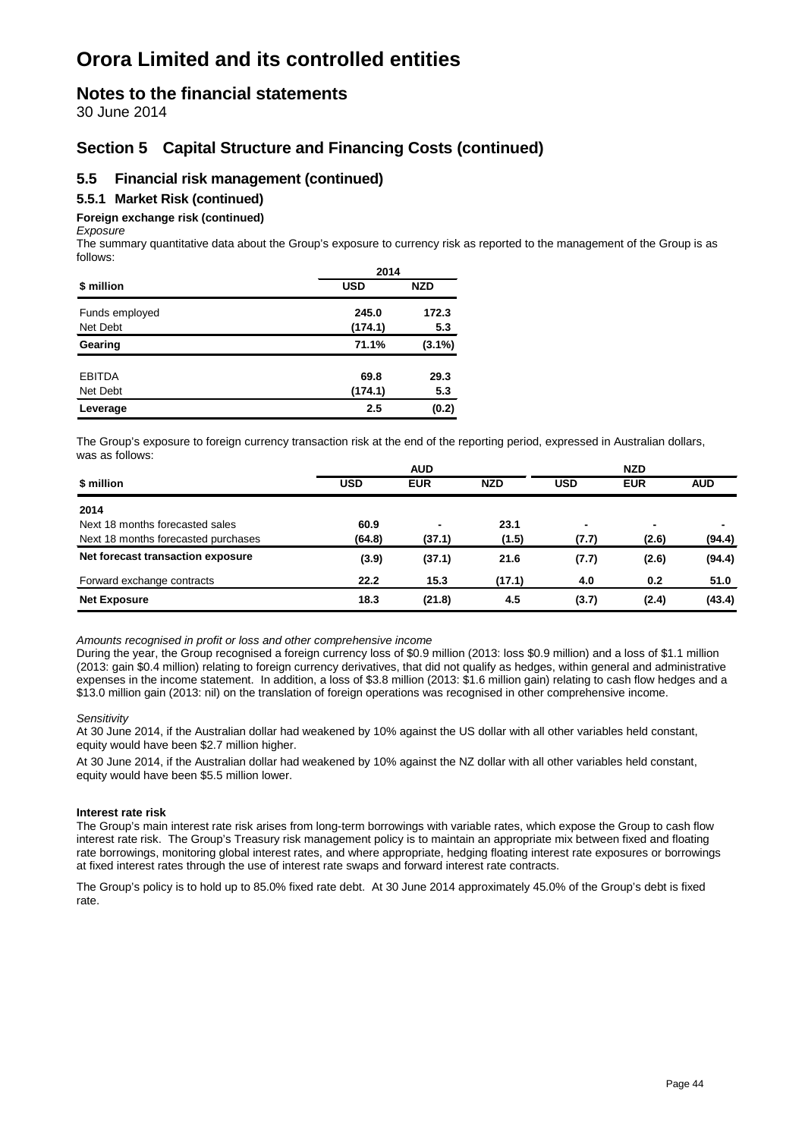### **Notes to the financial statements**

30 June 2014

### **Section 5 Capital Structure and Financing Costs (continued)**

### **5.5 Financial risk management (continued)**

### **5.5.1 Market Risk (continued)**

### **Foreign exchange risk (continued)**

*Exposure*

The summary quantitative data about the Group's exposure to currency risk as reported to the management of the Group is as follows:

|                | 2014       |            |
|----------------|------------|------------|
| \$ million     | <b>USD</b> | <b>NZD</b> |
| Funds employed | 245.0      | 172.3      |
| Net Debt       | (174.1)    | 5.3        |
| Gearing        | 71.1%      | $(3.1\%)$  |
| <b>EBITDA</b>  | 69.8       | 29.3       |
| Net Debt       | (174.1)    | 5.3        |
| Leverage       | 2.5        | (0.2)      |

The Group's exposure to foreign currency transaction risk at the end of the reporting period, expressed in Australian dollars, was as follows:

|                                     | <b>AUD</b> |                          | <b>NZD</b> |                |                          |                          |
|-------------------------------------|------------|--------------------------|------------|----------------|--------------------------|--------------------------|
| \$ million                          | <b>USD</b> | <b>EUR</b>               | <b>NZD</b> | <b>USD</b>     | <b>EUR</b>               | <b>AUD</b>               |
| 2014                                |            |                          |            |                |                          |                          |
| Next 18 months forecasted sales     | 60.9       | $\overline{\phantom{0}}$ | 23.1       | $\blacksquare$ | $\overline{\phantom{0}}$ | $\overline{\phantom{0}}$ |
| Next 18 months forecasted purchases | (64.8)     | (37.1)                   | (1.5)      | (7.7)          | (2.6)                    | (94.4)                   |
| Net forecast transaction exposure   | (3.9)      | (37.1)                   | 21.6       | (7.7)          | (2.6)                    | (94.4)                   |
| Forward exchange contracts          | 22.2       | 15.3                     | (17.1)     | 4.0            | 0.2                      | 51.0                     |
| <b>Net Exposure</b>                 | 18.3       | (21.8)                   | 4.5        | (3.7)          | (2.4)                    | (43.4)                   |

*Amounts recognised in profit or loss and other comprehensive income*

During the year, the Group recognised a foreign currency loss of \$0.9 million (2013: loss \$0.9 million) and a loss of \$1.1 million (2013: gain \$0.4 million) relating to foreign currency derivatives, that did not qualify as hedges, within general and administrative expenses in the income statement. In addition, a loss of \$3.8 million (2013: \$1.6 million gain) relating to cash flow hedges and a \$13.0 million gain (2013: nil) on the translation of foreign operations was recognised in other comprehensive income.

#### *Sensitivity*

At 30 June 2014, if the Australian dollar had weakened by 10% against the US dollar with all other variables held constant, equity would have been \$2.7 million higher.

At 30 June 2014, if the Australian dollar had weakened by 10% against the NZ dollar with all other variables held constant, equity would have been \$5.5 million lower.

#### **Interest rate risk**

The Group's main interest rate risk arises from long-term borrowings with variable rates, which expose the Group to cash flow interest rate risk. The Group's Treasury risk management policy is to maintain an appropriate mix between fixed and floating rate borrowings, monitoring global interest rates, and where appropriate, hedging floating interest rate exposures or borrowings at fixed interest rates through the use of interest rate swaps and forward interest rate contracts.

The Group's policy is to hold up to 85.0% fixed rate debt. At 30 June 2014 approximately 45.0% of the Group's debt is fixed rate.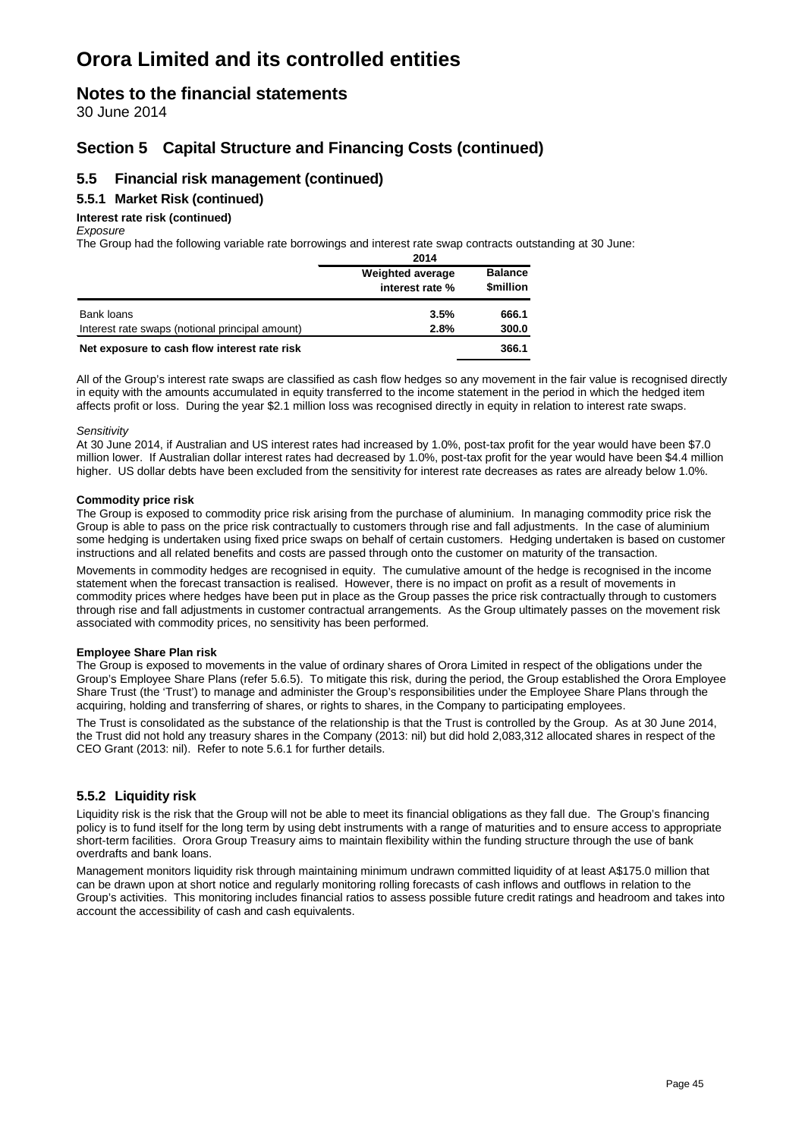### **Notes to the financial statements**

30 June 2014

### **Section 5 Capital Structure and Financing Costs (continued)**

### **5.5 Financial risk management (continued)**

### **5.5.1 Market Risk (continued)**

#### **Interest rate risk (continued)**

#### *Exposure*

The Group had the following variable rate borrowings and interest rate swap contracts outstanding at 30 June: **2014**

|                                                 | ZU 14                   |                               |
|-------------------------------------------------|-------------------------|-------------------------------|
|                                                 | <b>Weighted average</b> | <b>Balance</b>                |
|                                                 | interest rate %         | <b><i><u>Smillion</u></i></b> |
| Bank loans                                      | 3.5%                    | 666.1                         |
| Interest rate swaps (notional principal amount) | 2.8%                    | 300.0                         |
| Net exposure to cash flow interest rate risk    |                         | 366.1                         |

All of the Group's interest rate swaps are classified as cash flow hedges so any movement in the fair value is recognised directly in equity with the amounts accumulated in equity transferred to the income statement in the period in which the hedged item affects profit or loss. During the year \$2.1 million loss was recognised directly in equity in relation to interest rate swaps.

#### *Sensitivity*

At 30 June 2014, if Australian and US interest rates had increased by 1.0%, post-tax profit for the year would have been \$7.0 million lower. If Australian dollar interest rates had decreased by 1.0%, post-tax profit for the year would have been \$4.4 million higher. US dollar debts have been excluded from the sensitivity for interest rate decreases as rates are already below 1.0%.

#### **Commodity price risk**

The Group is exposed to commodity price risk arising from the purchase of aluminium. In managing commodity price risk the Group is able to pass on the price risk contractually to customers through rise and fall adjustments. In the case of aluminium some hedging is undertaken using fixed price swaps on behalf of certain customers. Hedging undertaken is based on customer instructions and all related benefits and costs are passed through onto the customer on maturity of the transaction.

Movements in commodity hedges are recognised in equity. The cumulative amount of the hedge is recognised in the income statement when the forecast transaction is realised. However, there is no impact on profit as a result of movements in commodity prices where hedges have been put in place as the Group passes the price risk contractually through to customers through rise and fall adjustments in customer contractual arrangements. As the Group ultimately passes on the movement risk associated with commodity prices, no sensitivity has been performed.

#### **Employee Share Plan risk**

The Group is exposed to movements in the value of ordinary shares of Orora Limited in respect of the obligations under the Group's Employee Share Plans (refer 5.6.5). To mitigate this risk, during the period, the Group established the Orora Employee Share Trust (the 'Trust') to manage and administer the Group's responsibilities under the Employee Share Plans through the acquiring, holding and transferring of shares, or rights to shares, in the Company to participating employees.

The Trust is consolidated as the substance of the relationship is that the Trust is controlled by the Group. As at 30 June 2014, the Trust did not hold any treasury shares in the Company (2013: nil) but did hold 2,083,312 allocated shares in respect of the CEO Grant (2013: nil). Refer to note 5.6.1 for further details.

#### **5.5.2 Liquidity risk**

Liquidity risk is the risk that the Group will not be able to meet its financial obligations as they fall due. The Group's financing policy is to fund itself for the long term by using debt instruments with a range of maturities and to ensure access to appropriate short-term facilities. Orora Group Treasury aims to maintain flexibility within the funding structure through the use of bank overdrafts and bank loans.

Management monitors liquidity risk through maintaining minimum undrawn committed liquidity of at least A\$175.0 million that can be drawn upon at short notice and regularly monitoring rolling forecasts of cash inflows and outflows in relation to the Group's activities. This monitoring includes financial ratios to assess possible future credit ratings and headroom and takes into account the accessibility of cash and cash equivalents.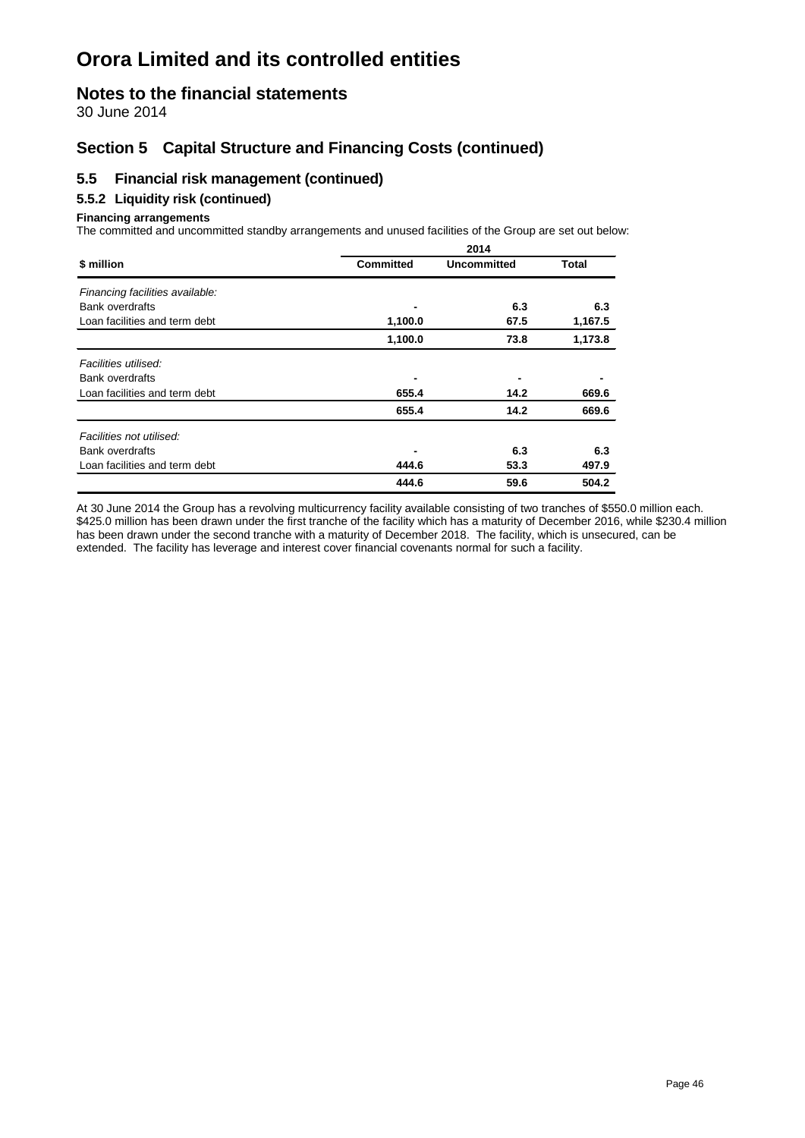### **Notes to the financial statements**

30 June 2014

### **Section 5 Capital Structure and Financing Costs (continued)**

### **5.5 Financial risk management (continued)**

#### **5.5.2 Liquidity risk (continued)**

#### **Financing arrangements**

The committed and uncommitted standby arrangements and unused facilities of the Group are set out below:

|                                 | 2014             |             |         |  |  |
|---------------------------------|------------------|-------------|---------|--|--|
| \$ million                      | <b>Committed</b> | Uncommitted | Total   |  |  |
| Financing facilities available: |                  |             |         |  |  |
| <b>Bank overdrafts</b>          |                  | 6.3         | 6.3     |  |  |
| Loan facilities and term debt   | 1,100.0          | 67.5        | 1,167.5 |  |  |
|                                 | 1,100.0          | 73.8        | 1,173.8 |  |  |
| Facilities utilised:            |                  |             |         |  |  |
| <b>Bank overdrafts</b>          |                  |             |         |  |  |
| Loan facilities and term debt   | 655.4            | 14.2        | 669.6   |  |  |
|                                 | 655.4            | 14.2        | 669.6   |  |  |
| Facilities not utilised:        |                  |             |         |  |  |
| <b>Bank overdrafts</b>          |                  | 6.3         | 6.3     |  |  |
| Loan facilities and term debt   | 444.6            | 53.3        | 497.9   |  |  |
|                                 | 444.6            | 59.6        | 504.2   |  |  |

At 30 June 2014 the Group has a revolving multicurrency facility available consisting of two tranches of \$550.0 million each. \$425.0 million has been drawn under the first tranche of the facility which has a maturity of December 2016, while \$230.4 million has been drawn under the second tranche with a maturity of December 2018. The facility, which is unsecured, can be extended. The facility has leverage and interest cover financial covenants normal for such a facility.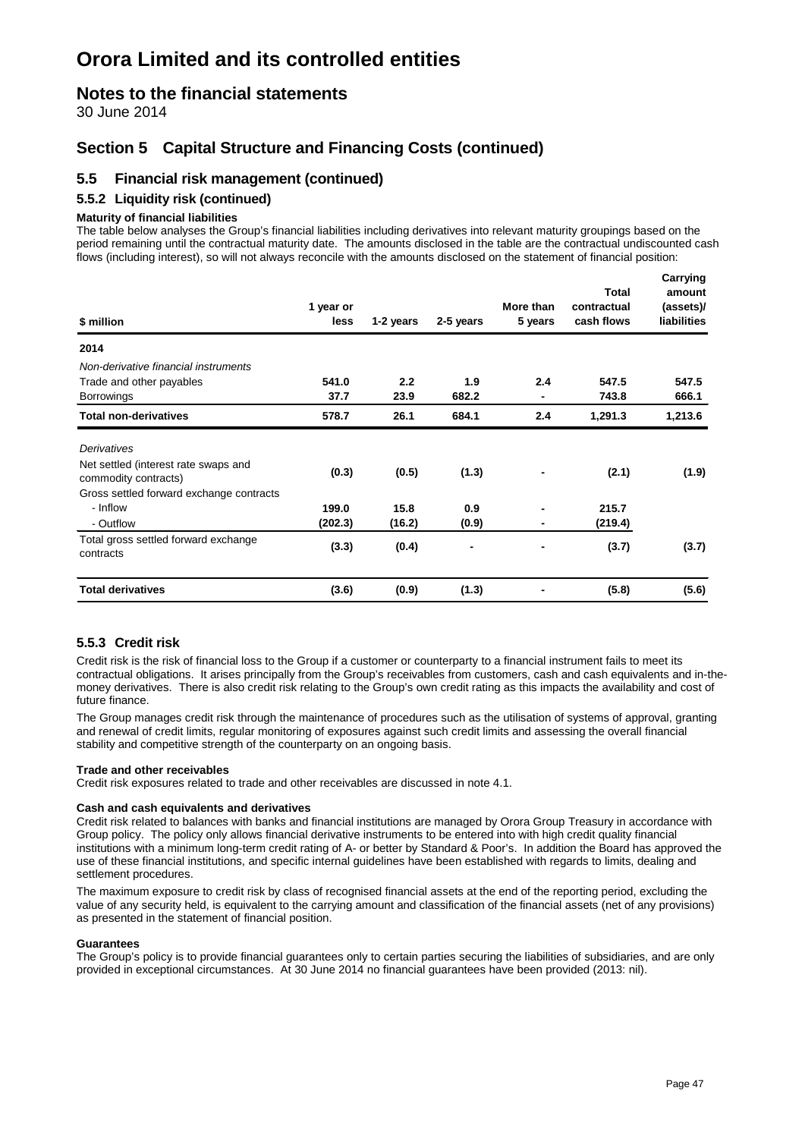### **Notes to the financial statements**

30 June 2014

### **Section 5 Capital Structure and Financing Costs (continued)**

### **5.5 Financial risk management (continued)**

#### **5.5.2 Liquidity risk (continued)**

#### **Maturity of financial liabilities**

The table below analyses the Group's financial liabilities including derivatives into relevant maturity groupings based on the period remaining until the contractual maturity date. The amounts disclosed in the table are the contractual undiscounted cash flows (including interest), so will not always reconcile with the amounts disclosed on the statement of financial position:

| <b>Total derivatives</b>                                                                                 | (3.6)             | (0.9)     | (1.3)     |                      | (5.8)                     | (5.6)                           |
|----------------------------------------------------------------------------------------------------------|-------------------|-----------|-----------|----------------------|---------------------------|---------------------------------|
| Total gross settled forward exchange<br>contracts                                                        | (3.3)             | (0.4)     | ٠         |                      | (3.7)                     | (3.7)                           |
| - Outflow                                                                                                | (202.3)           | (16.2)    | (0.9)     | -                    | (219.4)                   |                                 |
| - Inflow                                                                                                 | 199.0             | 15.8      | 0.9       | $\blacksquare$       | 215.7                     |                                 |
| Net settled (interest rate swaps and<br>commodity contracts)<br>Gross settled forward exchange contracts | (0.3)             | (0.5)     | (1.3)     |                      | (2.1)                     | (1.9)                           |
| Derivatives                                                                                              |                   |           |           |                      |                           |                                 |
| <b>Total non-derivatives</b>                                                                             | 578.7             | 26.1      | 684.1     | 2.4                  | 1,291.3                   | 1,213.6                         |
| <b>Borrowings</b>                                                                                        | 37.7              | 23.9      | 682.2     | $\blacksquare$       | 743.8                     | 666.1                           |
| Non-derivative financial instruments<br>Trade and other payables                                         | 541.0             | 2.2       | 1.9       | 2.4                  | 547.5                     | 547.5                           |
| 2014                                                                                                     |                   |           |           |                      |                           |                                 |
| \$ million                                                                                               | 1 year or<br>less | 1-2 years | 2-5 years | More than<br>5 years | contractual<br>cash flows | (assets)/<br><b>liabilities</b> |
|                                                                                                          |                   |           |           |                      | <b>Total</b>              | Carrying<br>amount              |

#### **5.5.3 Credit risk**

Credit risk is the risk of financial loss to the Group if a customer or counterparty to a financial instrument fails to meet its contractual obligations. It arises principally from the Group's receivables from customers, cash and cash equivalents and in-themoney derivatives. There is also credit risk relating to the Group's own credit rating as this impacts the availability and cost of future finance.

The Group manages credit risk through the maintenance of procedures such as the utilisation of systems of approval, granting and renewal of credit limits, regular monitoring of exposures against such credit limits and assessing the overall financial stability and competitive strength of the counterparty on an ongoing basis.

#### **Trade and other receivables**

Credit risk exposures related to trade and other receivables are discussed in note 4.1.

#### **Cash and cash equivalents and derivatives**

Credit risk related to balances with banks and financial institutions are managed by Orora Group Treasury in accordance with Group policy. The policy only allows financial derivative instruments to be entered into with high credit quality financial institutions with a minimum long-term credit rating of A- or better by Standard & Poor's. In addition the Board has approved the use of these financial institutions, and specific internal guidelines have been established with regards to limits, dealing and settlement procedures.

The maximum exposure to credit risk by class of recognised financial assets at the end of the reporting period, excluding the value of any security held, is equivalent to the carrying amount and classification of the financial assets (net of any provisions) as presented in the statement of financial position.

#### **Guarantees**

The Group's policy is to provide financial guarantees only to certain parties securing the liabilities of subsidiaries, and are only provided in exceptional circumstances. At 30 June 2014 no financial guarantees have been provided (2013: nil).

**Carrying**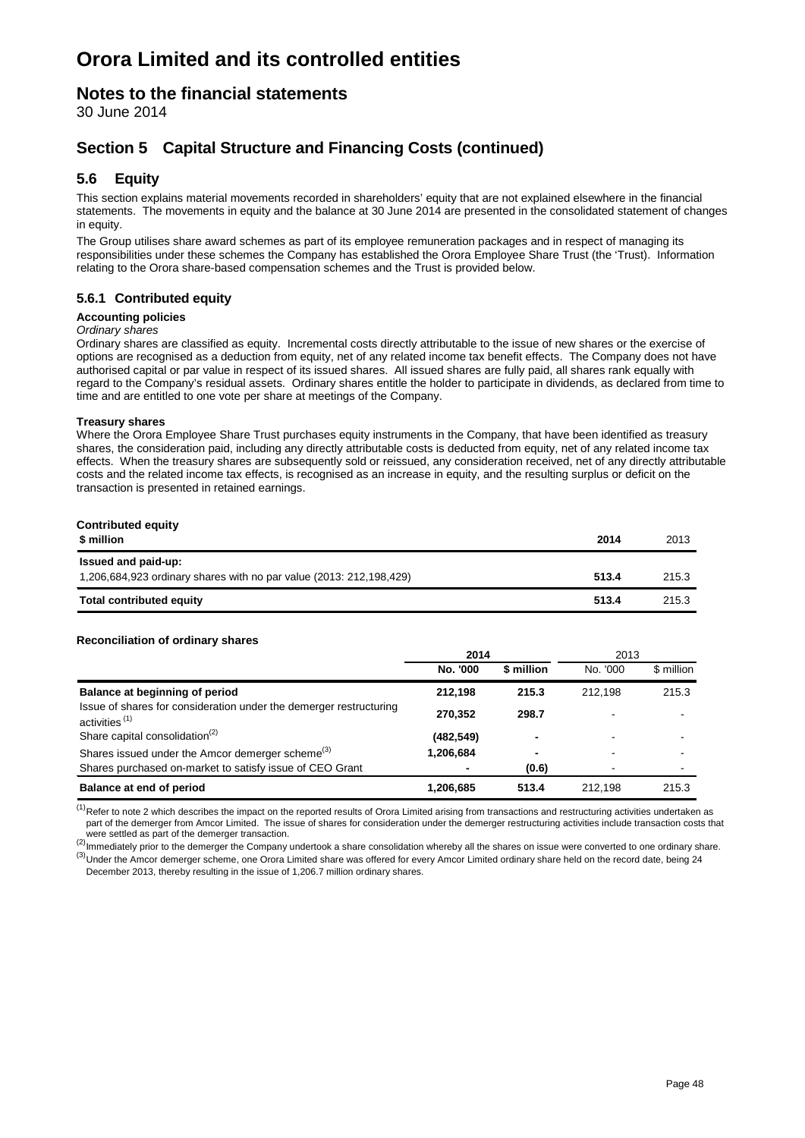### **Notes to the financial statements**

30 June 2014

### **Section 5 Capital Structure and Financing Costs (continued)**

### **5.6 Equity**

This section explains material movements recorded in shareholders' equity that are not explained elsewhere in the financial statements. The movements in equity and the balance at 30 June 2014 are presented in the consolidated statement of changes in equity.

The Group utilises share award schemes as part of its employee remuneration packages and in respect of managing its responsibilities under these schemes the Company has established the Orora Employee Share Trust (the 'Trust). Information relating to the Orora share-based compensation schemes and the Trust is provided below.

#### **5.6.1 Contributed equity**

#### **Accounting policies**

#### *Ordinary shares*

Ordinary shares are classified as equity. Incremental costs directly attributable to the issue of new shares or the exercise of options are recognised as a deduction from equity, net of any related income tax benefit effects. The Company does not have authorised capital or par value in respect of its issued shares. All issued shares are fully paid, all shares rank equally with regard to the Company's residual assets. Ordinary shares entitle the holder to participate in dividends, as declared from time to time and are entitled to one vote per share at meetings of the Company.

#### **Treasury shares**

Where the Orora Employee Share Trust purchases equity instruments in the Company, that have been identified as treasury shares, the consideration paid, including any directly attributable costs is deducted from equity, net of any related income tax effects. When the treasury shares are subsequently sold or reissued, any consideration received, net of any directly attributable costs and the related income tax effects, is recognised as an increase in equity, and the resulting surplus or deficit on the transaction is presented in retained earnings.

| <b>Contributed equity</b><br>\$ million                                                    | 2014  | 2013  |
|--------------------------------------------------------------------------------------------|-------|-------|
| Issued and paid-up:<br>1,206,684,923 ordinary shares with no par value (2013: 212,198,429) | 513.4 | 215.3 |
| <b>Total contributed equity</b>                                                            | 513.4 | 215.3 |

#### **Reconciliation of ordinary shares**

|                                                                                                 | 2014       |            | 2013     |            |
|-------------------------------------------------------------------------------------------------|------------|------------|----------|------------|
|                                                                                                 | No. '000   | \$ million | No. '000 | \$ million |
| Balance at beginning of period                                                                  | 212,198    | 215.3      | 212.198  | 215.3      |
| Issue of shares for consideration under the demerger restructuring<br>activities <sup>(1)</sup> | 270.352    | 298.7      |          |            |
| Share capital consolidation <sup>(2)</sup>                                                      | (482, 549) | -          | ۰        |            |
| Shares issued under the Amcor demerger scheme <sup>(3)</sup>                                    | 1,206,684  | -          | ۰        |            |
| Shares purchased on-market to satisfy issue of CEO Grant                                        |            | (0.6)      | ۰        |            |
| Balance at end of period                                                                        | 1,206,685  | 513.4      | 212.198  | 215.3      |

 $<sup>(1)</sup>$ Refer to note 2 which describes the impact on the reported results of Orora Limited arising from transactions and restructuring activities undertaken as</sup> part of the demerger from Amcor Limited. The issue of shares for consideration under the demerger restructuring activities include transaction costs that were settled as part of the demerger transaction.

 $^{(2)}$ Immediately prior to the demerger the Company undertook a share consolidation whereby all the shares on issue were converted to one ordinary share. <sup>(3)</sup>Under the Amcor demerger scheme, one Orora Limited share was offered for every Amcor Limited ordinary share held on the record date, being 24 December 2013, thereby resulting in the issue of 1,206.7 million ordinary shares.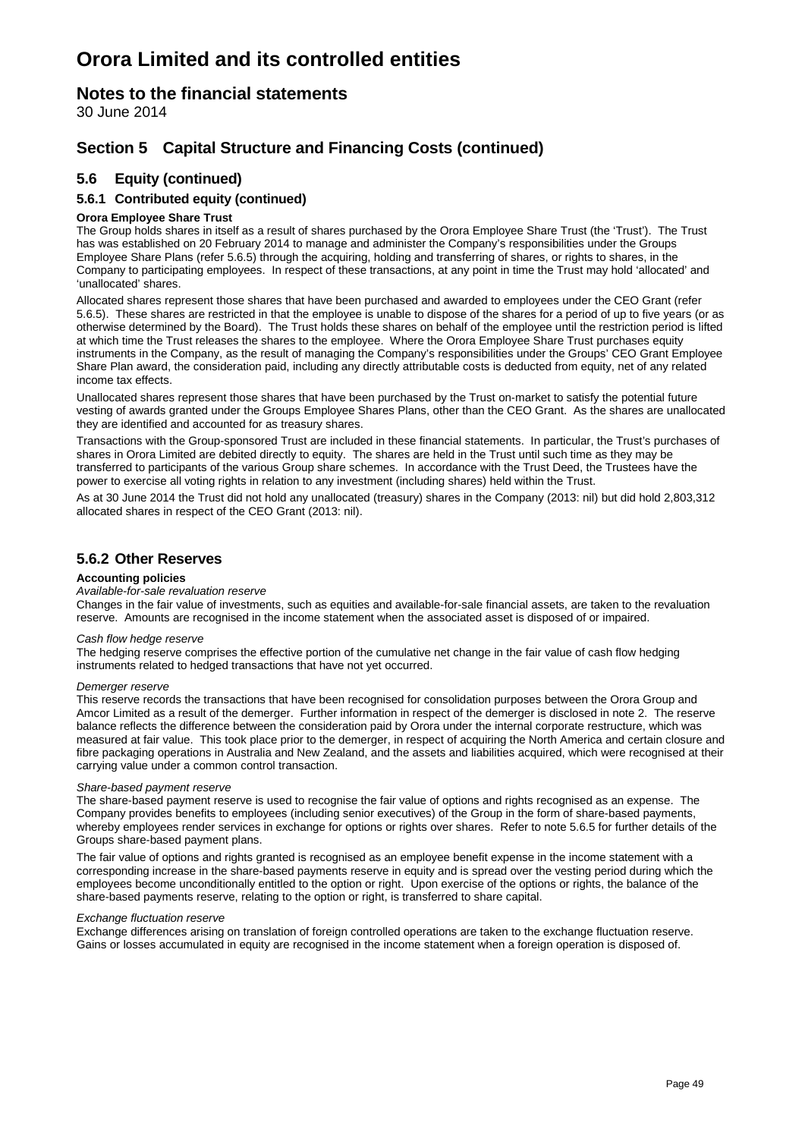### **Notes to the financial statements**

30 June 2014

### **Section 5 Capital Structure and Financing Costs (continued)**

### **5.6 Equity (continued)**

### **5.6.1 Contributed equity (continued)**

### **Orora Employee Share Trust**

The Group holds shares in itself as a result of shares purchased by the Orora Employee Share Trust (the 'Trust'). The Trust has was established on 20 February 2014 to manage and administer the Company's responsibilities under the Groups Employee Share Plans (refer 5.6.5) through the acquiring, holding and transferring of shares, or rights to shares, in the Company to participating employees. In respect of these transactions, at any point in time the Trust may hold 'allocated' and 'unallocated' shares.

Allocated shares represent those shares that have been purchased and awarded to employees under the CEO Grant (refer 5.6.5). These shares are restricted in that the employee is unable to dispose of the shares for a period of up to five years (or as otherwise determined by the Board). The Trust holds these shares on behalf of the employee until the restriction period is lifted at which time the Trust releases the shares to the employee. Where the Orora Employee Share Trust purchases equity instruments in the Company, as the result of managing the Company's responsibilities under the Groups' CEO Grant Employee Share Plan award, the consideration paid, including any directly attributable costs is deducted from equity, net of any related income tax effects.

Unallocated shares represent those shares that have been purchased by the Trust on-market to satisfy the potential future vesting of awards granted under the Groups Employee Shares Plans, other than the CEO Grant. As the shares are unallocated they are identified and accounted for as treasury shares.

Transactions with the Group-sponsored Trust are included in these financial statements. In particular, the Trust's purchases of shares in Orora Limited are debited directly to equity. The shares are held in the Trust until such time as they may be transferred to participants of the various Group share schemes. In accordance with the Trust Deed, the Trustees have the power to exercise all voting rights in relation to any investment (including shares) held within the Trust.

As at 30 June 2014 the Trust did not hold any unallocated (treasury) shares in the Company (2013: nil) but did hold 2,803,312 allocated shares in respect of the CEO Grant (2013: nil).

#### **5.6.2 Other Reserves**

#### **Accounting policies**

#### *Available-for-sale revaluation reserve*

Changes in the fair value of investments, such as equities and available-for-sale financial assets, are taken to the revaluation reserve. Amounts are recognised in the income statement when the associated asset is disposed of or impaired.

#### *Cash flow hedge reserve*

The hedging reserve comprises the effective portion of the cumulative net change in the fair value of cash flow hedging instruments related to hedged transactions that have not yet occurred.

#### *Demerger reserve*

This reserve records the transactions that have been recognised for consolidation purposes between the Orora Group and Amcor Limited as a result of the demerger. Further information in respect of the demerger is disclosed in note 2. The reserve balance reflects the difference between the consideration paid by Orora under the internal corporate restructure, which was measured at fair value. This took place prior to the demerger, in respect of acquiring the North America and certain closure and fibre packaging operations in Australia and New Zealand, and the assets and liabilities acquired, which were recognised at their carrying value under a common control transaction.

#### *Share-based payment reserve*

The share-based payment reserve is used to recognise the fair value of options and rights recognised as an expense. The Company provides benefits to employees (including senior executives) of the Group in the form of share-based payments, whereby employees render services in exchange for options or rights over shares. Refer to note 5.6.5 for further details of the Groups share-based payment plans.

The fair value of options and rights granted is recognised as an employee benefit expense in the income statement with a corresponding increase in the share-based payments reserve in equity and is spread over the vesting period during which the employees become unconditionally entitled to the option or right. Upon exercise of the options or rights, the balance of the share-based payments reserve, relating to the option or right, is transferred to share capital.

#### *Exchange fluctuation reserve*

Exchange differences arising on translation of foreign controlled operations are taken to the exchange fluctuation reserve. Gains or losses accumulated in equity are recognised in the income statement when a foreign operation is disposed of.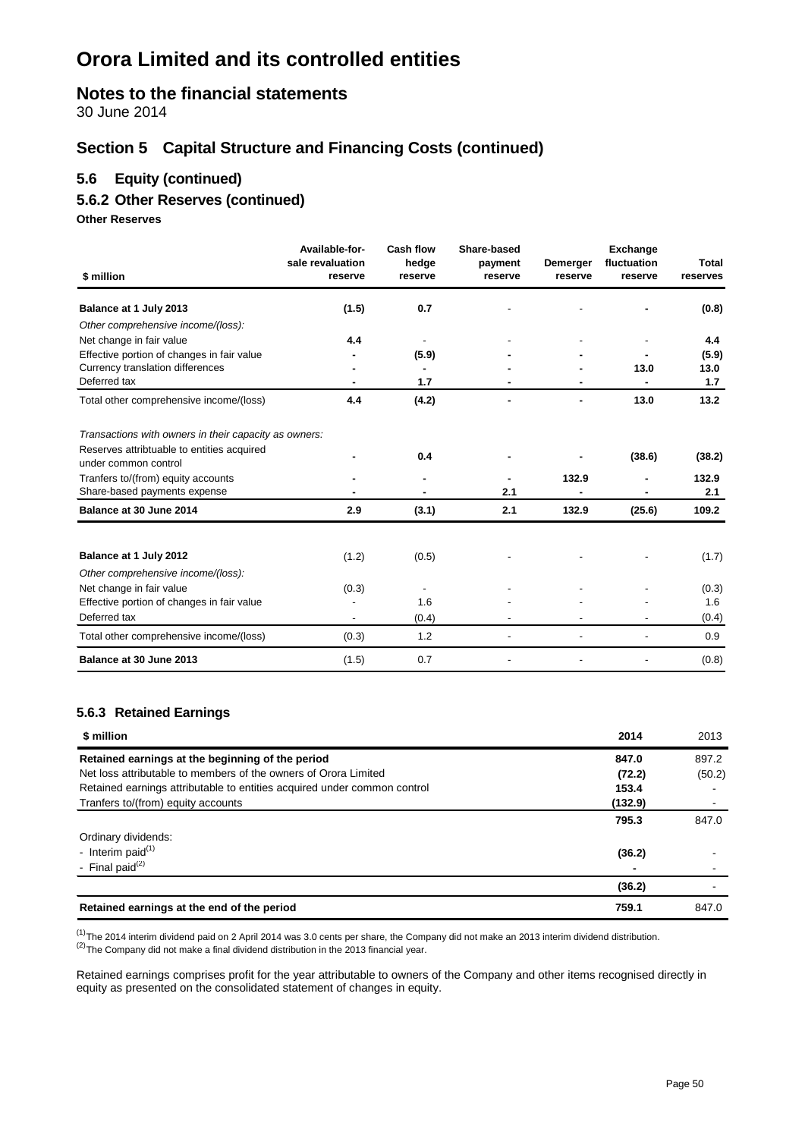### **Notes to the financial statements**

30 June 2014

### **Section 5 Capital Structure and Financing Costs (continued)**

### **5.6 Equity (continued)**

### **5.6.2 Other Reserves (continued)**

**Other Reserves**

| \$ million                                                         | Available-for-<br>sale revaluation<br>reserve | Cash flow<br>hedge<br>reserve | Share-based<br>payment<br>reserve | Demerger<br>reserve | <b>Exchange</b><br>fluctuation<br>reserve | Total<br>reserves |
|--------------------------------------------------------------------|-----------------------------------------------|-------------------------------|-----------------------------------|---------------------|-------------------------------------------|-------------------|
| Balance at 1 July 2013                                             | (1.5)                                         | 0.7                           |                                   |                     |                                           | (0.8)             |
| Other comprehensive income/(loss):                                 |                                               |                               |                                   |                     |                                           |                   |
| Net change in fair value                                           | 4.4                                           |                               |                                   |                     |                                           | 4.4               |
| Effective portion of changes in fair value                         |                                               | (5.9)                         |                                   |                     |                                           | (5.9)             |
| Currency translation differences                                   |                                               |                               |                                   |                     | 13.0                                      | 13.0              |
| Deferred tax                                                       |                                               | 1.7                           |                                   |                     |                                           | 1.7               |
| Total other comprehensive income/(loss)                            | 4.4                                           | (4.2)                         |                                   |                     | 13.0                                      | 13.2              |
| Transactions with owners in their capacity as owners:              |                                               |                               |                                   |                     |                                           |                   |
| Reserves attribtuable to entities acquired<br>under common control |                                               | 0.4                           |                                   |                     | (38.6)                                    | (38.2)            |
| Tranfers to/(from) equity accounts                                 |                                               |                               |                                   | 132.9               |                                           | 132.9             |
| Share-based payments expense                                       |                                               |                               | 2.1                               |                     |                                           | 2.1               |
| Balance at 30 June 2014                                            | 2.9                                           | (3.1)                         | 2.1                               | 132.9               | (25.6)                                    | 109.2             |
|                                                                    |                                               |                               |                                   |                     |                                           |                   |
| Balance at 1 July 2012                                             | (1.2)                                         | (0.5)                         |                                   |                     |                                           | (1.7)             |
| Other comprehensive income/(loss):                                 |                                               |                               |                                   |                     |                                           |                   |
| Net change in fair value                                           | (0.3)                                         |                               |                                   |                     |                                           | (0.3)             |
| Effective portion of changes in fair value                         |                                               | 1.6                           |                                   |                     |                                           | 1.6               |
| Deferred tax                                                       |                                               | (0.4)                         |                                   |                     |                                           | (0.4)             |
| Total other comprehensive income/(loss)                            | (0.3)                                         | 1.2                           |                                   |                     |                                           | 0.9               |
| Balance at 30 June 2013                                            | (1.5)                                         | 0.7                           |                                   |                     |                                           | (0.8)             |

#### **5.6.3 Retained Earnings**

| \$ million                                                               | 2014    | 2013   |
|--------------------------------------------------------------------------|---------|--------|
| Retained earnings at the beginning of the period                         | 847.0   | 897.2  |
| Net loss attributable to members of the owners of Orora Limited          | (72.2)  | (50.2) |
| Retained earnings attributable to entities acquired under common control | 153.4   |        |
| Tranfers to/(from) equity accounts                                       | (132.9) |        |
|                                                                          | 795.3   | 847.0  |
| Ordinary dividends:                                                      |         |        |
| - Interim paid $(1)$                                                     | (36.2)  |        |
| - Final paid $(2)$                                                       |         |        |
|                                                                          | (36.2)  |        |
| Retained earnings at the end of the period                               | 759.1   | 847.0  |

<sup>(1)</sup>The 2014 interim dividend paid on 2 April 2014 was 3.0 cents per share, the Company did not make an 2013 interim dividend distribution. (2)The Company did not make a final dividend distribution in the 2013 financial

Retained earnings comprises profit for the year attributable to owners of the Company and other items recognised directly in equity as presented on the consolidated statement of changes in equity.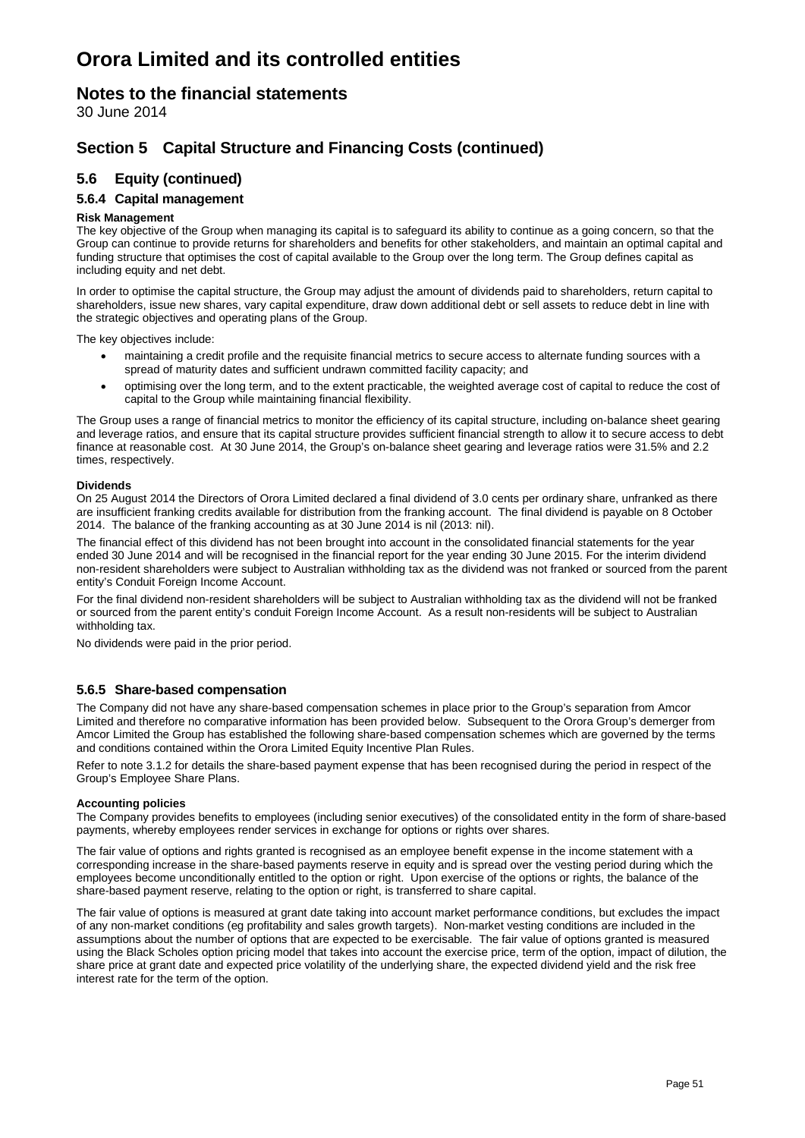### **Notes to the financial statements**

30 June 2014

### **Section 5 Capital Structure and Financing Costs (continued)**

### **5.6 Equity (continued)**

### **5.6.4 Capital management**

#### **Risk Management**

The key objective of the Group when managing its capital is to safeguard its ability to continue as a going concern, so that the Group can continue to provide returns for shareholders and benefits for other stakeholders, and maintain an optimal capital and funding structure that optimises the cost of capital available to the Group over the long term. The Group defines capital as including equity and net debt.

In order to optimise the capital structure, the Group may adjust the amount of dividends paid to shareholders, return capital to shareholders, issue new shares, vary capital expenditure, draw down additional debt or sell assets to reduce debt in line with the strategic objectives and operating plans of the Group.

The key objectives include:

- maintaining a credit profile and the requisite financial metrics to secure access to alternate funding sources with a spread of maturity dates and sufficient undrawn committed facility capacity; and
- optimising over the long term, and to the extent practicable, the weighted average cost of capital to reduce the cost of capital to the Group while maintaining financial flexibility.

The Group uses a range of financial metrics to monitor the efficiency of its capital structure, including on-balance sheet gearing and leverage ratios, and ensure that its capital structure provides sufficient financial strength to allow it to secure access to debt finance at reasonable cost. At 30 June 2014, the Group's on-balance sheet gearing and leverage ratios were 31.5% and 2.2 times, respectively.

#### **Dividends**

On 25 August 2014 the Directors of Orora Limited declared a final dividend of 3.0 cents per ordinary share, unfranked as there are insufficient franking credits available for distribution from the franking account. The final dividend is payable on 8 October 2014. The balance of the franking accounting as at 30 June 2014 is nil (2013: nil).

The financial effect of this dividend has not been brought into account in the consolidated financial statements for the year ended 30 June 2014 and will be recognised in the financial report for the year ending 30 June 2015. For the interim dividend non-resident shareholders were subject to Australian withholding tax as the dividend was not franked or sourced from the parent entity's Conduit Foreign Income Account.

For the final dividend non-resident shareholders will be subject to Australian withholding tax as the dividend will not be franked or sourced from the parent entity's conduit Foreign Income Account. As a result non-residents will be subject to Australian withholding tax.

No dividends were paid in the prior period.

#### **5.6.5 Share-based compensation**

The Company did not have any share-based compensation schemes in place prior to the Group's separation from Amcor Limited and therefore no comparative information has been provided below. Subsequent to the Orora Group's demerger from Amcor Limited the Group has established the following share-based compensation schemes which are governed by the terms and conditions contained within the Orora Limited Equity Incentive Plan Rules.

Refer to note 3.1.2 for details the share-based payment expense that has been recognised during the period in respect of the Group's Employee Share Plans.

#### **Accounting policies**

The Company provides benefits to employees (including senior executives) of the consolidated entity in the form of share-based payments, whereby employees render services in exchange for options or rights over shares.

The fair value of options and rights granted is recognised as an employee benefit expense in the income statement with a corresponding increase in the share-based payments reserve in equity and is spread over the vesting period during which the employees become unconditionally entitled to the option or right. Upon exercise of the options or rights, the balance of the share-based payment reserve, relating to the option or right, is transferred to share capital.

The fair value of options is measured at grant date taking into account market performance conditions, but excludes the impact of any non-market conditions (eg profitability and sales growth targets). Non-market vesting conditions are included in the assumptions about the number of options that are expected to be exercisable. The fair value of options granted is measured using the Black Scholes option pricing model that takes into account the exercise price, term of the option, impact of dilution, the share price at grant date and expected price volatility of the underlying share, the expected dividend yield and the risk free interest rate for the term of the option.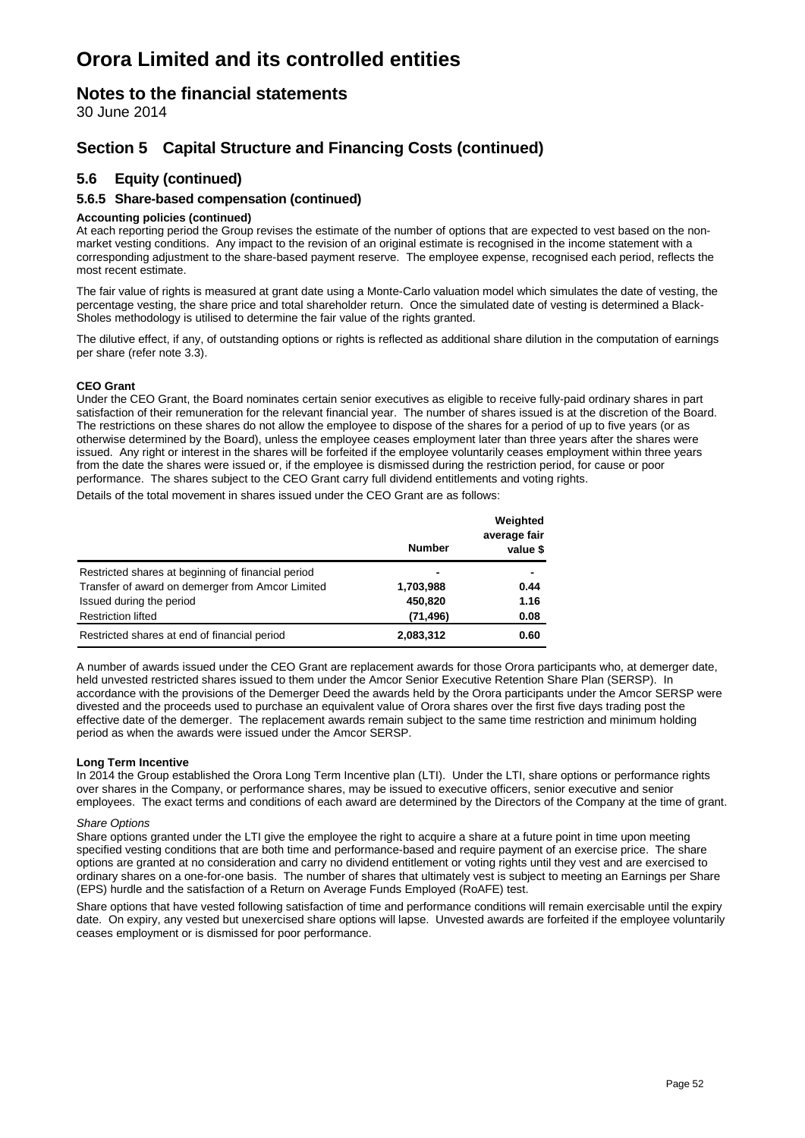### **Notes to the financial statements**

30 June 2014

### **Section 5 Capital Structure and Financing Costs (continued)**

### **5.6 Equity (continued)**

#### **5.6.5 Share-based compensation (continued)**

#### **Accounting policies (continued)**

At each reporting period the Group revises the estimate of the number of options that are expected to vest based on the nonmarket vesting conditions. Any impact to the revision of an original estimate is recognised in the income statement with a corresponding adjustment to the share-based payment reserve. The employee expense, recognised each period, reflects the most recent estimate.

The fair value of rights is measured at grant date using a Monte-Carlo valuation model which simulates the date of vesting, the percentage vesting, the share price and total shareholder return. Once the simulated date of vesting is determined a Black-Sholes methodology is utilised to determine the fair value of the rights granted.

The dilutive effect, if any, of outstanding options or rights is reflected as additional share dilution in the computation of earnings per share (refer note 3.3).

#### **CEO Grant**

Under the CEO Grant, the Board nominates certain senior executives as eligible to receive fully-paid ordinary shares in part satisfaction of their remuneration for the relevant financial year. The number of shares issued is at the discretion of the Board. The restrictions on these shares do not allow the employee to dispose of the shares for a period of up to five years (or as otherwise determined by the Board), unless the employee ceases employment later than three years after the shares were issued. Any right or interest in the shares will be forfeited if the employee voluntarily ceases employment within three years from the date the shares were issued or, if the employee is dismissed during the restriction period, for cause or poor performance. The shares subject to the CEO Grant carry full dividend entitlements and voting rights.

Details of the total movement in shares issued under the CEO Grant are as follows:

|                                                    | <b>Number</b> | Weighted<br>average fair<br>value \$ |
|----------------------------------------------------|---------------|--------------------------------------|
|                                                    |               |                                      |
| Restricted shares at beginning of financial period | -             |                                      |
| Transfer of award on demerger from Amcor Limited   | 1,703,988     | 0.44                                 |
| Issued during the period                           | 450,820       | 1.16                                 |
| <b>Restriction lifted</b>                          | (71, 496)     | 0.08                                 |
| Restricted shares at end of financial period       | 2,083,312     | 0.60                                 |

A number of awards issued under the CEO Grant are replacement awards for those Orora participants who, at demerger date, held unvested restricted shares issued to them under the Amcor Senior Executive Retention Share Plan (SERSP). In accordance with the provisions of the Demerger Deed the awards held by the Orora participants under the Amcor SERSP were divested and the proceeds used to purchase an equivalent value of Orora shares over the first five days trading post the effective date of the demerger. The replacement awards remain subject to the same time restriction and minimum holding period as when the awards were issued under the Amcor SERSP.

#### **Long Term Incentive**

In 2014 the Group established the Orora Long Term Incentive plan (LTI). Under the LTI, share options or performance rights over shares in the Company, or performance shares, may be issued to executive officers, senior executive and senior employees. The exact terms and conditions of each award are determined by the Directors of the Company at the time of grant.

#### *Share Options*

Share options granted under the LTI give the employee the right to acquire a share at a future point in time upon meeting specified vesting conditions that are both time and performance-based and require payment of an exercise price. The share options are granted at no consideration and carry no dividend entitlement or voting rights until they vest and are exercised to ordinary shares on a one-for-one basis. The number of shares that ultimately vest is subject to meeting an Earnings per Share (EPS) hurdle and the satisfaction of a Return on Average Funds Employed (RoAFE) test.

Share options that have vested following satisfaction of time and performance conditions will remain exercisable until the expiry date. On expiry, any vested but unexercised share options will lapse. Unvested awards are forfeited if the employee voluntarily ceases employment or is dismissed for poor performance.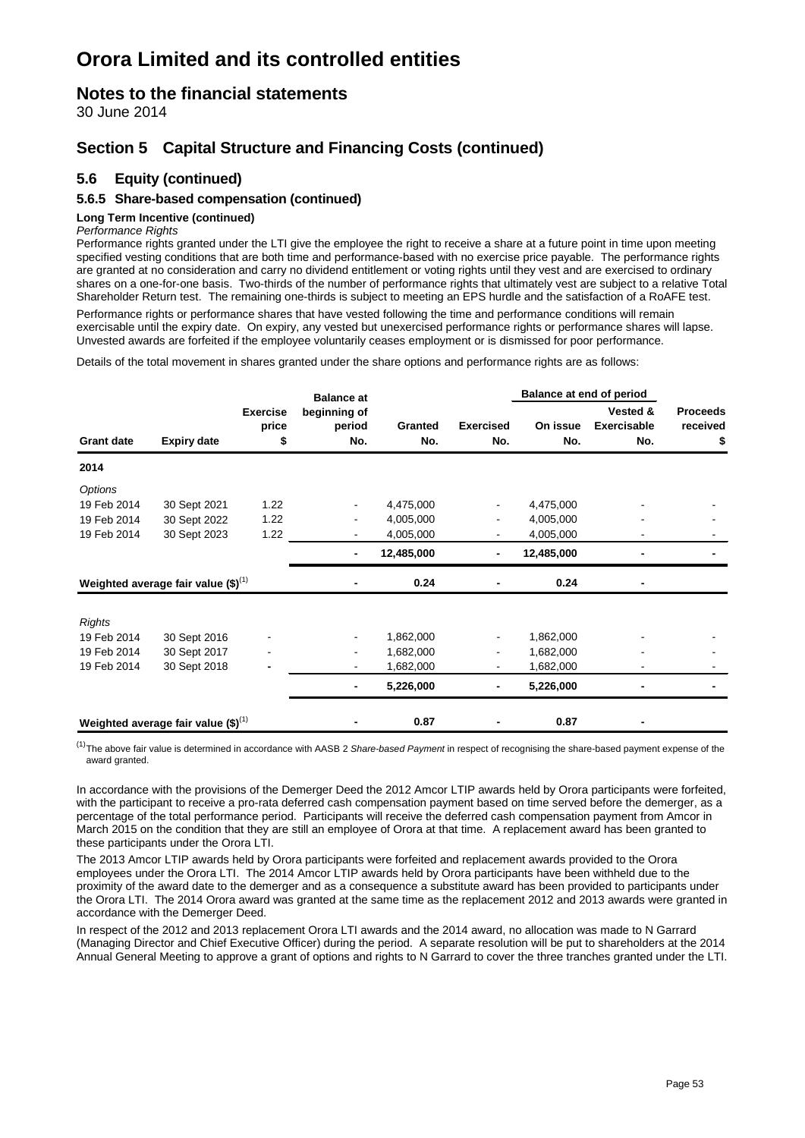### **Notes to the financial statements**

30 June 2014

### **Section 5 Capital Structure and Financing Costs (continued)**

### **5.6 Equity (continued)**

### **5.6.5 Share-based compensation (continued)**

#### **Long Term Incentive (continued)**

#### *Performance Rights*

Performance rights granted under the LTI give the employee the right to receive a share at a future point in time upon meeting specified vesting conditions that are both time and performance-based with no exercise price payable. The performance rights are granted at no consideration and carry no dividend entitlement or voting rights until they vest and are exercised to ordinary shares on a one-for-one basis. Two-thirds of the number of performance rights that ultimately vest are subject to a relative Total Shareholder Return test. The remaining one-thirds is subject to meeting an EPS hurdle and the satisfaction of a RoAFE test.

Performance rights or performance shares that have vested following the time and performance conditions will remain exercisable until the expiry date. On expiry, any vested but unexercised performance rights or performance shares will lapse. Unvested awards are forfeited if the employee voluntarily ceases employment or is dismissed for poor performance.

Details of the total movement in shares granted under the share options and performance rights are as follows:

|                                         |                                                  |                               | <b>Balance at</b> |                         |                 | <b>Balance at end of period</b>       |                                   |  |
|-----------------------------------------|--------------------------------------------------|-------------------------------|-------------------|-------------------------|-----------------|---------------------------------------|-----------------------------------|--|
| <b>Grant date</b><br><b>Expiry date</b> | <b>Exercise</b><br>price<br>\$                   | beginning of<br>period<br>No. | Granted<br>No.    | <b>Exercised</b><br>No. | On issue<br>No. | Vested &<br><b>Exercisable</b><br>No. | <b>Proceeds</b><br>received<br>\$ |  |
| 2014                                    |                                                  |                               |                   |                         |                 |                                       |                                   |  |
| Options                                 |                                                  |                               |                   |                         |                 |                                       |                                   |  |
| 19 Feb 2014                             | 30 Sept 2021                                     | 1.22                          |                   | 4,475,000               |                 | 4,475,000                             |                                   |  |
| 19 Feb 2014                             | 30 Sept 2022                                     | 1.22                          |                   | 4,005,000               |                 | 4,005,000                             |                                   |  |
| 19 Feb 2014                             | 30 Sept 2023                                     | 1.22                          |                   | 4,005,000               |                 | 4,005,000                             |                                   |  |
|                                         |                                                  |                               |                   | 12,485,000              | ٠               | 12,485,000                            |                                   |  |
|                                         | Weighted average fair value $(\text{$\$})^{(1)}$ |                               |                   | 0.24                    |                 | 0.24                                  |                                   |  |
| <b>Rights</b>                           |                                                  |                               |                   |                         |                 |                                       |                                   |  |
| 19 Feb 2014                             | 30 Sept 2016                                     |                               | -                 | 1,862,000               |                 | 1,862,000                             |                                   |  |
| 19 Feb 2014                             | 30 Sept 2017                                     |                               |                   | 1,682,000               | ۰               | 1,682,000                             |                                   |  |
| 19 Feb 2014                             | 30 Sept 2018                                     |                               |                   | 1,682,000               | ٠               | 1,682,000                             |                                   |  |
|                                         |                                                  |                               |                   | 5,226,000               | $\blacksquare$  | 5,226,000                             |                                   |  |
|                                         | Weighted average fair value $(\text{$\$})^{(1)}$ |                               |                   | 0.87                    |                 | 0.87                                  |                                   |  |

(1)The above fair value is determined in accordance with AASB 2 *Share-based Payment* in respect of recognising the share-based payment expense of the award granted.

In accordance with the provisions of the Demerger Deed the 2012 Amcor LTIP awards held by Orora participants were forfeited, with the participant to receive a pro-rata deferred cash compensation payment based on time served before the demerger, as a percentage of the total performance period. Participants will receive the deferred cash compensation payment from Amcor in March 2015 on the condition that they are still an employee of Orora at that time. A replacement award has been granted to these participants under the Orora LTI.

The 2013 Amcor LTIP awards held by Orora participants were forfeited and replacement awards provided to the Orora employees under the Orora LTI. The 2014 Amcor LTIP awards held by Orora participants have been withheld due to the proximity of the award date to the demerger and as a consequence a substitute award has been provided to participants under the Orora LTI. The 2014 Orora award was granted at the same time as the replacement 2012 and 2013 awards were granted in accordance with the Demerger Deed.

In respect of the 2012 and 2013 replacement Orora LTI awards and the 2014 award, no allocation was made to N Garrard (Managing Director and Chief Executive Officer) during the period. A separate resolution will be put to shareholders at the 2014 Annual General Meeting to approve a grant of options and rights to N Garrard to cover the three tranches granted under the LTI.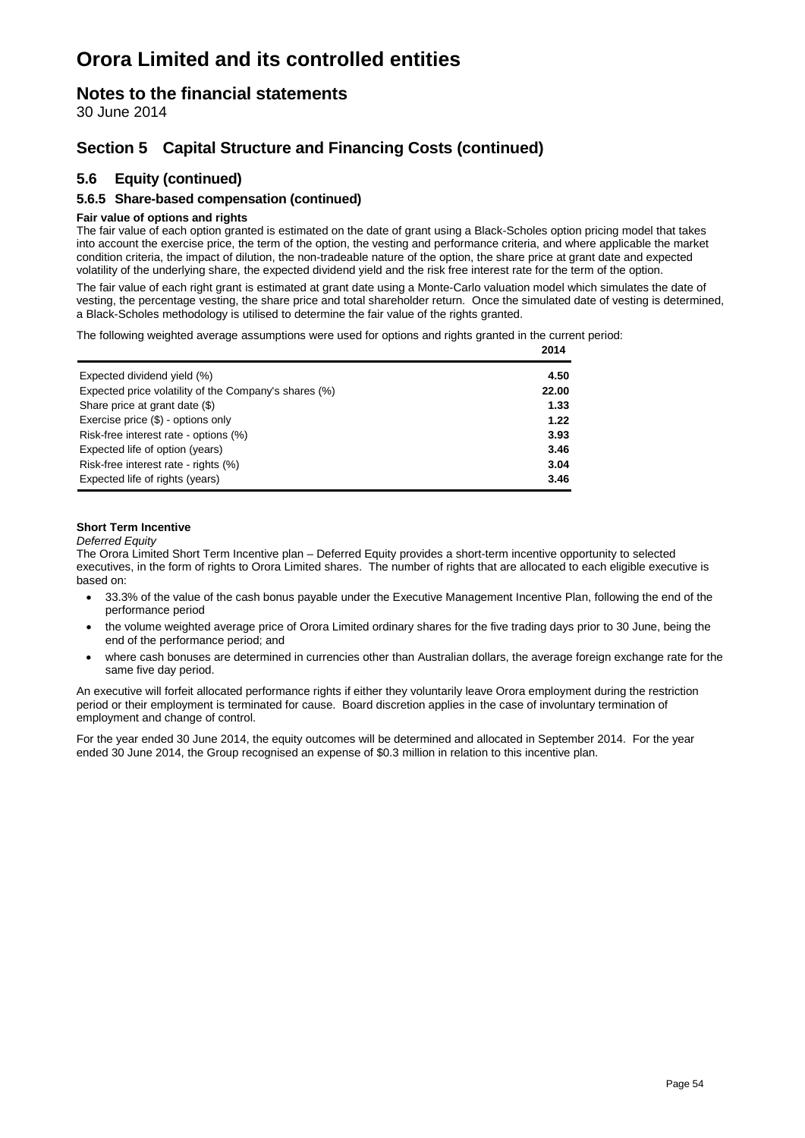### **Notes to the financial statements**

30 June 2014

### **Section 5 Capital Structure and Financing Costs (continued)**

### **5.6 Equity (continued)**

#### **5.6.5 Share-based compensation (continued)**

#### **Fair value of options and rights**

The fair value of each option granted is estimated on the date of grant using a Black-Scholes option pricing model that takes into account the exercise price, the term of the option, the vesting and performance criteria, and where applicable the market condition criteria, the impact of dilution, the non-tradeable nature of the option, the share price at grant date and expected volatility of the underlying share, the expected dividend yield and the risk free interest rate for the term of the option.

The fair value of each right grant is estimated at grant date using a Monte-Carlo valuation model which simulates the date of vesting, the percentage vesting, the share price and total shareholder return. Once the simulated date of vesting is determined, a Black-Scholes methodology is utilised to determine the fair value of the rights granted.

The following weighted average assumptions were used for options and rights granted in the current period:

|                                                       | 2014  |
|-------------------------------------------------------|-------|
| Expected dividend yield (%)                           | 4.50  |
| Expected price volatility of the Company's shares (%) | 22.00 |
| Share price at grant date (\$)                        | 1.33  |
| Exercise price (\$) - options only                    | 1.22  |
| Risk-free interest rate - options (%)                 | 3.93  |
| Expected life of option (years)                       | 3.46  |
| Risk-free interest rate - rights (%)                  | 3.04  |
| Expected life of rights (years)                       | 3.46  |

#### **Short Term Incentive**

#### *Deferred Equity*

The Orora Limited Short Term Incentive plan – Deferred Equity provides a short-term incentive opportunity to selected executives, in the form of rights to Orora Limited shares. The number of rights that are allocated to each eligible executive is based on:

- 33.3% of the value of the cash bonus payable under the Executive Management Incentive Plan, following the end of the performance period
- the volume weighted average price of Orora Limited ordinary shares for the five trading days prior to 30 June, being the end of the performance period; and
- where cash bonuses are determined in currencies other than Australian dollars, the average foreign exchange rate for the same five day period.

An executive will forfeit allocated performance rights if either they voluntarily leave Orora employment during the restriction period or their employment is terminated for cause. Board discretion applies in the case of involuntary termination of employment and change of control.

For the year ended 30 June 2014, the equity outcomes will be determined and allocated in September 2014. For the year ended 30 June 2014, the Group recognised an expense of \$0.3 million in relation to this incentive plan.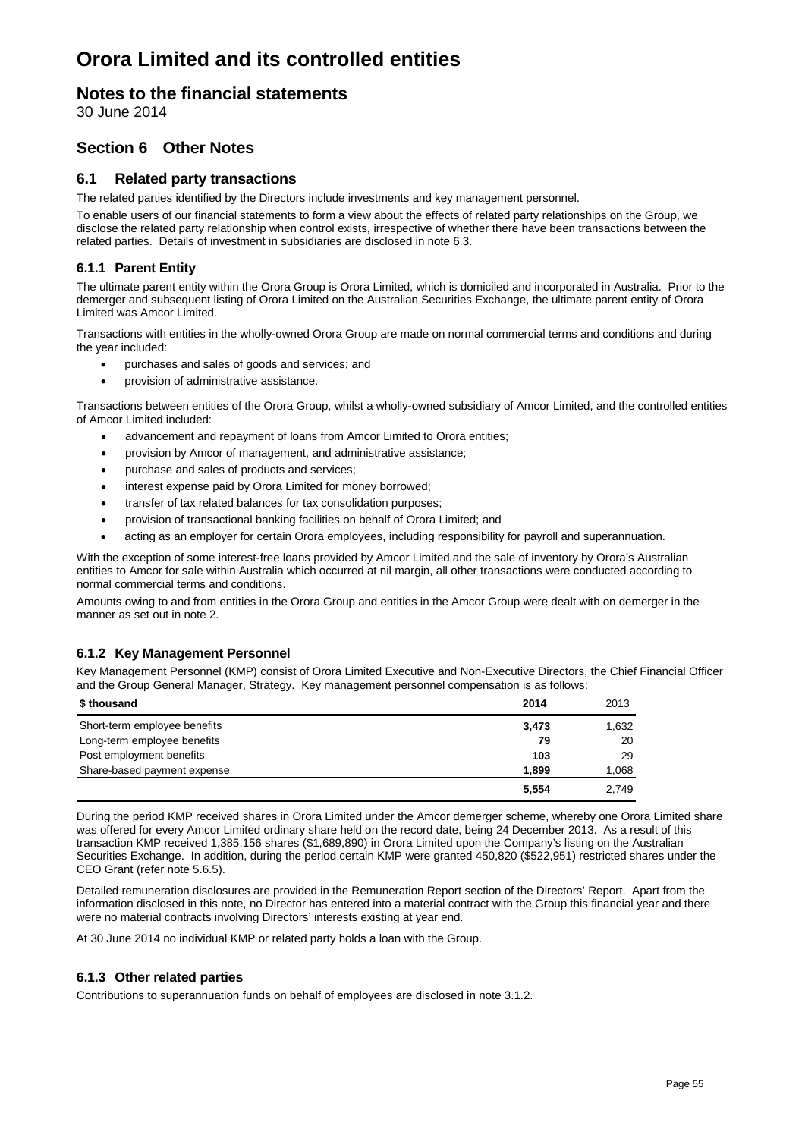### **Notes to the financial statements**

30 June 2014

### **Section 6 Other Notes**

#### **6.1 Related party transactions**

The related parties identified by the Directors include investments and key management personnel.

To enable users of our financial statements to form a view about the effects of related party relationships on the Group, we disclose the related party relationship when control exists, irrespective of whether there have been transactions between the related parties. Details of investment in subsidiaries are disclosed in note 6.3.

#### **6.1.1 Parent Entity**

The ultimate parent entity within the Orora Group is Orora Limited, which is domiciled and incorporated in Australia. Prior to the demerger and subsequent listing of Orora Limited on the Australian Securities Exchange, the ultimate parent entity of Orora Limited was Amcor Limited.

Transactions with entities in the wholly-owned Orora Group are made on normal commercial terms and conditions and during the year included:

- purchases and sales of goods and services; and
- provision of administrative assistance.

Transactions between entities of the Orora Group, whilst a wholly-owned subsidiary of Amcor Limited, and the controlled entities of Amcor Limited included:

- advancement and repayment of loans from Amcor Limited to Orora entities;
- provision by Amcor of management, and administrative assistance;
- purchase and sales of products and services;
- interest expense paid by Orora Limited for money borrowed;
- transfer of tax related balances for tax consolidation purposes;
- provision of transactional banking facilities on behalf of Orora Limited; and
- acting as an employer for certain Orora employees, including responsibility for payroll and superannuation.

With the exception of some interest-free loans provided by Amcor Limited and the sale of inventory by Orora's Australian entities to Amcor for sale within Australia which occurred at nil margin, all other transactions were conducted according to normal commercial terms and conditions.

Amounts owing to and from entities in the Orora Group and entities in the Amcor Group were dealt with on demerger in the manner as set out in note 2.

#### **6.1.2 Key Management Personnel**

Key Management Personnel (KMP) consist of Orora Limited Executive and Non-Executive Directors, the Chief Financial Officer and the Group General Manager, Strategy. Key management personnel compensation is as follows:

| \$ thousand                  | 2014  | 2013  |
|------------------------------|-------|-------|
| Short-term employee benefits | 3,473 | 1,632 |
| Long-term employee benefits  | 79    | 20    |
| Post employment benefits     | 103   | 29    |
| Share-based payment expense  | 1.899 | 1,068 |
|                              | 5,554 | 2.749 |

During the period KMP received shares in Orora Limited under the Amcor demerger scheme, whereby one Orora Limited share was offered for every Amcor Limited ordinary share held on the record date, being 24 December 2013. As a result of this transaction KMP received 1,385,156 shares (\$1,689,890) in Orora Limited upon the Company's listing on the Australian Securities Exchange. In addition, during the period certain KMP were granted 450,820 (\$522,951) restricted shares under the CEO Grant (refer note 5.6.5).

Detailed remuneration disclosures are provided in the Remuneration Report section of the Directors' Report. Apart from the information disclosed in this note, no Director has entered into a material contract with the Group this financial year and there were no material contracts involving Directors' interests existing at year end.

At 30 June 2014 no individual KMP or related party holds a loan with the Group.

#### **6.1.3 Other related parties**

Contributions to superannuation funds on behalf of employees are disclosed in note 3.1.2.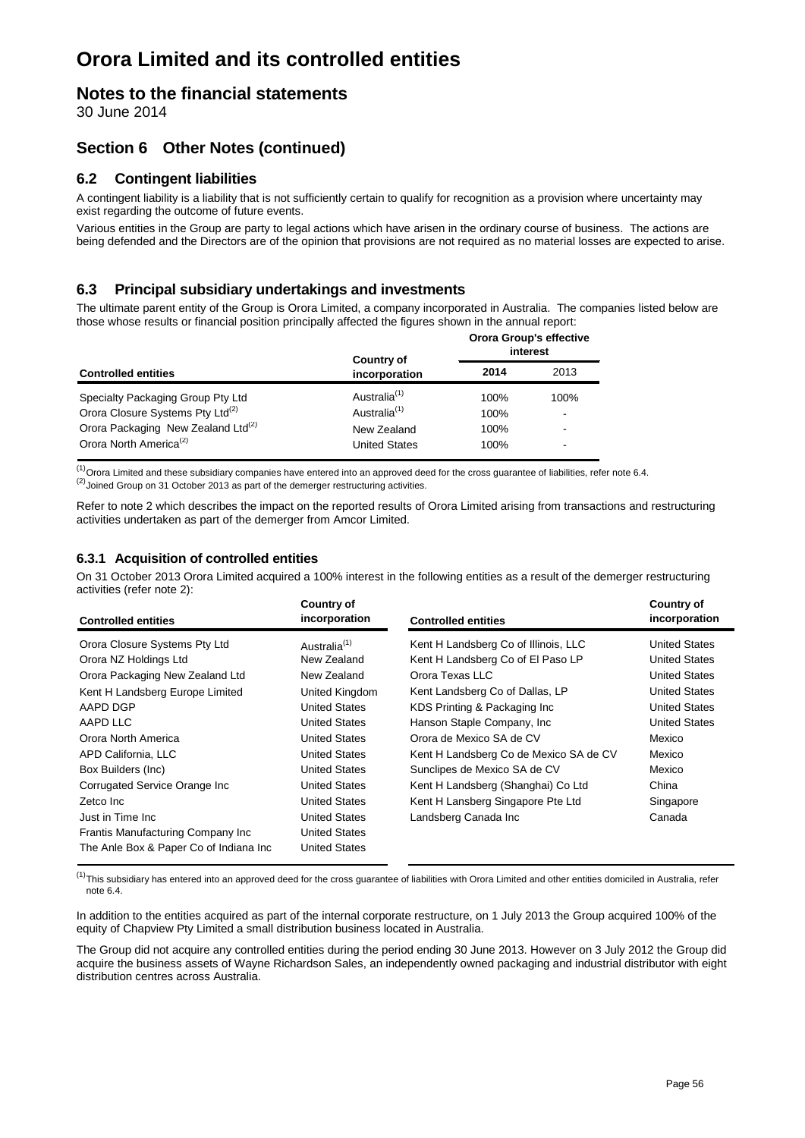### **Notes to the financial statements**

30 June 2014

### **Section 6 Other Notes (continued)**

### **6.2 Contingent liabilities**

A contingent liability is a liability that is not sufficiently certain to qualify for recognition as a provision where uncertainty may exist regarding the outcome of future events.

Various entities in the Group are party to legal actions which have arisen in the ordinary course of business. The actions are being defended and the Directors are of the opinion that provisions are not required as no material losses are expected to arise.

### **6.3 Principal subsidiary undertakings and investments**

The ultimate parent entity of the Group is Orora Limited, a company incorporated in Australia. The companies listed below are those whose results or financial position principally affected the figures shown in the annual report:

|                                                                                                | <b>Country of</b>                       | <b>Orora Group's effective</b><br>interest |                                  |  |
|------------------------------------------------------------------------------------------------|-----------------------------------------|--------------------------------------------|----------------------------------|--|
| <b>Controlled entities</b>                                                                     | incorporation                           | 2014                                       | 2013                             |  |
| Specialty Packaging Group Pty Ltd                                                              | Australia <sup>(1)</sup>                | 100%                                       | 100%                             |  |
| Orora Closure Systems Pty Ltd <sup>(2)</sup><br>Orora Packaging New Zealand Ltd <sup>(2)</sup> | Australia <sup>(1)</sup><br>New Zealand | 100%<br>100%                               | $\blacksquare$<br>$\blacksquare$ |  |
| Orora North America <sup>(2)</sup>                                                             | <b>United States</b>                    | 100%                                       | $\blacksquare$                   |  |

 $\frac{(1)}{10}$ Orora Limited and these subsidiary companies have entered into an approved deed for the cross guarantee of liabilities, refer note 6.4. <sup>(2)</sup> Joined Group on 31 October 2013 as part of the demerger restructuring activities.

Refer to note 2 which describes the impact on the reported results of Orora Limited arising from transactions and restructuring activities undertaken as part of the demerger from Amcor Limited.

### **6.3.1 Acquisition of controlled entities**

On 31 October 2013 Orora Limited acquired a 100% interest in the following entities as a result of the demerger restructuring activities (refer note 2):

| <b>Controlled entities</b>             | <b>Country of</b><br>incorporation | <b>Controlled entities</b>             | <b>Country of</b><br>incorporation |
|----------------------------------------|------------------------------------|----------------------------------------|------------------------------------|
| Orora Closure Systems Pty Ltd          | Australia <sup>(1)</sup>           | Kent H Landsberg Co of Illinois, LLC   | <b>United States</b>               |
| Orora NZ Holdings Ltd                  | New Zealand                        | Kent H Landsberg Co of El Paso LP      | <b>United States</b>               |
| Orora Packaging New Zealand Ltd        | New Zealand                        | Orora Texas LLC                        | <b>United States</b>               |
| Kent H Landsberg Europe Limited        | United Kingdom                     | Kent Landsberg Co of Dallas, LP        | <b>United States</b>               |
| AAPD DGP                               | <b>United States</b>               | KDS Printing & Packaging Inc.          | <b>United States</b>               |
| AAPD LLC                               | <b>United States</b>               | Hanson Staple Company, Inc.            | <b>United States</b>               |
| Orora North America                    | <b>United States</b>               | Orora de Mexico SA de CV               | Mexico                             |
| APD California, LLC                    | <b>United States</b>               | Kent H Landsberg Co de Mexico SA de CV | Mexico                             |
| Box Builders (Inc)                     | <b>United States</b>               | Sunclipes de Mexico SA de CV           | Mexico                             |
| Corrugated Service Orange Inc          | <b>United States</b>               | Kent H Landsberg (Shanghai) Co Ltd     | China                              |
| Zetco Inc                              | <b>United States</b>               | Kent H Lansberg Singapore Pte Ltd      | Singapore                          |
| Just in Time Inc.                      | <b>United States</b>               | Landsberg Canada Inc                   | Canada                             |
| Frantis Manufacturing Company Inc      | <b>United States</b>               |                                        |                                    |
| The Anle Box & Paper Co of Indiana Inc | <b>United States</b>               |                                        |                                    |

 $<sup>(1)</sup>$ This subsidiary has entered into an approved deed for the cross guarantee of liabilities with Orora Limited and other entities domiciled in Australia, refer</sup> note 6.4.

In addition to the entities acquired as part of the internal corporate restructure, on 1 July 2013 the Group acquired 100% of the equity of Chapview Pty Limited a small distribution business located in Australia.

The Group did not acquire any controlled entities during the period ending 30 June 2013. However on 3 July 2012 the Group did acquire the business assets of Wayne Richardson Sales, an independently owned packaging and industrial distributor with eight distribution centres across Australia.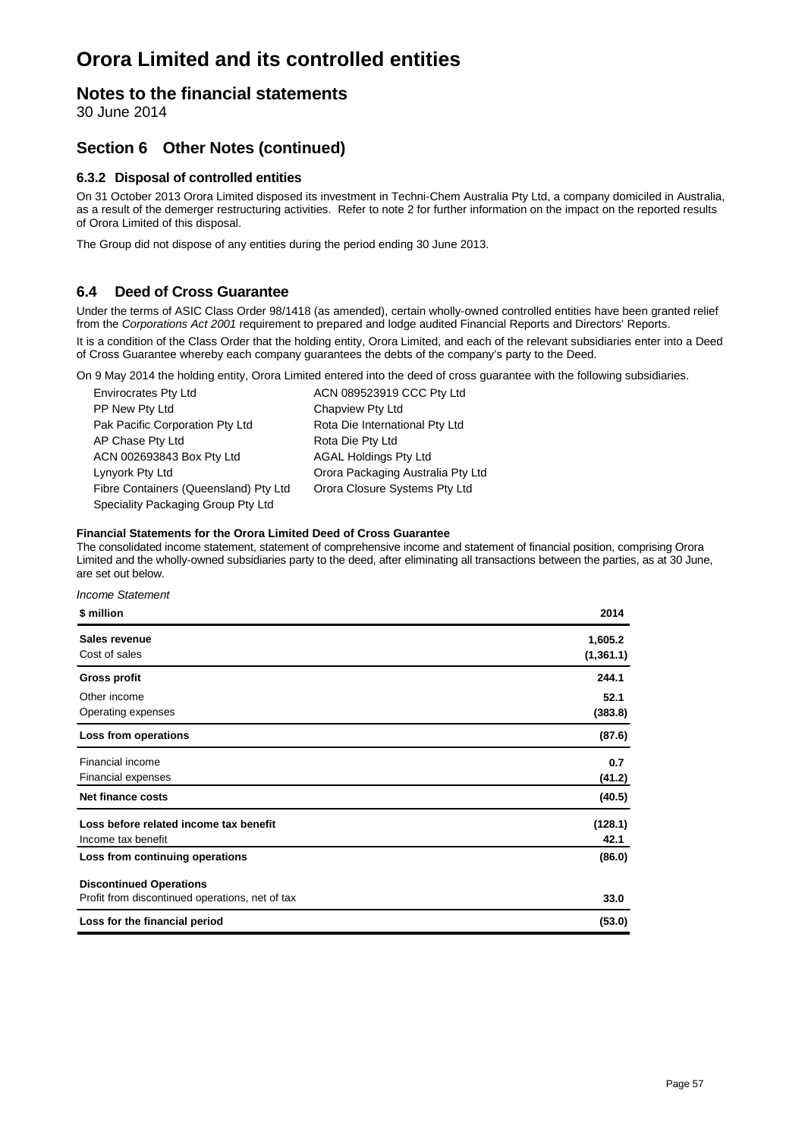### **Notes to the financial statements**

30 June 2014

### **Section 6 Other Notes (continued)**

#### **6.3.2 Disposal of controlled entities**

On 31 October 2013 Orora Limited disposed its investment in Techni-Chem Australia Pty Ltd, a company domiciled in Australia, as a result of the demerger restructuring activities. Refer to note 2 for further information on the impact on the reported results of Orora Limited of this disposal.

The Group did not dispose of any entities during the period ending 30 June 2013.

### **6.4 Deed of Cross Guarantee**

Under the terms of ASIC Class Order 98/1418 (as amended), certain wholly-owned controlled entities have been granted relief from the *Corporations Act 2001* requirement to prepared and lodge audited Financial Reports and Directors' Reports. It is a condition of the Class Order that the holding entity, Orora Limited, and each of the relevant subsidiaries enter into a Deed of Cross Guarantee whereby each company guarantees the debts of the company's party to the Deed.

On 9 May 2014 the holding entity, Orora Limited entered into the deed of cross guarantee with the following subsidiaries.

| <b>Envirocrates Pty Ltd</b>           | ACN 089523919 CCC Pty Ltd         |
|---------------------------------------|-----------------------------------|
| PP New Pty Ltd                        | Chapview Pty Ltd                  |
| Pak Pacific Corporation Pty Ltd       | Rota Die International Pty Ltd    |
| AP Chase Pty Ltd                      | Rota Die Pty Ltd                  |
| ACN 002693843 Box Pty Ltd             | <b>AGAL Holdings Pty Ltd</b>      |
| Lynyork Pty Ltd                       | Orora Packaging Australia Pty Ltd |
| Fibre Containers (Queensland) Pty Ltd | Orora Closure Systems Pty Ltd     |
| Speciality Packaging Group Pty Ltd    |                                   |
|                                       |                                   |

#### **Financial Statements for the Orora Limited Deed of Cross Guarantee**

The consolidated income statement, statement of comprehensive income and statement of financial position, comprising Orora Limited and the wholly-owned subsidiaries party to the deed, after eliminating all transactions between the parties, as at 30 June, are set out below.

#### *Income Statement*

| \$ million                                      | 2014       |
|-------------------------------------------------|------------|
| Sales revenue                                   | 1,605.2    |
| Cost of sales                                   | (1, 361.1) |
| Gross profit                                    | 244.1      |
| Other income                                    | 52.1       |
| Operating expenses                              | (383.8)    |
| Loss from operations                            | (87.6)     |
| Financial income                                | 0.7        |
| <b>Financial expenses</b>                       | (41.2)     |
| <b>Net finance costs</b>                        | (40.5)     |
| Loss before related income tax benefit          | (128.1)    |
| Income tax benefit                              | 42.1       |
| Loss from continuing operations                 | (86.0)     |
| <b>Discontinued Operations</b>                  |            |
| Profit from discontinued operations, net of tax | 33.0       |
| Loss for the financial period                   | (53.0)     |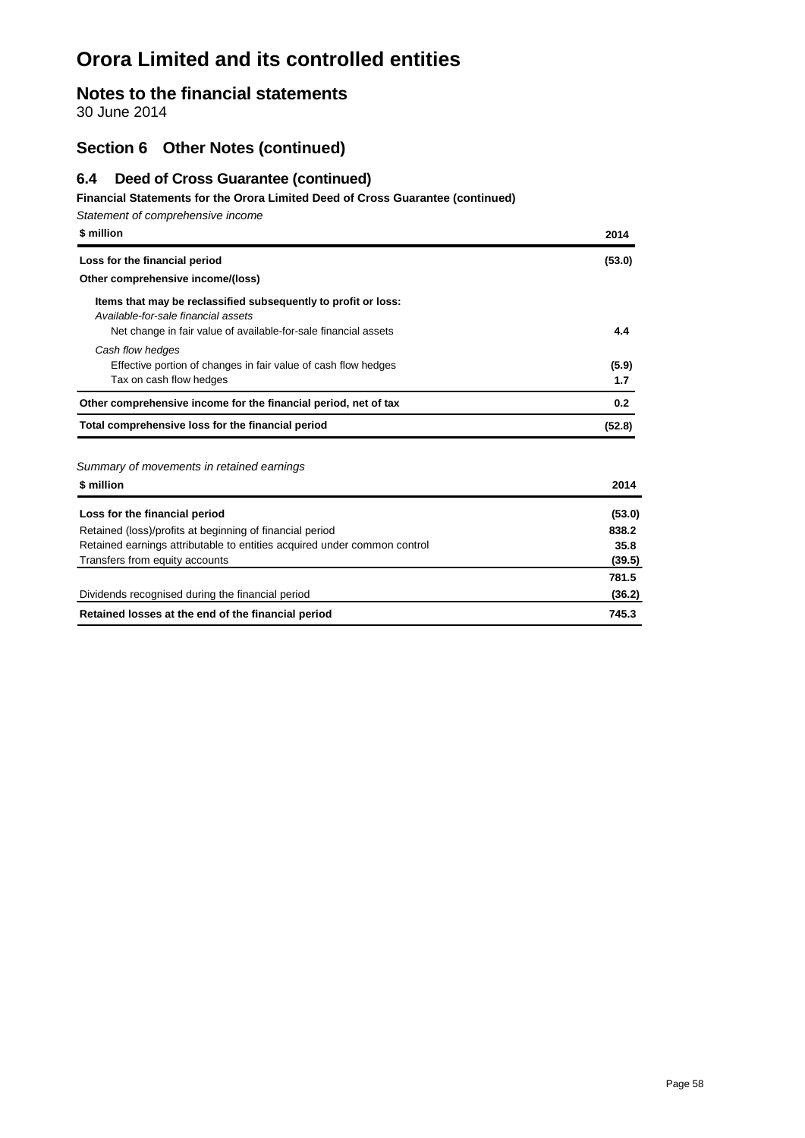### **Notes to the financial statements**

30 June 2014

### **Section 6 Other Notes (continued)**

### **6.4 Deed of Cross Guarantee (continued)**

#### **Financial Statements for the Orora Limited Deed of Cross Guarantee (continued)**

| Statement of comprehensive income                                                                     |        |
|-------------------------------------------------------------------------------------------------------|--------|
| \$ million                                                                                            | 2014   |
| Loss for the financial period                                                                         | (53.0) |
| Other comprehensive income/(loss)                                                                     |        |
| Items that may be reclassified subsequently to profit or loss:<br>Available-for-sale financial assets |        |
| Net change in fair value of available-for-sale financial assets                                       | 4.4    |
| Cash flow hedges                                                                                      |        |
| Effective portion of changes in fair value of cash flow hedges                                        | (5.9)  |
| Tax on cash flow hedges                                                                               | 1.7    |
| Other comprehensive income for the financial period, net of tax                                       | 0.2    |
| Total comprehensive loss for the financial period                                                     | (52.8) |
| Summary of movements in retained earnings                                                             |        |
| \$ million                                                                                            | 2014   |
| Loss for the financial period                                                                         | (53.0) |
| Retained (loss)/profits at beginning of financial period                                              | 838.2  |
| Retained earnings attributable to entities acquired under common control                              | 35.8   |

| Transfers from equity accounts                     | (39.5) |
|----------------------------------------------------|--------|
|                                                    | 781.5  |
| Dividends recognised during the financial period   | (36.2) |
| Retained losses at the end of the financial period | 745.3  |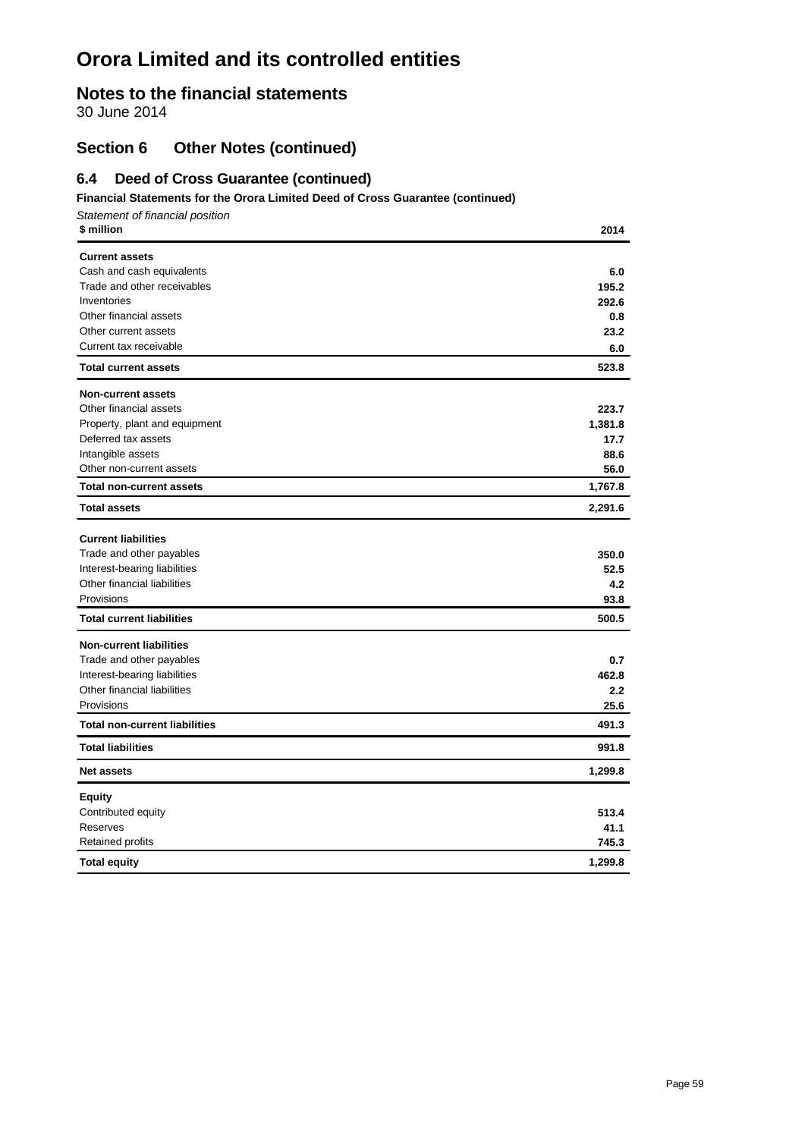### **Notes to the financial statements**

30 June 2014

### **Section 6 Other Notes (continued)**

### **6.4 Deed of Cross Guarantee (continued)**

#### **Financial Statements for the Orora Limited Deed of Cross Guarantee (continued)**

*Statement of financial position* **\$ million 2014**

| <b>Current assets</b>                |         |
|--------------------------------------|---------|
| Cash and cash equivalents            | 6.0     |
| Trade and other receivables          | 195.2   |
| Inventories                          | 292.6   |
| Other financial assets               | 0.8     |
| Other current assets                 | 23.2    |
| Current tax receivable               | 6.0     |
| <b>Total current assets</b>          | 523.8   |
| <b>Non-current assets</b>            |         |
| Other financial assets               | 223.7   |
| Property, plant and equipment        | 1,381.8 |
| Deferred tax assets                  | 17.7    |
| Intangible assets                    | 88.6    |
| Other non-current assets             | 56.0    |
| <b>Total non-current assets</b>      | 1,767.8 |
| <b>Total assets</b>                  | 2,291.6 |
| <b>Current liabilities</b>           |         |
| Trade and other payables             | 350.0   |
| Interest-bearing liabilities         | 52.5    |
| Other financial liabilities          | 4.2     |
| Provisions                           | 93.8    |
| <b>Total current liabilities</b>     | 500.5   |
| <b>Non-current liabilities</b>       |         |
| Trade and other payables             | 0.7     |
| Interest-bearing liabilities         | 462.8   |
| Other financial liabilities          | 2.2     |
| Provisions                           | 25.6    |
| <b>Total non-current liabilities</b> | 491.3   |
| <b>Total liabilities</b>             | 991.8   |
| <b>Net assets</b>                    | 1,299.8 |
| <b>Equity</b>                        |         |
| Contributed equity                   | 513.4   |
| Reserves                             | 41.1    |
| Retained profits                     | 745.3   |
| <b>Total equity</b>                  | 1,299.8 |
|                                      |         |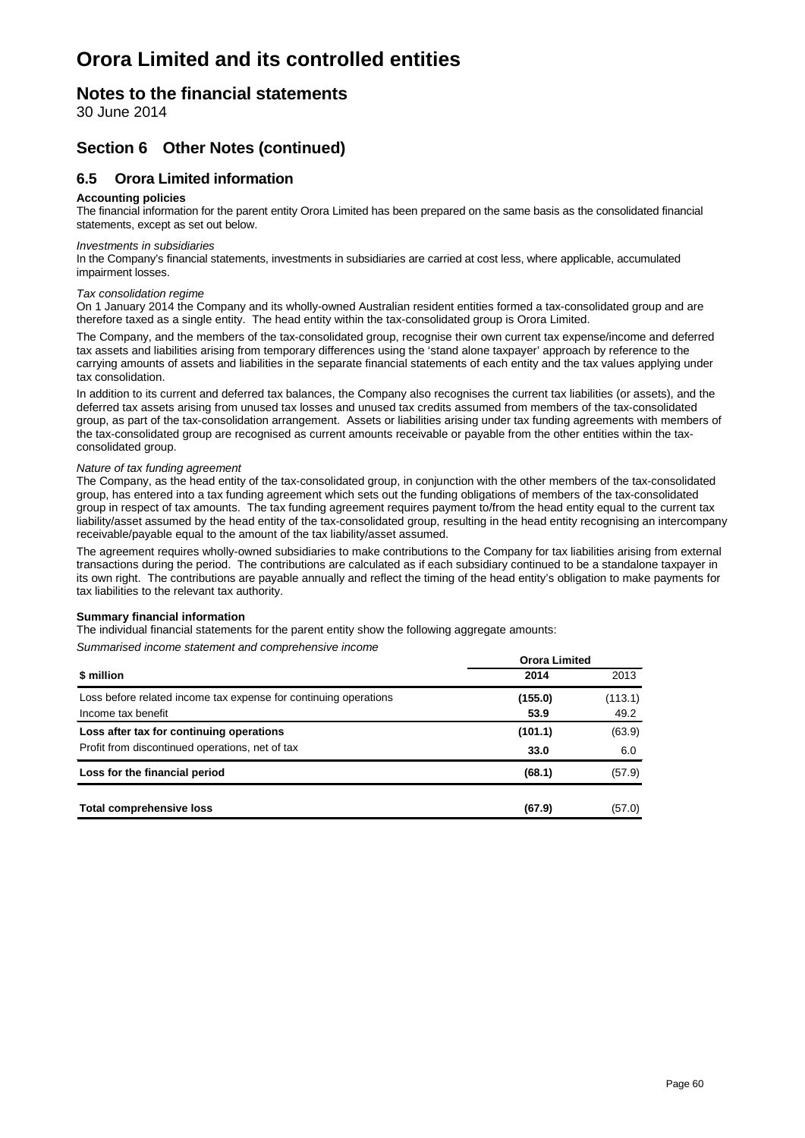### **Notes to the financial statements**

30 June 2014

### **Section 6 Other Notes (continued)**

### **6.5 Orora Limited information**

#### **Accounting policies**

The financial information for the parent entity Orora Limited has been prepared on the same basis as the consolidated financial statements, except as set out below.

#### *Investments in subsidiaries*

In the Company's financial statements, investments in subsidiaries are carried at cost less, where applicable, accumulated impairment losses.

#### *Tax consolidation regime*

On 1 January 2014 the Company and its wholly-owned Australian resident entities formed a tax-consolidated group and are therefore taxed as a single entity. The head entity within the tax-consolidated group is Orora Limited.

The Company, and the members of the tax-consolidated group, recognise their own current tax expense/income and deferred tax assets and liabilities arising from temporary differences using the 'stand alone taxpayer' approach by reference to the carrying amounts of assets and liabilities in the separate financial statements of each entity and the tax values applying under tax consolidation.

In addition to its current and deferred tax balances, the Company also recognises the current tax liabilities (or assets), and the deferred tax assets arising from unused tax losses and unused tax credits assumed from members of the tax-consolidated group, as part of the tax-consolidation arrangement. Assets or liabilities arising under tax funding agreements with members of the tax-consolidated group are recognised as current amounts receivable or payable from the other entities within the taxconsolidated group.

#### *Nature of tax funding agreement*

The Company, as the head entity of the tax-consolidated group, in conjunction with the other members of the tax-consolidated group, has entered into a tax funding agreement which sets out the funding obligations of members of the tax-consolidated group in respect of tax amounts. The tax funding agreement requires payment to/from the head entity equal to the current tax liability/asset assumed by the head entity of the tax-consolidated group, resulting in the head entity recognising an intercompany receivable/payable equal to the amount of the tax liability/asset assumed.

The agreement requires wholly-owned subsidiaries to make contributions to the Company for tax liabilities arising from external transactions during the period. The contributions are calculated as if each subsidiary continued to be a standalone taxpayer in its own right. The contributions are payable annually and reflect the timing of the head entity's obligation to make payments for tax liabilities to the relevant tax authority.

#### **Summary financial information**

The individual financial statements for the parent entity show the following aggregate amounts:

*Summarised income statement and comprehensive income*

|                                                                  | <b>Orora Limited</b> |         |
|------------------------------------------------------------------|----------------------|---------|
| \$ million                                                       | 2014                 | 2013    |
| Loss before related income tax expense for continuing operations | (155.0)              | (113.1) |
| Income tax benefit                                               | 53.9                 | 49.2    |
| Loss after tax for continuing operations                         | (101.1)              | (63.9)  |
| Profit from discontinued operations, net of tax                  | 33.0                 | 6.0     |
| Loss for the financial period                                    | (68.1)               | (57.9)  |
|                                                                  |                      |         |
| <b>Total comprehensive loss</b>                                  | (67.9)               | (57.0)  |